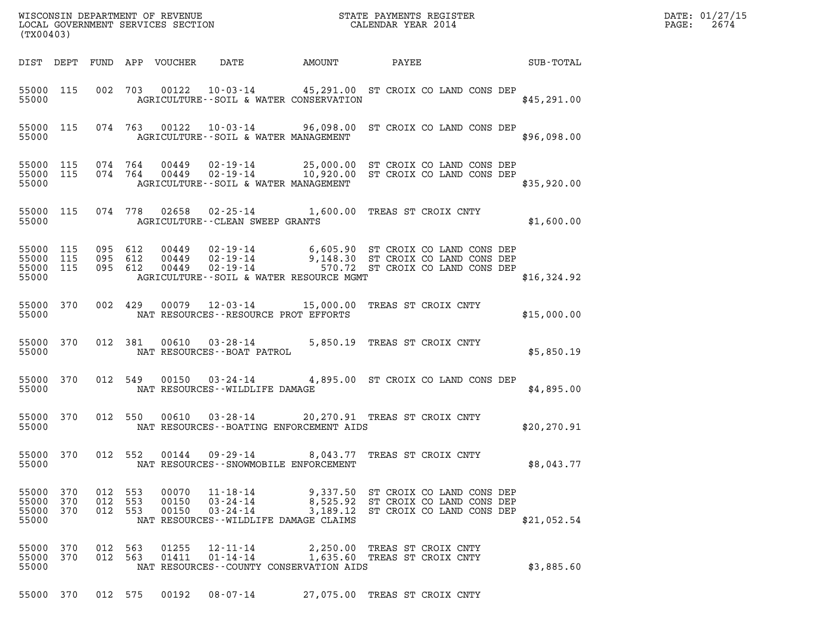| DATE: | 01/27/15 |
|-------|----------|
| PAGE: | 2674     |

| (TX00403)                                    |            |                               |         |                            |                                                                                                                                                                                    |                              |                              |                                                                                                                |             | DATE: 01/27/15<br>$\mathtt{PAGE:}$<br>2674 |
|----------------------------------------------|------------|-------------------------------|---------|----------------------------|------------------------------------------------------------------------------------------------------------------------------------------------------------------------------------|------------------------------|------------------------------|----------------------------------------------------------------------------------------------------------------|-------------|--------------------------------------------|
|                                              |            |                               |         | DIST DEPT FUND APP VOUCHER | DATE                                                                                                                                                                               | <b>AMOUNT</b>                | PAYEE                        | <b>SUB-TOTAL</b>                                                                                               |             |                                            |
| 55000 115<br>55000                           |            |                               |         |                            | 002 703 00122 10-03-14 45,291.00 ST CROIX CO LAND CONS DEP<br>AGRICULTURE--SOIL & WATER CONSERVATION                                                                               |                              |                              |                                                                                                                | \$45,291.00 |                                            |
| 55000                                        |            |                               |         |                            | 55000 115 074 763 00122 10-03-14 96,098.00 ST CROIX CO LAND CONS DEP<br>AGRICULTURE--SOIL & WATER MANAGEMENT                                                                       |                              |                              |                                                                                                                | \$96,098.00 |                                            |
| 55000 115 074 764<br>55000 115<br>55000      |            |                               | 074 764 |                            | 00449  02-19-14  25,000.00  ST CROIX CO LAND CONS DEP<br>00449  02-19-14  10,920.00  ST CROIX CO LAND CONS DEP<br>AGRICULTURE--SOIL & WATER MANAGEMENT                             |                              |                              |                                                                                                                | \$35,920.00 |                                            |
| 55000 115<br>55000                           |            |                               |         |                            | 074 778 02658 02-25-14 1,600.00 TREAS ST CROIX CNTY<br>AGRICULTURE--CLEAN SWEEP GRANTS                                                                                             |                              |                              |                                                                                                                | \$1,600.00  |                                            |
| 55000 115<br>55000 115<br>55000 115<br>55000 |            | 095 612<br>095 612<br>095 612 |         | 00449<br>00449<br>00449    | 02-19-14 6,605.90 ST CROIX CO LAND CONS DEP<br>02-19-14 9,148.30 ST CROIX CO LAND CONS DEP<br>02-19-14 570.72 ST CROIX CO LAND CONS DEP<br>AGRICULTURE--SOIL & WATER RESOURCE MGMT |                              |                              |                                                                                                                | \$16,324.92 |                                            |
| 55000 370<br>55000                           |            | 002 429                       |         |                            | 00079  12-03-14  15,000.00  TREAS ST CROIX CNTY<br>NAT RESOURCES - - RESOURCE PROT EFFORTS                                                                                         |                              |                              |                                                                                                                | \$15,000.00 |                                            |
| 55000 370<br>55000                           |            |                               | 012 381 |                            | 00610  03-28-14  5,850.19  TREAS ST CROIX CNTY<br>NAT RESOURCES--BOAT PATROL                                                                                                       |                              |                              |                                                                                                                | \$5,850.19  |                                            |
| 55000 370<br>55000                           |            | 012 549                       |         | 00150                      | 03-24-14 4,895.00 ST CROIX CO LAND CONS DEP<br>NAT RESOURCES - - WILDLIFE DAMAGE                                                                                                   |                              |                              |                                                                                                                | \$4,895.00  |                                            |
| 55000 370<br>55000                           |            |                               | 012 550 | 00610                      | 03-28-14 20,270.91 TREAS ST CROIX CNTY<br>NAT RESOURCES--BOATING ENFORCEMENT AIDS                                                                                                  |                              |                              |                                                                                                                | \$20,270.91 |                                            |
| 55000 370<br>55000                           |            | 012 552                       |         |                            | 00144  09-29-14  8,043.77  TREAS ST CROIX CNTY<br>NAT RESOURCES - - SNOWMOBILE ENFORCEMENT                                                                                         |                              |                              |                                                                                                                | \$8,043.77  |                                            |
| 55000 370<br>55000<br>55000<br>55000         | 370<br>370 | 012 553<br>012 553<br>012 553 |         | 00070<br>00150<br>00150    | 11-18-14<br>03-24-14<br>$03 - 24 - 14$<br>NAT RESOURCES - WILDLIFE DAMAGE CLAIMS                                                                                                   |                              |                              | 9,337.50 ST CROIX CO LAND CONS DEP<br>8,525.92 ST CROIX CO LAND CONS DEP<br>3,189.12 ST CROIX CO LAND CONS DEP | \$21,052.54 |                                            |
| 55000 370<br>55000 370<br>55000              |            | 012 563<br>012 563            |         | 01255<br>01411             | 12-11-14<br>$01 - 14 - 14$<br>NAT RESOURCES--COUNTY CONSERVATION AIDS                                                                                                              | 1,635.60 TREAS ST CROIX CNTY | 2,250.00 TREAS ST CROIX CNTY |                                                                                                                | \$3,885.60  |                                            |

55000 370 012 575 00192 08-07-14 27,075.00 TREAS ST CROIX CNTY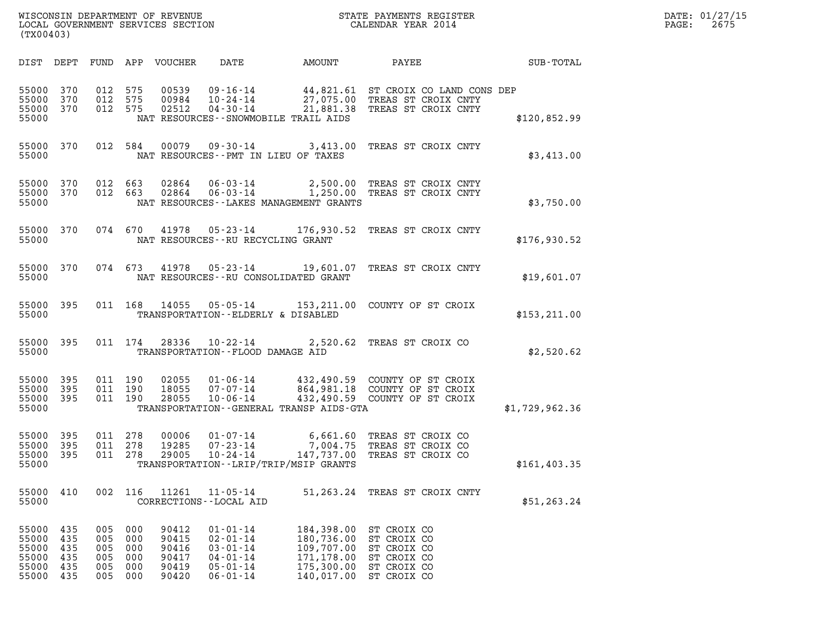| WISCONSIN DEPARTMENT OF REVENUE   | STATE PAYMENTS REGISTER | DATE: 01/27/15 |
|-----------------------------------|-------------------------|----------------|
| LOCAL GOVERNMENT SERVICES SECTION | CALENDAR YEAR 2014      | 2675<br>PAGE:  |

| (TX00403)                                          |                                          |                                        |                                        |                                                    |                                                                                                          |                                                                                  | WISCONSIN DEPARTMENT OF REVENUE<br>LOCAL GOVERNMENT SERVICES SECTION THE STATE PAYMENTS REGISTER<br>CALENDAR YEAR 2014                                | $\mathbb{R}^n$ | DATE: 01/27/15<br>PAGE: 2675 |
|----------------------------------------------------|------------------------------------------|----------------------------------------|----------------------------------------|----------------------------------------------------|----------------------------------------------------------------------------------------------------------|----------------------------------------------------------------------------------|-------------------------------------------------------------------------------------------------------------------------------------------------------|----------------|------------------------------|
|                                                    |                                          |                                        |                                        |                                                    |                                                                                                          |                                                                                  | DIST DEPT FUND APP VOUCHER DATE AMOUNT PAYEE SUB-TOTAL                                                                                                |                |                              |
| 55000 370<br>55000 370<br>55000                    | 55000 370                                | 012 575<br>012 575<br>012 575          |                                        |                                                    |                                                                                                          | NAT RESOURCES--SNOWMOBILE TRAIL AIDS                                             | 00539 09-16-14 44,821.61 ST CROIX CO LAND CONS DEP<br>00984 10-24-14 27,075.00 TREAS ST CROIX CNTY<br>02512 04-30-14 21,881.38 TREAS ST CROIX CNTY    | \$120,852.99   |                              |
| 55000                                              |                                          |                                        |                                        |                                                    |                                                                                                          | NAT RESOURCES -- PMT IN LIEU OF TAXES                                            | 55000 370 012 584 00079 09-30-14 3,413.00 TREAS ST CROIX CNTY                                                                                         | \$3,413.00     |                              |
| 55000                                              |                                          |                                        |                                        |                                                    |                                                                                                          | NAT RESOURCES - - LAKES MANAGEMENT GRANTS                                        | 55000 370 012 663 02864 06-03-14 2,500.00 TREAS ST CROIX CNTY<br>55000 370 012 663 02864 06-03-14 1,250.00 TREAS ST CROIX CNTY                        | \$3,750.00     |                              |
| 55000                                              |                                          |                                        |                                        |                                                    | NAT RESOURCES--RU RECYCLING GRANT                                                                        |                                                                                  | 55000 370 074 670 41978 05-23-14 176,930.52 TREAS ST CROIX CNTY                                                                                       | \$176,930.52   |                              |
| 55000                                              |                                          |                                        |                                        |                                                    |                                                                                                          | NAT RESOURCES--RU CONSOLIDATED GRANT                                             | 55000 370 074 673 41978 05-23-14 19,601.07 TREAS ST CROIX CNTY                                                                                        | \$19,601.07    |                              |
| 55000                                              |                                          |                                        |                                        |                                                    | TRANSPORTATION--ELDERLY & DISABLED                                                                       |                                                                                  | 55000 395 011 168 14055 05-05-14 153,211.00 COUNTY OF ST CROIX                                                                                        | \$153, 211.00  |                              |
| 55000                                              |                                          |                                        |                                        |                                                    | 55000 395 011 174 28336 10-22-14<br>TRANSPORTATION -- FLOOD DAMAGE AID                                   |                                                                                  | 2,520.62 TREAS ST CROIX CO                                                                                                                            | \$2,520.62     |                              |
| 55000 395<br>55000 395<br>55000                    | 55000 395                                | 011 190<br>011 190<br>011 190          |                                        |                                                    |                                                                                                          | TRANSPORTATION--GENERAL TRANSP AIDS-GTA                                          | 02055  01-06-14  432,490.59  COUNTY OF ST CROIX<br>18055  07-07-14  864,981.18  COUNTY OF ST CROIX<br>28055  10-06-14  432,490.59  COUNTY OF ST CROIX | \$1,729,962.36 |                              |
| 55000 395<br>55000<br>55000 395<br>55000           | 395                                      | 011 278<br>011 278<br>011 278          |                                        |                                                    |                                                                                                          | TRANSPORTATION - - LRIP/TRIP/MSIP GRANTS                                         | 00006  01-07-14  6,661.60 TREAS ST CROIX CO<br>19285  07-23-14  7,004.75 TREAS ST CROIX CO<br>29005  10-24-14  147,737.00 TREAS ST CROIX CO           | \$161,403.35   |                              |
| 55000<br>55000                                     | 410                                      | 002                                    | 116                                    | 11261                                              | $11 - 05 - 14$<br>CORRECTIONS - - LOCAL AID                                                              |                                                                                  | 51,263.24 TREAS ST CROIX CNTY                                                                                                                         | \$51, 263.24   |                              |
| 55000<br>55000<br>55000<br>55000<br>55000<br>55000 | 435<br>435<br>435<br>435<br>435<br>- 435 | 005<br>005<br>005<br>005<br>005<br>005 | 000<br>000<br>000<br>000<br>000<br>000 | 90412<br>90415<br>90416<br>90417<br>90419<br>90420 | $01 - 01 - 14$<br>$02 - 01 - 14$<br>$03 - 01 - 14$<br>$04 - 01 - 14$<br>$05 - 01 - 14$<br>$06 - 01 - 14$ | 184,398.00<br>180,736.00<br>109,707.00<br>171,178.00<br>175,300.00<br>140,017.00 | ST CROIX CO<br>ST CROIX CO<br>ST CROIX CO<br>ST CROIX CO<br>ST CROIX CO<br>ST CROIX CO                                                                |                |                              |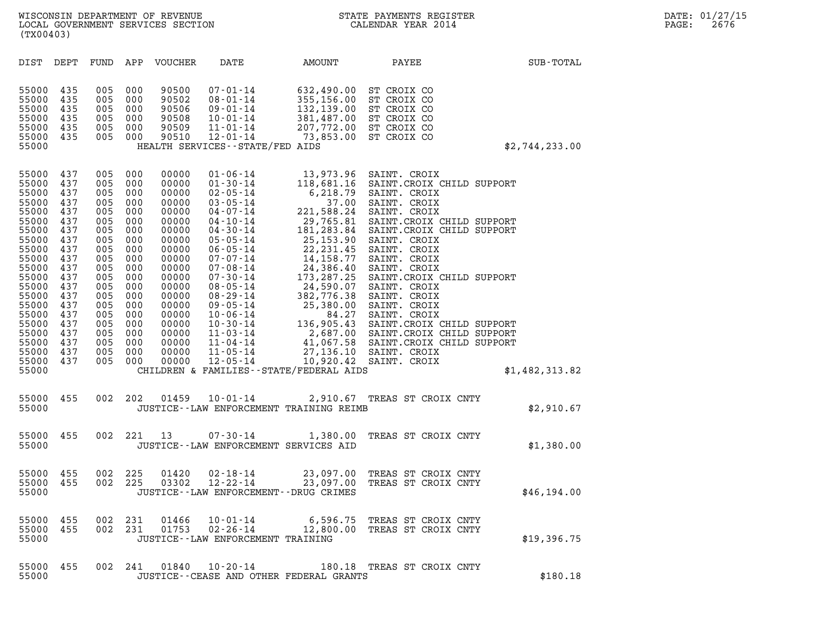| (TX00403)                                                                                                                                                                                          |                                                                                                                                                 |                                                                                                                                                 |                                                                                                                                                 |                                                                                                                                                                                           |                                                                                                                                                                                                                                                                                                                                                                                  |                                            |                                                                                                                                                                                                                                                                                                                                                                                                |                |
|----------------------------------------------------------------------------------------------------------------------------------------------------------------------------------------------------|-------------------------------------------------------------------------------------------------------------------------------------------------|-------------------------------------------------------------------------------------------------------------------------------------------------|-------------------------------------------------------------------------------------------------------------------------------------------------|-------------------------------------------------------------------------------------------------------------------------------------------------------------------------------------------|----------------------------------------------------------------------------------------------------------------------------------------------------------------------------------------------------------------------------------------------------------------------------------------------------------------------------------------------------------------------------------|--------------------------------------------|------------------------------------------------------------------------------------------------------------------------------------------------------------------------------------------------------------------------------------------------------------------------------------------------------------------------------------------------------------------------------------------------|----------------|
| DIST                                                                                                                                                                                               | DEPT                                                                                                                                            | FUND                                                                                                                                            | APP                                                                                                                                             | VOUCHER                                                                                                                                                                                   | DATE                                                                                                                                                                                                                                                                                                                                                                             | AMOUNT                                     | PAYEE                                                                                                                                                                                                                                                                                                                                                                                          | SUB-TOTAL      |
| 55000<br>55000<br>55000<br>55000<br>55000<br>55000<br>55000                                                                                                                                        | 435<br>435<br>435<br>435<br>435<br>435                                                                                                          | 005<br>005<br>005<br>005<br>005<br>005                                                                                                          | 000<br>000<br>000<br>000<br>000<br>000                                                                                                          | 90500<br>90502<br>90506<br>90508<br>90509<br>90510                                                                                                                                        | $07 - 01 - 14$<br>$08 - 01 - 14$<br>$09 - 01 - 14$<br>$10 - 01 - 14$<br>$11 - 01 - 14$<br>$12 - 01 - 14$<br>HEALTH SERVICES - - STATE/FED AIDS                                                                                                                                                                                                                                   |                                            | 632,490.00 ST CROIX CO<br>355, 156.00 ST CROIX CO<br>132, 139.00 ST CROIX CO<br>381, 487.00 ST CROIX CO<br>207, 772.00 ST CROIX CO<br>73, 853.00 ST CROIX CO                                                                                                                                                                                                                                   | \$2,744,233.00 |
| 55000<br>55000<br>55000<br>55000<br>55000<br>55000<br>55000<br>55000<br>55000<br>55000<br>55000<br>55000<br>55000<br>55000<br>55000<br>55000<br>55000<br>55000<br>55000<br>55000<br>55000<br>55000 | 437<br>437<br>437<br>437<br>437<br>437<br>437<br>437<br>437<br>437<br>437<br>437<br>437<br>437<br>437<br>437<br>437<br>437<br>437<br>437<br>437 | 005<br>005<br>005<br>005<br>005<br>005<br>005<br>005<br>005<br>005<br>005<br>005<br>005<br>005<br>005<br>005<br>005<br>005<br>005<br>005<br>005 | 000<br>000<br>000<br>000<br>000<br>000<br>000<br>000<br>000<br>000<br>000<br>000<br>000<br>000<br>000<br>000<br>000<br>000<br>000<br>000<br>000 | 00000<br>00000<br>00000<br>00000<br>00000<br>00000<br>00000<br>00000<br>00000<br>00000<br>00000<br>00000<br>00000<br>00000<br>00000<br>00000<br>00000<br>00000<br>00000<br>00000<br>00000 | $01 - 06 - 14$<br>$01 - 30 - 14$<br>$02 - 05 - 14$<br>$03 - 05 - 14$<br>$04 - 07 - 14$<br>$04 - 10 - 14$<br>$04 - 30 - 14$<br>$05 - 05 - 14$<br>$06 - 05 - 14$<br>$07 - 07 - 14$<br>$07 - 08 - 14$<br>$07 - 30 - 14$<br>$08 - 05 - 14$<br>$08 - 29 - 14$<br>$09 - 05 - 14$<br>$10 - 06 - 14$<br>$10 - 30 - 14$<br>$11 - 03 - 14$<br>11-04-14<br>$11 - 05 - 14$<br>$12 - 05 - 14$ | CHILDREN & FAMILIES - - STATE/FEDERAL AIDS | 13,973.96 SAINT. CROIX<br>118,681.16 SAINT.CROIX CHILD SUPPORT 6,218.79 SAINT. CROIX<br>37.00 SAINT. CROIX<br>37.00 SAINT. CROIX<br>221,588.24 SAINT. CROIX<br>29,765.81 SAINT. CROIX CHILD SUPPORT<br>181,283.84 SAINT. CROIX CHILD SUPPORT<br>25,153.90 SAINT. CROIX<br>22,231.45 SAINT. CROIX<br>14,158.77 SAINT. CROIX<br>24,386.40 SAINT. CROIX<br>173,287.25 S<br>10,920.42 SAINT. CROIX | \$1,482,313.82 |
| 55000<br>55000                                                                                                                                                                                     | 455                                                                                                                                             | 002                                                                                                                                             | 202                                                                                                                                             | 01459                                                                                                                                                                                     | $10 - 01 - 14$                                                                                                                                                                                                                                                                                                                                                                   | JUSTICE -- LAW ENFORCEMENT TRAINING REIMB  | 2,910.67 TREAS ST CROIX CNTY                                                                                                                                                                                                                                                                                                                                                                   | \$2,910.67     |
| 55000<br>55000                                                                                                                                                                                     | 455                                                                                                                                             | 002                                                                                                                                             | 221                                                                                                                                             | 13                                                                                                                                                                                        | $07 - 30 - 14$<br>JUSTICE -- LAW ENFORCEMENT SERVICES AID                                                                                                                                                                                                                                                                                                                        | 1,380.00                                   | TREAS ST CROIX CNTY                                                                                                                                                                                                                                                                                                                                                                            | \$1,380.00     |
| 55000<br>55000<br>55000                                                                                                                                                                            | 455<br>455                                                                                                                                      | 002<br>002                                                                                                                                      | 225<br>225                                                                                                                                      | 01420<br>03302                                                                                                                                                                            | $02 - 18 - 14$<br>$12 - 22 - 14$<br>JUSTICE - - LAW ENFORCEMENT - - DRUG CRIMES                                                                                                                                                                                                                                                                                                  | 23,097.00<br>23,097.00                     | TREAS ST CROIX CNTY<br>TREAS ST CROIX CNTY                                                                                                                                                                                                                                                                                                                                                     | \$46, 194.00   |
| 55000<br>55000<br>55000                                                                                                                                                                            | 455<br>455                                                                                                                                      | 002<br>002                                                                                                                                      | 231<br>231                                                                                                                                      | 01466                                                                                                                                                                                     | $01753$ $02 - 26 - 14$<br>JUSTICE - - LAW ENFORCEMENT TRAINING                                                                                                                                                                                                                                                                                                                   |                                            | 10-01-14 6,596.75 TREAS ST CROIX CNTY<br>12,800.00 TREAS ST CROIX CNTY                                                                                                                                                                                                                                                                                                                         | \$19,396.75    |
| 55000<br>55000                                                                                                                                                                                     | 455                                                                                                                                             | 002                                                                                                                                             | 241                                                                                                                                             | 01840                                                                                                                                                                                     | $10 - 20 - 14$                                                                                                                                                                                                                                                                                                                                                                   | JUSTICE--CEASE AND OTHER FEDERAL GRANTS    | 180.18 TREAS ST CROIX CNTY                                                                                                                                                                                                                                                                                                                                                                     | \$180.18       |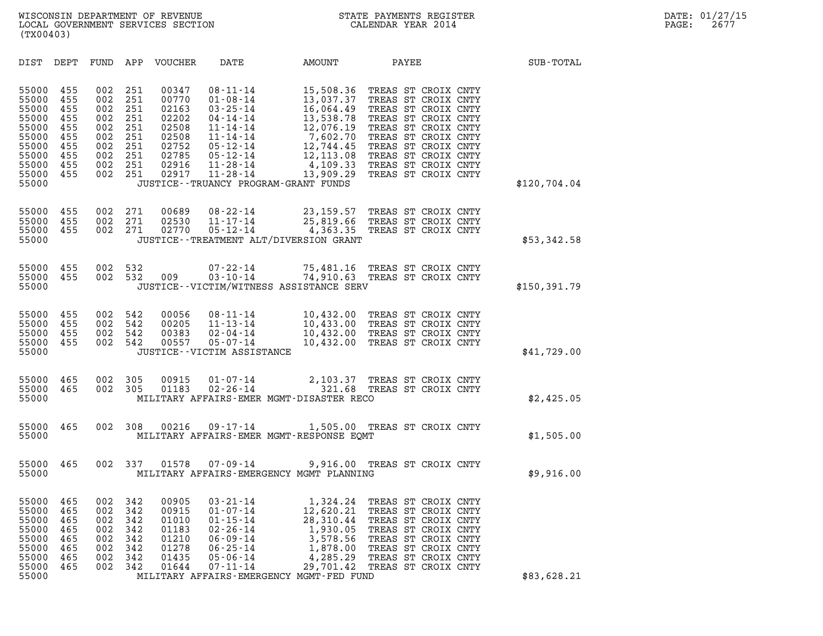| (TX00403)                                                                                       |                                                                    |                                                                    |                                                                    |                                                                                        |                                                                                                                                                                                                                               |                                                                                                                                             |                                                                                                                                                                                                                                    |              |
|-------------------------------------------------------------------------------------------------|--------------------------------------------------------------------|--------------------------------------------------------------------|--------------------------------------------------------------------|----------------------------------------------------------------------------------------|-------------------------------------------------------------------------------------------------------------------------------------------------------------------------------------------------------------------------------|---------------------------------------------------------------------------------------------------------------------------------------------|------------------------------------------------------------------------------------------------------------------------------------------------------------------------------------------------------------------------------------|--------------|
| DIST                                                                                            | DEPT                                                               | FUND                                                               | APP                                                                | <b>VOUCHER</b>                                                                         | DATE                                                                                                                                                                                                                          | AMOUNT                                                                                                                                      | PAYEE                                                                                                                                                                                                                              | SUB-TOTAL    |
| 55000<br>55000<br>55000<br>55000<br>55000<br>55000<br>55000<br>55000<br>55000<br>55000<br>55000 | 455<br>455<br>455<br>455<br>455<br>455<br>455<br>455<br>455<br>455 | 002<br>002<br>002<br>002<br>002<br>002<br>002<br>002<br>002<br>002 | 251<br>251<br>251<br>251<br>251<br>251<br>251<br>251<br>251<br>251 | 00347<br>00770<br>02163<br>02202<br>02508<br>02508<br>02752<br>02785<br>02916<br>02917 | $08 - 11 - 14$<br>$01 - 08 - 14$<br>$03 - 25 - 14$<br>$04 - 14 - 14$<br>$11 - 14 - 14$<br>$11 - 14 - 14$<br>$05 - 12 - 14$<br>$05 - 12 - 14$<br>$11 - 28 - 14$<br>$11 - 28 - 14$<br>JUSTICE - - TRUANCY PROGRAM - GRANT FUNDS | 15,508.36<br>13,037.37<br>16,064.49<br>13,538.78<br>12,076.19<br>7,602.70<br>12,744.45<br>12,113.08<br>4,109.33<br>13,909.29                | TREAS ST CROIX CNTY<br>TREAS ST CROIX CNTY<br>TREAS ST CROIX CNTY<br>TREAS ST CROIX CNTY<br>TREAS ST CROIX CNTY<br>TREAS ST CROIX CNTY<br>TREAS ST CROIX CNTY<br>TREAS ST CROIX CNTY<br>TREAS ST CROIX CNTY<br>TREAS ST CROIX CNTY | \$120,704.04 |
| 55000<br>55000<br>55000<br>55000                                                                | 455<br>455<br>455                                                  | 002<br>002<br>002                                                  | 271<br>271<br>271                                                  | 00689<br>02530<br>02770                                                                | $08 - 22 - 14$<br>$11 - 17 - 14$<br>$05 - 12 - 14$                                                                                                                                                                            | 23,159.57<br>25,819.66<br>4,363.35<br>JUSTICE - - TREATMENT ALT/DIVERSION GRANT                                                             | TREAS ST CROIX CNTY<br>TREAS ST CROIX CNTY<br>TREAS ST CROIX CNTY                                                                                                                                                                  | \$53,342.58  |
| 55000<br>55000<br>55000                                                                         | 455<br>455                                                         | 002<br>002                                                         | 532<br>532                                                         | 009                                                                                    | $07 - 22 - 14$<br>$03 - 10 - 14$                                                                                                                                                                                              | 74,910.63<br>JUSTICE - - VICTIM/WITNESS ASSISTANCE SERV                                                                                     | 75,481.16 TREAS ST CROIX CNTY<br>TREAS ST CROIX CNTY                                                                                                                                                                               | \$150,391.79 |
| 55000<br>55000<br>55000<br>55000<br>55000                                                       | 455<br>455<br>455<br>455                                           | 002<br>002<br>002<br>002                                           | 542<br>542<br>542<br>542                                           | 00056<br>00205<br>00383<br>00557                                                       | $08 - 11 - 14$<br>$11 - 13 - 14$<br>$02 - 04 - 14$<br>$05 - 07 - 14$<br>JUSTICE - - VICTIM ASSISTANCE                                                                                                                         | 10,432.00<br>10,433.00<br>10,432.00<br>10,432.00                                                                                            | TREAS ST CROIX CNTY<br>TREAS ST CROIX CNTY<br>TREAS ST CROIX CNTY<br>TREAS ST CROIX CNTY                                                                                                                                           | \$41,729.00  |
| 55000<br>55000<br>55000                                                                         | 465<br>465                                                         | 002<br>002                                                         | 305<br>305                                                         | 00915<br>01183                                                                         | $01 - 07 - 14$<br>$02 - 26 - 14$                                                                                                                                                                                              | 2,103.37<br>321.68<br>MILITARY AFFAIRS-EMER MGMT-DISASTER RECO                                                                              | TREAS ST CROIX CNTY<br>TREAS ST CROIX CNTY                                                                                                                                                                                         | \$2,425.05   |
| 55000<br>55000                                                                                  | 465                                                                | 002                                                                | 308                                                                | 00216                                                                                  | $09 - 17 - 14$                                                                                                                                                                                                                | MILITARY AFFAIRS-EMER MGMT-RESPONSE EQMT                                                                                                    | 1,505.00 TREAS ST CROIX CNTY                                                                                                                                                                                                       | \$1,505.00   |
| 55000<br>55000                                                                                  | 465                                                                | 002                                                                | 337                                                                | 01578                                                                                  | $07 - 09 - 14$                                                                                                                                                                                                                | MILITARY AFFAIRS-EMERGENCY MGMT PLANNING                                                                                                    | 9,916.00 TREAS ST CROIX CNTY                                                                                                                                                                                                       | \$9,916.00   |
| 55000<br>55000<br>55000<br>55000<br>55000<br>55000<br>55000<br>55000<br>55000                   | 465<br>465<br>465<br>465<br>465<br>465<br>465<br>465               | 002<br>002<br>002<br>002<br>002<br>002<br>002<br>002               | 342<br>342<br>342<br>342<br>342<br>342<br>342<br>342               | 00905<br>00915<br>01010<br>01183<br>01210<br>01278<br>01435<br>01644                   | $03 - 21 - 14$<br>$01 - 07 - 14$<br>$01 - 15 - 14$<br>$02 - 26 - 14$<br>$06 - 09 - 14$<br>$06 - 25 - 14$<br>$05 - 06 - 14$<br>$07 - 11 - 14$                                                                                  | 1,324.24<br>12,620.21<br>28,310.44<br>1,930.05<br>3,578.56<br>1,878.00<br>4,285.29<br>29,701.42<br>MILITARY AFFAIRS-EMERGENCY MGMT-FED FUND | TREAS ST CROIX CNTY<br>TREAS ST CROIX CNTY<br>TREAS ST CROIX CNTY<br>TREAS ST CROIX CNTY<br>TREAS ST CROIX CNTY<br>TREAS ST CROIX CNTY<br>TREAS ST CROIX CNTY<br>TREAS ST CROIX CNTY                                               | \$83,628.21  |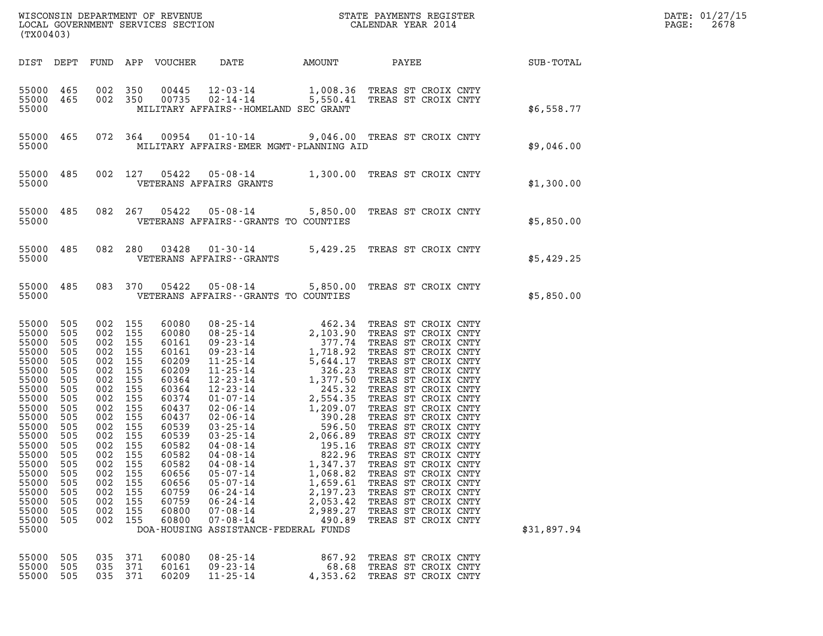| (TX00403)                                                                                                                                                                                                           |                                                                                                                                          |                                                                                                                                                                                                                |                                                      |                                                                                                                                                                                                    |                                                                                                                                                                                      |                                                                                          |                                                                                                                                                                                                                                                                                                                                                                                                                                                |             | DATE: 01/27/15<br>2678 |
|---------------------------------------------------------------------------------------------------------------------------------------------------------------------------------------------------------------------|------------------------------------------------------------------------------------------------------------------------------------------|----------------------------------------------------------------------------------------------------------------------------------------------------------------------------------------------------------------|------------------------------------------------------|----------------------------------------------------------------------------------------------------------------------------------------------------------------------------------------------------|--------------------------------------------------------------------------------------------------------------------------------------------------------------------------------------|------------------------------------------------------------------------------------------|------------------------------------------------------------------------------------------------------------------------------------------------------------------------------------------------------------------------------------------------------------------------------------------------------------------------------------------------------------------------------------------------------------------------------------------------|-------------|------------------------|
|                                                                                                                                                                                                                     |                                                                                                                                          |                                                                                                                                                                                                                |                                                      |                                                                                                                                                                                                    |                                                                                                                                                                                      |                                                                                          | DIST DEPT FUND APP VOUCHER DATE AMOUNT PAYEE SUB-TOTAL                                                                                                                                                                                                                                                                                                                                                                                         |             |                        |
| 55000                                                                                                                                                                                                               |                                                                                                                                          |                                                                                                                                                                                                                |                                                      |                                                                                                                                                                                                    | MILITARY AFFAIRS--HOMELAND SEC GRANT                                                                                                                                                 |                                                                                          | 55000 465 002 350 00445 12-03-14 1,008.36 TREAS ST CROIX CNTY<br>55000 465 002 350 00735 02-14-14 5,550.41 TREAS ST CROIX CNTY                                                                                                                                                                                                                                                                                                                 | \$6,558.77  |                        |
|                                                                                                                                                                                                                     |                                                                                                                                          |                                                                                                                                                                                                                |                                                      |                                                                                                                                                                                                    | MILITARY AFFAIRS-EMER MGMT-PLANNING AID                                                                                                                                              |                                                                                          | 55000 465 072 364 00954 01-10-14 9,046.00 TREAS ST CROIX CNTY<br>\$9,046.00 \$9,046.00 \$9.046.00 \$9.046.00                                                                                                                                                                                                                                                                                                                                   |             |                        |
|                                                                                                                                                                                                                     |                                                                                                                                          |                                                                                                                                                                                                                |                                                      |                                                                                                                                                                                                    | 55000 VETERANS AFFAIRS GRANTS                                                                                                                                                        |                                                                                          | 55000 485 002 127 05422 05-08-14 1,300.00 TREAS ST CROIX CNTY                                                                                                                                                                                                                                                                                                                                                                                  | \$1,300.00  |                        |
|                                                                                                                                                                                                                     |                                                                                                                                          |                                                                                                                                                                                                                |                                                      |                                                                                                                                                                                                    | 55000 VETERANS AFFAIRS - GRANTS TO COUNTIES                                                                                                                                          |                                                                                          | 55000 485 082 267 05422 05-08-14 5,850.00 TREAS ST CROIX CNTY                                                                                                                                                                                                                                                                                                                                                                                  | \$5,850.00  |                        |
|                                                                                                                                                                                                                     |                                                                                                                                          |                                                                                                                                                                                                                |                                                      |                                                                                                                                                                                                    | 55000 VETERANS AFFAIRS - - GRANTS                                                                                                                                                    |                                                                                          | 55000 485 082 280 03428 01-30-14 5,429.25 TREAS ST CROIX CNTY                                                                                                                                                                                                                                                                                                                                                                                  | \$5,429.25  |                        |
|                                                                                                                                                                                                                     |                                                                                                                                          |                                                                                                                                                                                                                |                                                      |                                                                                                                                                                                                    | 55000 VETERANS AFFAIRS--GRANTS TO COUNTIES                                                                                                                                           |                                                                                          | 55000 485 083 370 05422 05-08-14 5,850.00 TREAS ST CROIX CNTY                                                                                                                                                                                                                                                                                                                                                                                  | \$5,850.00  |                        |
| 55000 505<br>55000<br>55000<br>55000<br>55000<br>55000<br>55000<br>55000<br>55000<br>55000<br>55000<br>55000<br>55000<br>55000 505<br>55000<br>55000<br>55000<br>55000<br>55000<br>55000<br>55000<br>55000<br>55000 | 505<br>505<br>505<br>505<br>505<br>505<br>505<br>505<br>505<br>505<br>505<br>505<br>505<br>505<br>505<br>505<br>505<br>505<br>505<br>505 | 002 155<br>002 155<br>002 155<br>002 155<br>002 155<br>002 155<br>002 155<br>002 155<br>002 155<br>002 155<br>002 155<br>002 155<br>002 155<br>002 155<br>002<br>002<br>002<br>002<br>002<br>002<br>002<br>002 | 155<br>155<br>155<br>155<br>155<br>155<br>155<br>155 | 60080<br>60080<br>60161<br>60161<br>60209<br>60209<br>60364<br>60364<br>60374<br>60437<br>60437<br>60539<br>60539<br>60582<br>60582<br>60582<br>60656<br>60656<br>60759<br>60759<br>60800<br>60800 | $04 - 08 - 14$<br>$04 - 08 - 14$<br>$05 - 07 - 14$<br>$05 - 07 - 14$<br>$06 - 24 - 14$<br>$06 - 24 - 14$<br>$07 - 08 - 14$<br>$07 - 08 - 14$<br>DOA-HOUSING ASSISTANCE-FEDERAL FUNDS | 822.96<br>1,347.37<br>1,068.82<br>1,659.61<br>2,197.23<br>2,053.42<br>2,989.27<br>490.89 | 08-25-14<br>08-25-14<br>08-25-14<br>2,103.90 TREAS ST CROIX CNTY<br>09-23-14<br>1,718.92 TREAS ST CROIX CNTY<br>11-25-14<br>5,644.17 TREAS ST CROIX CNTY<br>11-25-14<br>5,644.17 TREAS ST CROIX CNTY<br>11-25-14<br>1,377.50 TREAS ST CROIX CNTY<br>12<br>TREAS ST CROIX CNTY<br>TREAS ST CROIX CNTY<br>TREAS ST CROIX CNTY<br>TREAS ST CROIX CNTY<br>TREAS ST CROIX CNTY<br>TREAS ST CROIX CNTY<br>TREAS ST CROIX CNTY<br>TREAS ST CROIX CNTY | \$31,897.94 |                        |
| 55000<br>55000<br>55000                                                                                                                                                                                             | 505<br>505<br>505                                                                                                                        | 035<br>035<br>035 371                                                                                                                                                                                          | 371<br>371                                           | 60080<br>60161<br>60209                                                                                                                                                                            | $08 - 25 - 14$<br>$09 - 23 - 14$<br>$11 - 25 - 14$                                                                                                                                   | 867.92<br>68.68<br>4,353.62                                                              | TREAS ST CROIX CNTY<br>TREAS ST CROIX CNTY<br>TREAS ST CROIX CNTY                                                                                                                                                                                                                                                                                                                                                                              |             |                        |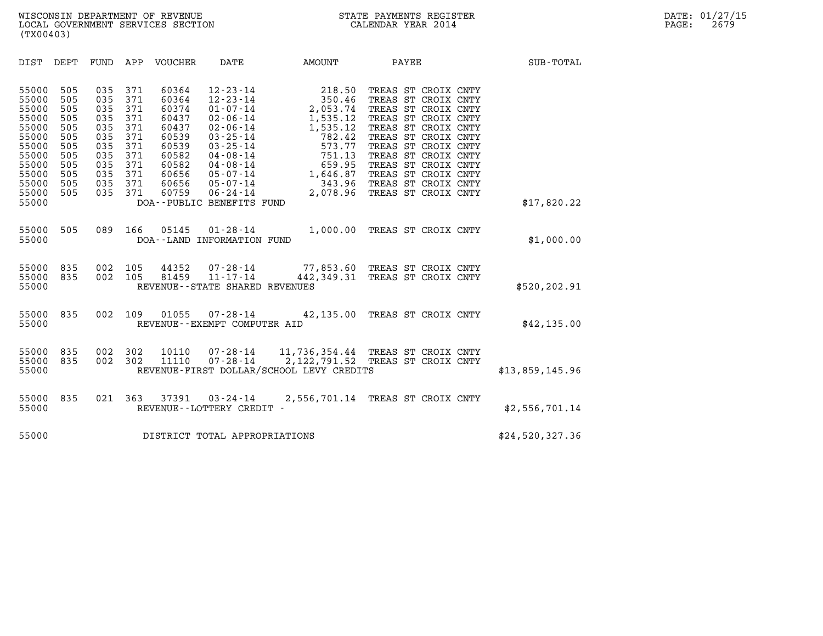| (TX00403)                                                                                                |                                                                                  |                                                                                  |                                                                                  |                  |                                                  |                                          |                                                                                                                                                                                                                                                                 |                 |  |
|----------------------------------------------------------------------------------------------------------|----------------------------------------------------------------------------------|----------------------------------------------------------------------------------|----------------------------------------------------------------------------------|------------------|--------------------------------------------------|------------------------------------------|-----------------------------------------------------------------------------------------------------------------------------------------------------------------------------------------------------------------------------------------------------------------|-----------------|--|
| DIST                                                                                                     | DEPT                                                                             |                                                                                  |                                                                                  | FUND APP VOUCHER | DATE                                             | <b>EXAMPLE THE PROPERTY OF AMOUNT</b>    | <b>PAYEE</b>                                                                                                                                                                                                                                                    | SUB-TOTAL       |  |
| 55000<br>55000<br>55000<br>55000<br>55000<br>55000<br>55000<br>55000<br>55000<br>55000<br>55000<br>55000 | 505<br>505<br>505<br>505<br>505<br>505<br>505<br>505<br>505<br>505<br>505<br>505 | 035<br>035<br>035<br>035<br>035<br>035<br>035<br>035<br>035<br>035<br>035<br>035 | 371<br>371<br>371<br>371<br>371<br>371<br>371<br>371<br>371<br>371<br>371<br>371 | 60364            | $12 - 23 - 14$                                   | 218.50                                   | TREAS ST CROIX CNTY<br>60364 12-23-14 218.50 TREAS ST CROIX CNTY<br>60364 12-23-14 350.46 TREAS ST CROIX CNTY<br>60437 02-06-14 1,535.12 TREAS ST CROIX CNTY<br>60437 02-06-14 1,535.12 TREAS ST CROIX CNTY<br>60539 03-25-14 782.42 TREAS ST CROIX CNTY<br>605 |                 |  |
| 55000                                                                                                    |                                                                                  |                                                                                  |                                                                                  |                  | DOA--PUBLIC BENEFITS FUND                        |                                          |                                                                                                                                                                                                                                                                 | \$17,820.22     |  |
| 55000<br>55000                                                                                           | 505                                                                              | 089                                                                              |                                                                                  | 166 05145        | DOA--LAND INFORMATION FUND                       |                                          | 01-28-14 1,000.00 TREAS ST CROIX CNTY                                                                                                                                                                                                                           | \$1,000.00      |  |
| 55000<br>55000<br>55000                                                                                  | 835<br>835                                                                       | 002<br>002                                                                       | 105<br>105                                                                       |                  | 81459 11-17-14<br>REVENUE--STATE SHARED REVENUES |                                          | 44352 07-28-14 77,853.60 TREAS ST CROIX CNTY<br>442,349.31 TREAS ST CROIX CNTY                                                                                                                                                                                  | \$520,202.91    |  |
| 55000<br>55000                                                                                           | 835                                                                              | 002                                                                              | 109                                                                              |                  | REVENUE--EXEMPT COMPUTER AID                     |                                          | 01055 07-28-14 42,135.00 TREAS ST CROIX CNTY                                                                                                                                                                                                                    | \$42, 135.00    |  |
| 55000<br>55000<br>55000                                                                                  | 835<br>835                                                                       | 002<br>002                                                                       | 302<br>302                                                                       | 10110<br>11110   |                                                  | REVENUE-FIRST DOLLAR/SCHOOL LEVY CREDITS |                                                                                                                                                                                                                                                                 | \$13,859,145.96 |  |
| 55000<br>55000                                                                                           | 835                                                                              | 021 363                                                                          |                                                                                  |                  | REVENUE - - LOTTERY CREDIT -                     |                                          | 37391  03-24-14  2,556,701.14  TREAS ST CROIX CNTY                                                                                                                                                                                                              | \$2,556,701.14  |  |
| 55000                                                                                                    |                                                                                  |                                                                                  |                                                                                  |                  | DISTRICT TOTAL APPROPRIATIONS                    |                                          |                                                                                                                                                                                                                                                                 | \$24,520,327.36 |  |
|                                                                                                          |                                                                                  |                                                                                  |                                                                                  |                  |                                                  |                                          |                                                                                                                                                                                                                                                                 |                 |  |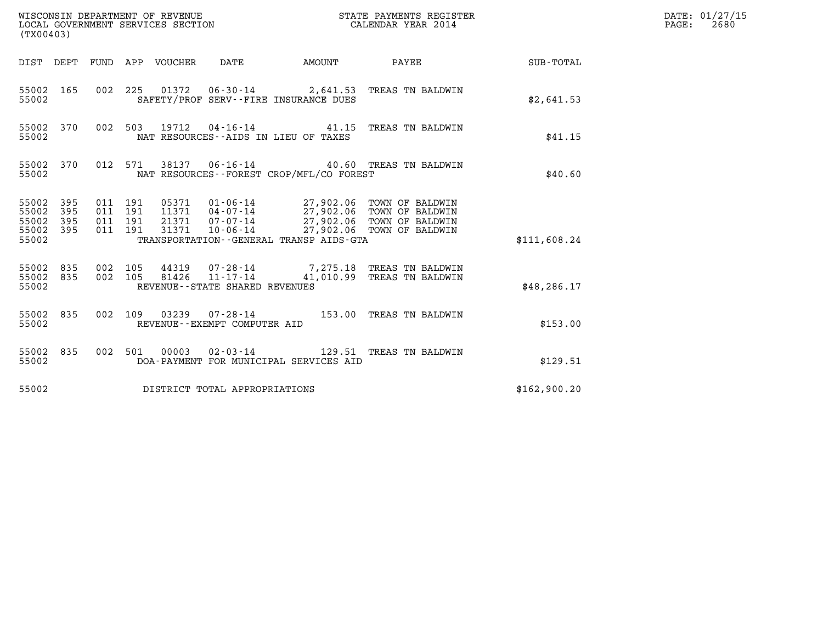| (TX00403)                                                       | WISCONSIN DEPARTMENT OF REVENUE<br>LOCAL GOVERNMENT SERVICES SECTION                         | STATE PAYMENTS REGISTER<br>CALENDAR YEAR 2014                                                                                                                                  |              | DATE: 01/27/15<br>$\mathtt{PAGE:}$<br>2680 |
|-----------------------------------------------------------------|----------------------------------------------------------------------------------------------|--------------------------------------------------------------------------------------------------------------------------------------------------------------------------------|--------------|--------------------------------------------|
|                                                                 | DIST DEPT FUND APP VOUCHER DATE                                                              | <b>AMOUNT</b><br>PAYEE                                                                                                                                                         | SUB-TOTAL    |                                            |
| 55002 165<br>55002                                              | 002 225 01372 06-30-14 2,641.53 TREAS TN BALDWIN<br>SAFETY/PROF SERV--FIRE INSURANCE DUES    |                                                                                                                                                                                | \$2,641.53   |                                            |
| 55002 370<br>55002                                              | 002 503 19712 04-16-14 41.15 TREAS TN BALDWIN<br>NAT RESOURCES--AIDS IN LIEU OF TAXES        |                                                                                                                                                                                | \$41.15      |                                            |
| 55002 370<br>55002                                              | 012 571<br>NAT RESOURCES--FOREST CROP/MFL/CO FOREST                                          | 38137  06-16-14  40.60  TREAS TN BALDWIN                                                                                                                                       | \$40.60      |                                            |
| 55002 395<br>55002<br>395<br>55002<br>395<br>55002 395<br>55002 | 011 191<br>011 191<br>011 191<br>011 191<br>31371<br>TRANSPORTATION--GENERAL TRANSP AIDS-GTA | 05371  01-06-14  27,902.06  TOWN OF BALDWIN<br>11371  04-07-14  27,902.06  TOWN OF BALDWIN<br>21371  07-07-14  27,902.06 TOWN OF BALDWIN<br>10-06-14 27,902.06 TOWN OF BALDWIN | \$111,608.24 |                                            |
| 55002 835<br>55002 835<br>55002                                 | 002 105<br>002 105<br>REVENUE--STATE SHARED REVENUES                                         | 44319  07-28-14  7,275.18 TREAS TN BALDWIN<br>81426  11-17-14  41,010.99 TREAS TN BALDWIN                                                                                      | \$48, 286.17 |                                            |
| 55002 835<br>55002                                              | 002 109<br>REVENUE--EXEMPT COMPUTER AID                                                      | 03239  07-28-14  153.00  TREAS TN BALDWIN                                                                                                                                      | \$153.00     |                                            |
| 55002 835<br>55002                                              | 002 501 00003 02-03-14 129.51 TREAS TN BALDWIN<br>DOA-PAYMENT FOR MUNICIPAL SERVICES AID     |                                                                                                                                                                                | \$129.51     |                                            |
| 55002                                                           | DISTRICT TOTAL APPROPRIATIONS                                                                |                                                                                                                                                                                | \$162,900.20 |                                            |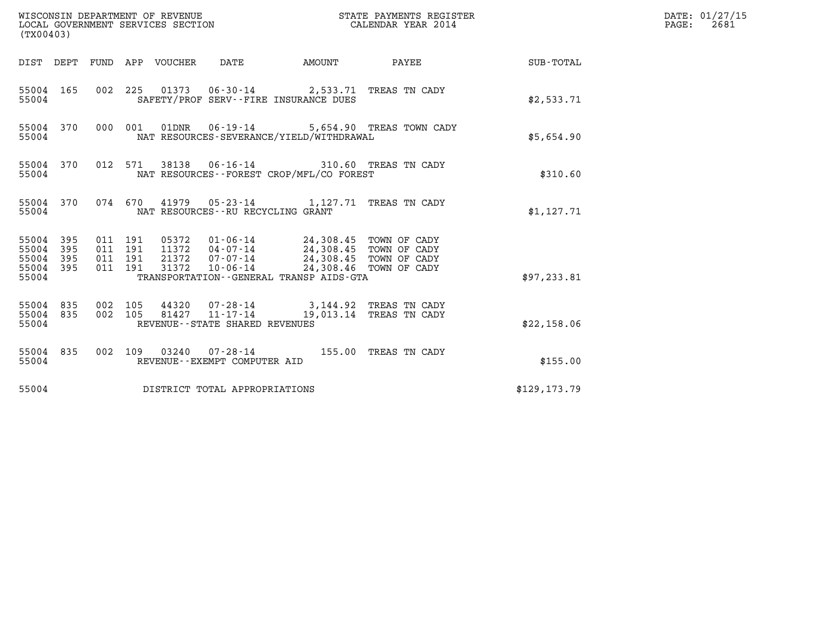| (TX00403)                                                       |                                          | WISCONSIN DEPARTMENT OF REVENUE<br>LOCAL GOVERNMENT SERVICES SECTION                                                                                                                  |                           | STATE PAYMENTS REGISTER<br>CALENDAR YEAR 2014     |               | DATE: 01/27/15<br>$\mathtt{PAGE}$ :<br>2681 |
|-----------------------------------------------------------------|------------------------------------------|---------------------------------------------------------------------------------------------------------------------------------------------------------------------------------------|---------------------------|---------------------------------------------------|---------------|---------------------------------------------|
|                                                                 | DIST DEPT FUND APP VOUCHER               | DATE                                                                                                                                                                                  | <b>EXAMPLE THE AMOUNT</b> | PAYEE                                             | SUB-TOTAL     |                                             |
| 55004 165<br>55004                                              |                                          | 002 225 01373 06-30-14 2,533.71 TREAS TN CADY<br>SAFETY/PROF SERV--FIRE INSURANCE DUES                                                                                                |                           |                                                   | \$2,533.71    |                                             |
| 55004 370<br>55004                                              | 000 001                                  | $01DNR$ $06-19-14$<br>NAT RESOURCES-SEVERANCE/YIELD/WITHDRAWAL                                                                                                                        |                           | 5,654.90 TREAS TOWN CADY                          | \$5,654.90    |                                             |
| 55004 370<br>55004                                              | 012 571                                  | 38138  06-16-14  310.60 TREAS TN CADY<br>NAT RESOURCES--FOREST CROP/MFL/CO FOREST                                                                                                     |                           |                                                   | \$310.60      |                                             |
| 55004 370<br>55004                                              |                                          | 074 670 41979 05-23-14 1,127.71 TREAS TN CADY<br>NAT RESOURCES - - RU RECYCLING GRANT                                                                                                 |                           |                                                   | \$1,127.71    |                                             |
| 55004 395<br>55004<br>395<br>55004<br>395<br>55004 395<br>55004 | 011 191<br>011 191<br>011 191<br>011 191 | 05372  01-06-14  24,308.45  TOWN OF CADY<br>11372  04-07-14  24,308.45  TOWN OF CADY<br>21372<br>$07 - 07 - 14$<br>31372<br>$10 - 06 - 14$<br>TRANSPORTATION--GENERAL TRANSP AIDS-GTA | 24,308.45 TOWN OF CADY    | 24,308.46 TOWN OF CADY                            | \$97, 233.81  |                                             |
| 55004 835<br>55004 835<br>55004                                 | 002 105<br>002 105                       | 44320 07-28-14<br>81427<br>11-17-14<br>REVENUE--STATE SHARED REVENUES                                                                                                                 |                           | 3,144.92 TREAS TN CADY<br>19,013.14 TREAS TN CADY | \$22,158.06   |                                             |
| 55004 835<br>55004                                              |                                          | 002 109 03240 07-28-14 155.00 TREAS TN CADY<br>REVENUE--EXEMPT COMPUTER AID                                                                                                           |                           |                                                   | \$155.00      |                                             |
| 55004                                                           |                                          | DISTRICT TOTAL APPROPRIATIONS                                                                                                                                                         |                           |                                                   | \$129, 173.79 |                                             |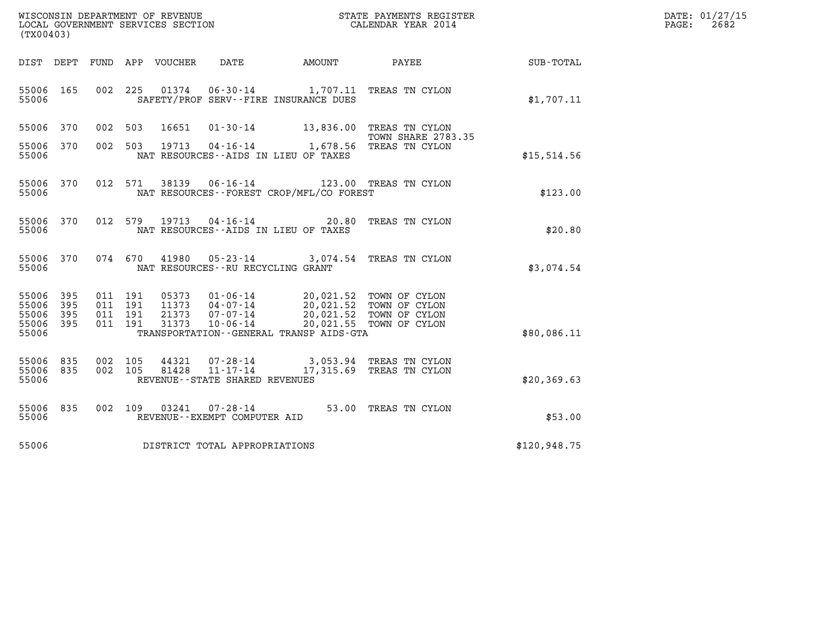| WISCONSIN DEPARTMENT OF REVENUE   | STATE PAYMENTS REGISTER | DATE: 01/27/15 |
|-----------------------------------|-------------------------|----------------|
| LOCAL GOVERNMENT SERVICES SECTION | CALENDAR YEAR 2014      | 2682<br>PAGE:  |

| (TX00403)                                                             | WISCONSIN DEPARTMENT OF REVENUE<br>LOCAL GOVERNMENT SERVICES SECTION                                                                                             |                                                                                | STATE PAYMENTS REGISTER<br>CALENDAR YEAR 2014                              |              |
|-----------------------------------------------------------------------|------------------------------------------------------------------------------------------------------------------------------------------------------------------|--------------------------------------------------------------------------------|----------------------------------------------------------------------------|--------------|
| DIST<br>DEPT                                                          | FUND<br>APP<br>VOUCHER<br>DATE                                                                                                                                   | AMOUNT                                                                         | PAYEE                                                                      | SUB-TOTAL    |
| 55006<br>165<br>55006                                                 | 002<br>225<br>01374<br>$06 - 30 - 14$                                                                                                                            | 1,707.11<br>SAFETY/PROF SERV--FIRE INSURANCE DUES                              | TREAS TN CYLON                                                             | \$1,707.11   |
| 55006<br>370                                                          | 002<br>503<br>16651<br>$01 - 30 - 14$                                                                                                                            | 13,836.00                                                                      | TREAS TN CYLON<br><b>TOWN SHARE 2783.35</b>                                |              |
| 55006<br>370<br>55006                                                 | 002<br>503<br>19713<br>$04 - 16 - 14$                                                                                                                            | 1,678.56<br>NAT RESOURCES -- AIDS IN LIEU OF TAXES                             | TREAS TN CYLON                                                             | \$15,514.56  |
| 370<br>55006<br>55006                                                 | 012<br>$06 - 16 - 14$<br>571<br>38139                                                                                                                            | NAT RESOURCES - - FOREST CROP/MFL/CO FOREST                                    | 123.00 TREAS TN CYLON                                                      | \$123.00     |
| 55006<br>370<br>55006                                                 | 012<br>579<br>19713<br>$04 - 16 - 14$                                                                                                                            | 20.80<br>NAT RESOURCES -- AIDS IN LIEU OF TAXES                                | TREAS TN CYLON                                                             | \$20.80      |
| 370<br>55006<br>55006                                                 | 074<br>670<br>41980<br>$05 - 23 - 14$<br>NAT RESOURCES - - RU RECYCLING GRANT                                                                                    | 3,074.54                                                                       | TREAS TN CYLON                                                             | \$3,074.54   |
| 55006<br>395<br>395<br>55006<br>395<br>55006<br>55006<br>395<br>55006 | 011<br>191<br>05373<br>$01 - 06 - 14$<br>011<br>191<br>11373<br>$04 - 07 - 14$<br>011<br>191<br>21373<br>$07 - 07 - 14$<br>011<br>191<br>31373<br>$10 - 06 - 14$ | 20,021.52<br>20,021.52<br>20,021.55<br>TRANSPORTATION--GENERAL TRANSP AIDS-GTA | 20,021.52 TOWN OF CYLON<br>TOWN OF CYLON<br>TOWN OF CYLON<br>TOWN OF CYLON | \$80,086.11  |
|                                                                       |                                                                                                                                                                  |                                                                                |                                                                            |              |
| 55006<br>835<br>835<br>55006<br>55006                                 | 002<br>105<br>44321<br>$07 - 28 - 14$<br>002<br>105<br>81428<br>$11 - 17 - 14$<br>REVENUE - - STATE SHARED REVENUES                                              | 3,053.94<br>17,315.69                                                          | TREAS TN CYLON<br>TREAS TN CYLON                                           | \$20, 369.63 |
| 55006<br>835<br>55006                                                 | 002<br>109<br>03241<br>$07 - 28 - 14$<br>REVENUE--EXEMPT COMPUTER AID                                                                                            | 53.00                                                                          | TREAS TN CYLON                                                             | \$53.00      |
| 55006                                                                 | DISTRICT TOTAL APPROPRIATIONS                                                                                                                                    |                                                                                |                                                                            | \$120,948.75 |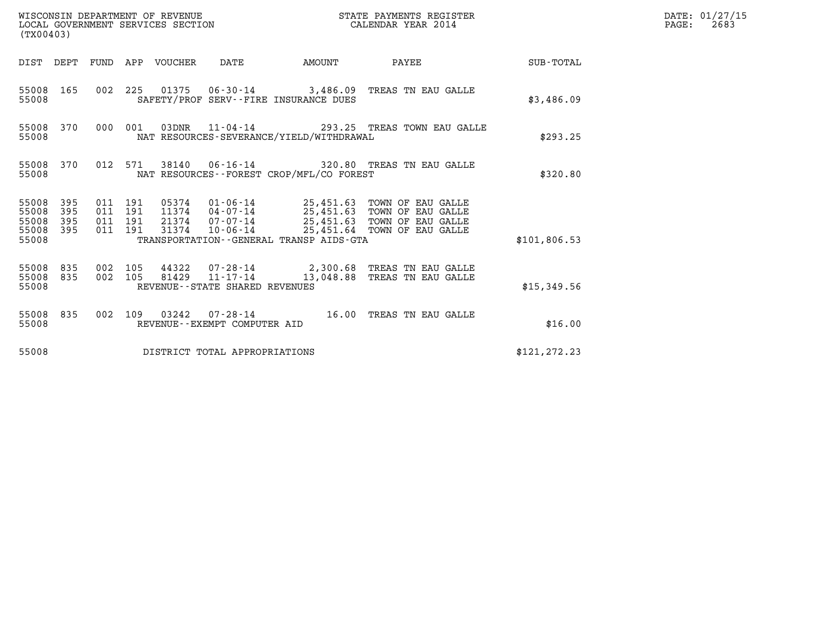| (TX00403)                                                            | WISCONSIN DEPARTMENT OF REVENUE<br>LOCAL GOVERNMENT SERVICES SECTION | STATE PAYMENTS REGISTER<br>CALENDAR YEAR 2014                                                                                                                                                                                        |                                            | DATE: 01/27/15<br>$\mathtt{PAGE:}$<br>2683 |  |
|----------------------------------------------------------------------|----------------------------------------------------------------------|--------------------------------------------------------------------------------------------------------------------------------------------------------------------------------------------------------------------------------------|--------------------------------------------|--------------------------------------------|--|
|                                                                      | DIST DEPT FUND APP VOUCHER DATE                                      |                                                                                                                                                                                                                                      | AMOUNT PAYEE SUB-TOTAL                     |                                            |  |
| 55008 165<br>55008                                                   |                                                                      | 002 225 01375 06-30-14 3,486.09 TREAS TN EAU GALLE<br>SAFETY/PROF SERV--FIRE INSURANCE DUES                                                                                                                                          |                                            | \$3,486.09                                 |  |
| 55008 370<br>55008                                                   | 000 001                                                              | NAT RESOURCES-SEVERANCE/YIELD/WITHDRAWAL                                                                                                                                                                                             | 03DNR 11-04-14 293.25 TREAS TOWN EAU GALLE | \$293.25                                   |  |
| 55008 370<br>55008                                                   |                                                                      | 012 571 38140 06-16-14 320.80 TREAS TN EAU GALLE<br>NAT RESOURCES--FOREST CROP/MFL/CO FOREST                                                                                                                                         |                                            | \$320.80                                   |  |
| 55008<br>- 395<br>55008<br>395<br>55008<br>395<br>55008 395<br>55008 | 011 191<br>011 191<br>011 191<br>011 191<br>31374                    | 05374  01-06-14  25,451.63  TOWN OF EAU GALLE<br>11374  04-07-14  25,451.63  TOWN OF EAU GALLE<br>21374 07-07-14 25,451.63 TOWN OF EAU GALLE<br>10-06-14 25,451.64 TOWN OF EAU GALLE<br>TRANSPORTATION - - GENERAL TRANSP AIDS - GTA |                                            | \$101,806.53                               |  |
| 55008 835<br>55008 835<br>55008                                      | 002 105<br>002 105                                                   | 44322 07-28-14 2,300.68 TREAS TN EAU GALLE<br>$81429$ $11-17-14$<br>REVENUE--STATE SHARED REVENUES                                                                                                                                   | 13,048.88 TREAS TN EAU GALLE               | \$15,349.56                                |  |
| 55008 835<br>55008                                                   |                                                                      | 002 109 03242 07-28-14 16.00 TREAS TN EAU GALLE<br>REVENUE--EXEMPT COMPUTER AID                                                                                                                                                      |                                            | \$16.00                                    |  |
| 55008                                                                |                                                                      | DISTRICT TOTAL APPROPRIATIONS                                                                                                                                                                                                        |                                            | \$121, 272.23                              |  |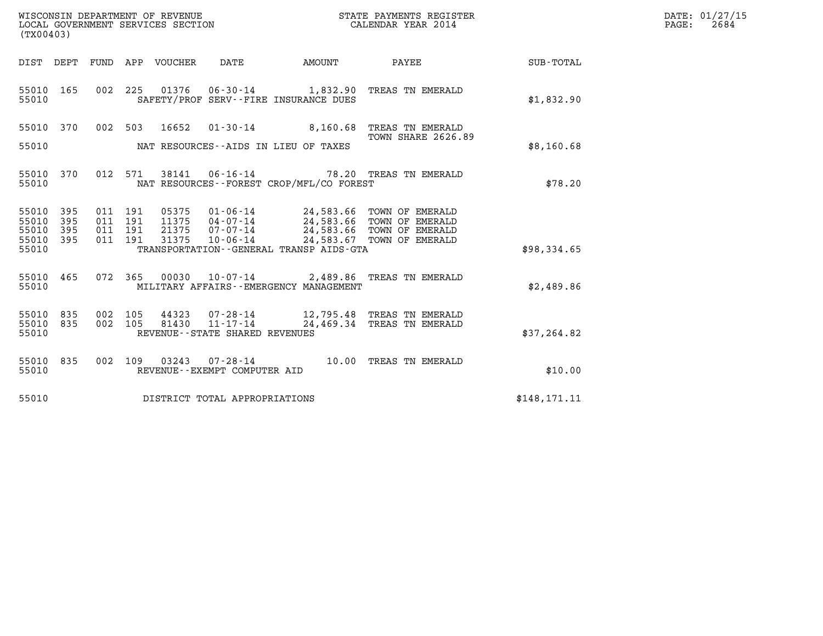| (TX00403)                                 |                                                                                                         |                                                                          | DATE: 01/27/15<br>$\mathtt{PAGE}$ :<br>2684 |
|-------------------------------------------|---------------------------------------------------------------------------------------------------------|--------------------------------------------------------------------------|---------------------------------------------|
|                                           | <b>AMOUNT</b><br>DIST DEPT FUND APP VOUCHER<br>DATE                                                     | <b>PAYEE</b> FOR THE PAYEE<br>SUB-TOTAL                                  |                                             |
| 55010 165<br>55010                        | 01376  06-30-14   1,832.90 TREAS TN EMERALD<br>002 225<br>SAFETY/PROF SERV--FIRE INSURANCE DUES         | \$1,832.90                                                               |                                             |
| 55010 370                                 | 002 503 16652<br>01-30-14 8,160.68 TREAS TN EMERALD                                                     |                                                                          |                                             |
| 55010                                     | NAT RESOURCES--AIDS IN LIEU OF TAXES                                                                    | <b>TOWN SHARE 2626.89</b><br>\$8,160.68                                  |                                             |
| 55010 370<br>55010                        | 38141  06-16-14  78.20 TREAS TN EMERALD<br>012 571<br>NAT RESOURCES - - FOREST CROP/MFL/CO FOREST       | \$78.20                                                                  |                                             |
| 55010 395<br>55010<br>395<br>395<br>55010 | 011 191<br>05375<br>01-06-14 24,583.66 TOWN OF EMERALD<br>011 191<br>011 191                            |                                                                          |                                             |
| 55010 395<br>55010                        | 011 191<br>TRANSPORTATION - - GENERAL TRANSP AIDS-GTA                                                   | \$98,334.65                                                              |                                             |
| 55010<br>465<br>55010                     | 072 365<br>00030  10-07-14  2,489.86  TREAS TN EMERALD<br>MILITARY AFFAIRS - - EMERGENCY MANAGEMENT     | \$2,489.86                                                               |                                             |
| 55010 835<br>55010 835<br>55010           | 002 105<br>44323<br>07-28-14<br>$11 - 17 - 14$<br>002 105<br>81430<br>REVENUE - - STATE SHARED REVENUES | 12,795.48 TREAS TN EMERALD<br>24,469.34 TREAS TN EMERALD<br>\$37, 264.82 |                                             |
| 55010 835<br>55010                        | 002 109 03243 07-28-14 10.00 TREAS TN EMERALD<br>REVENUE--EXEMPT COMPUTER AID                           | \$10.00                                                                  |                                             |
| 55010                                     | DISTRICT TOTAL APPROPRIATIONS                                                                           | \$148, 171.11                                                            |                                             |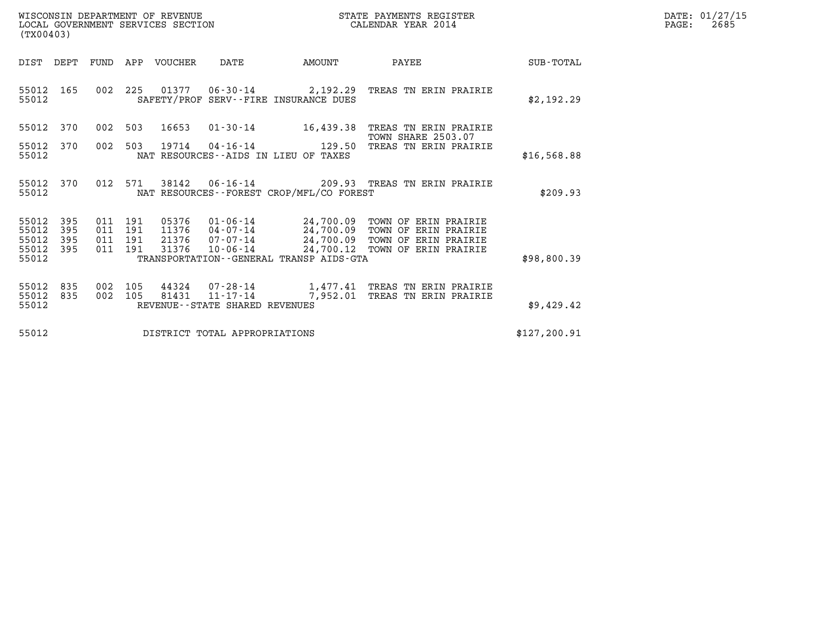| WISCONSIN DEPARTMENT OF REVENUE   | STATE PAYMENTS REGISTER | DATE: 01/27/15 |
|-----------------------------------|-------------------------|----------------|
| LOCAL GOVERNMENT SERVICES SECTION | CALENDAR YEAR 2014      | 2685<br>PAGE:  |

| WISCONSIN DEPARTMENT OF REVENUE<br>LOCAL GOVERNMENT SERVICES SECTION<br>(TX00403) |                          |                                          |     |                                  |                                |                                                                                                                                                         | STATE PAYMENTS REGISTER<br>CALENDAR YEAR 2014                                                |               | DATE: 01/27/15<br>$\mathtt{PAGE:}$<br>2685 |
|-----------------------------------------------------------------------------------|--------------------------|------------------------------------------|-----|----------------------------------|--------------------------------|---------------------------------------------------------------------------------------------------------------------------------------------------------|----------------------------------------------------------------------------------------------|---------------|--------------------------------------------|
| DIST DEPT                                                                         |                          |                                          |     | FUND APP VOUCHER                 | DATE                           | <b>AMOUNT</b>                                                                                                                                           | PAYEE                                                                                        | SUB-TOTAL     |                                            |
| 55012 165<br>55012                                                                |                          |                                          |     |                                  |                                | SAFETY/PROF SERV--FIRE INSURANCE DUES                                                                                                                   | 002 225 01377 06-30-14 2,192.29 TREAS TN ERIN PRAIRIE                                        | \$2,192.29    |                                            |
| 55012                                                                             | 370                      |                                          |     | 002 503 16653                    |                                | $01 - 30 - 14$ 16,439.38                                                                                                                                | TREAS TN ERIN PRAIRIE<br><b>TOWN SHARE 2503.07</b>                                           |               |                                            |
| 55012<br>55012                                                                    | 370                      | 002                                      | 503 | 19714                            |                                | $04 - 16 - 14$ 129.50<br>NAT RESOURCES--AIDS IN LIEU OF TAXES                                                                                           | TREAS TN ERIN PRAIRIE                                                                        | \$16,568.88   |                                            |
| 55012<br>55012                                                                    | 370                      | 012 571                                  |     | 38142                            |                                | NAT RESOURCES--FOREST CROP/MFL/CO FOREST                                                                                                                | 06-16-14 209.93 TREAS TN ERIN PRAIRIE                                                        | \$209.93      |                                            |
| 55012<br>55012<br>55012<br>55012<br>55012                                         | 395<br>395<br>395<br>395 | 011 191<br>011 191<br>011 191<br>011 191 |     | 05376<br>11376<br>21376<br>31376 |                                | $01 - 06 - 14$ 24,700.09<br>04 - 07 - 14 - 24,700.09<br>07 - 07 - 14 - 24,700.09<br>10 - 06 - 14 - 24,700.12<br>TRANSPORTATION--GENERAL TRANSP AIDS-GTA | TOWN OF ERIN PRAIRIE<br>TOWN OF ERIN PRAIRIE<br>TOWN OF ERIN PRAIRIE<br>TOWN OF ERIN PRAIRIE | \$98,800.39   |                                            |
|                                                                                   |                          |                                          |     |                                  |                                |                                                                                                                                                         |                                                                                              |               |                                            |
| 55012<br>55012<br>55012                                                           | 835<br>835               | 002<br>002 105                           | 105 | 81431                            | REVENUE--STATE SHARED REVENUES | $11 - 17 - 14$ 7,952.01                                                                                                                                 | 44324 07-28-14 1,477.41 TREAS TN ERIN PRAIRIE<br>TREAS TN ERIN PRAIRIE                       | \$9,429.42    |                                            |
| 55012                                                                             |                          |                                          |     |                                  | DISTRICT TOTAL APPROPRIATIONS  |                                                                                                                                                         |                                                                                              | \$127, 200.91 |                                            |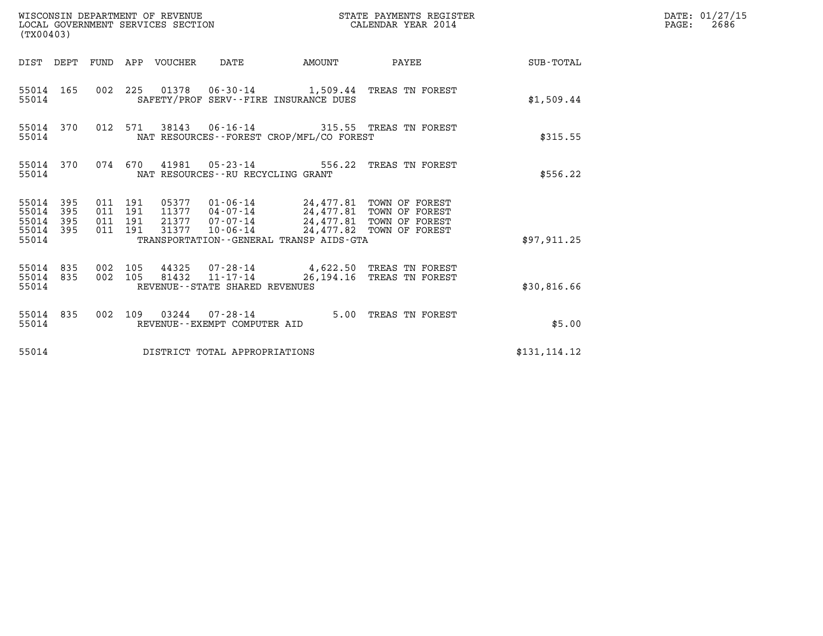| WISCONSIN DEPARTMENT OF REVENUE<br>STATE PAYMENTS REGISTER<br>LOCAL GOVERNMENT SERVICES SECTION<br>CALENDAR YEAR 2014<br>(TX00403) |                                          |                                 |                                                  |        |                                                                                                                                                                                         |                 | DATE: 01/27/15<br>$\mathtt{PAGE:}$<br>2686 |
|------------------------------------------------------------------------------------------------------------------------------------|------------------------------------------|---------------------------------|--------------------------------------------------|--------|-----------------------------------------------------------------------------------------------------------------------------------------------------------------------------------------|-----------------|--------------------------------------------|
|                                                                                                                                    |                                          | DIST DEPT FUND APP VOUCHER DATE |                                                  | AMOUNT |                                                                                                                                                                                         | PAYEE SUB-TOTAL |                                            |
| 55014 165<br>55014                                                                                                                 |                                          |                                 | SAFETY/PROF SERV--FIRE INSURANCE DUES            |        | 002 225 01378 06-30-14 1,509.44 TREAS TN FOREST                                                                                                                                         | \$1,509.44      |                                            |
| 55014 370<br>55014                                                                                                                 |                                          | 012 571                         | NAT RESOURCES - - FOREST CROP/MFL/CO FOREST      |        | 38143  06-16-14  315.55  TREAS TN FOREST                                                                                                                                                | \$315.55        |                                            |
| 55014 370<br>55014                                                                                                                 |                                          |                                 | NAT RESOURCES - - RU RECYCLING GRANT             |        | 074 670 41981 05-23-14 556.22 TREAS TN FOREST                                                                                                                                           | \$556.22        |                                            |
| 55014 395<br>55014<br>395<br>55014<br>395<br>55014 395<br>55014                                                                    | 011 191<br>011 191<br>011 191<br>011 191 |                                 | TRANSPORTATION--GENERAL TRANSP AIDS-GTA          |        | 05377   01-06-14   24,477.81   TOWN OF FOREST<br>11377   04-07-14   24,477.81   TOWN OF FOREST<br>21377 07-07-14 24,477.81 TOWN OF FOREST<br>31377  10-06-14  24,477.82  TOWN OF FOREST | \$97,911.25     |                                            |
| 55014 835<br>55014 835<br>55014                                                                                                    | 002 105<br>002 105                       | 81432                           | $11 - 17 - 14$<br>REVENUE--STATE SHARED REVENUES |        | 44325 07-28-14 4,622.50 TREAS TN FOREST<br>26,194.16 TREAS TN FOREST                                                                                                                    | \$30,816.66     |                                            |
| 55014 835<br>55014                                                                                                                 |                                          |                                 | REVENUE--EXEMPT COMPUTER AID                     |        | 002 109 03244 07-28-14 5.00 TREAS TN FOREST                                                                                                                                             | \$5.00          |                                            |
| 55014                                                                                                                              |                                          |                                 | DISTRICT TOTAL APPROPRIATIONS                    |        |                                                                                                                                                                                         | \$131, 114.12   |                                            |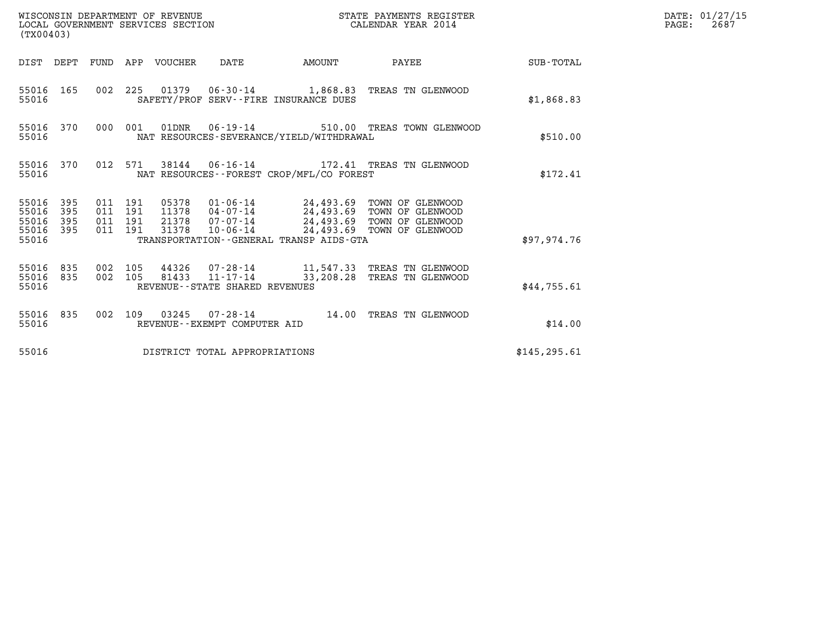| WISCONSIN DEPARTMENT OF REVENUE<br>LOCAL GOVERNMENT SERVICES SECTION<br>(TX00403) |                                                                                                                                                                                                                                                                                          | STATE PAYMENTS REGISTER<br>CALENDAR YEAR 2014 |               | DATE: 01/27/15<br>$\mathtt{PAGE:}$<br>2687 |
|-----------------------------------------------------------------------------------|------------------------------------------------------------------------------------------------------------------------------------------------------------------------------------------------------------------------------------------------------------------------------------------|-----------------------------------------------|---------------|--------------------------------------------|
|                                                                                   | DIST DEPT FUND APP VOUCHER DATE<br>AMOUNT                                                                                                                                                                                                                                                | PAYEE                                         | SUB-TOTAL     |                                            |
| 55016 165<br>55016                                                                | 002 225 01379 06-30-14 1,868.83 TREAS TN GLENWOOD<br>SAFETY/PROF SERV--FIRE INSURANCE DUES                                                                                                                                                                                               |                                               | \$1,868.83    |                                            |
| 55016 370<br>55016                                                                | 000 001<br>01DNR  06-19-14  510.00 TREAS TOWN GLENWOOD<br>NAT RESOURCES-SEVERANCE/YIELD/WITHDRAWAL                                                                                                                                                                                       |                                               | \$510.00      |                                            |
| 55016 370<br>55016                                                                | 012 571<br>38144   06-16-14   172.41   TREAS TN GLENWOOD<br>NAT RESOURCES - - FOREST CROP/MFL/CO FOREST                                                                                                                                                                                  |                                               | \$172.41      |                                            |
| 55016 395<br>395<br>55016<br>55016<br>395<br>55016 395<br>55016                   | 011 191<br>05378  01-06-14  24,493.69  TOWN OF GLENWOOD<br>11378  04-07-14  24,493.69  TOWN OF GLENWOOD<br>011 191<br>21378  07-07-14  24,493.69  TOWN OF GLENWOOD<br>011 191<br>10-06-14 24,493.69 TOWN OF GLENWOOD<br>011 191<br>31378<br>TRANSPORTATION - - GENERAL TRANSP AIDS - GTA |                                               | \$97.974.76   |                                            |
| 55016 835<br>55016 835<br>55016                                                   | 002 105<br>44326 07-28-14 11,547.33 TREAS TN GLENWOOD<br>81433 11-17-14<br>002 105<br>REVENUE - - STATE SHARED REVENUES                                                                                                                                                                  | 33,208.28 TREAS TN GLENWOOD                   | \$44,755.61   |                                            |
| 55016 835<br>55016                                                                | 002 109 03245 07-28-14 14.00 TREAS TN GLENWOOD<br>REVENUE--EXEMPT COMPUTER AID                                                                                                                                                                                                           |                                               | \$14.00       |                                            |
| 55016                                                                             | DISTRICT TOTAL APPROPRIATIONS                                                                                                                                                                                                                                                            |                                               | \$145, 295.61 |                                            |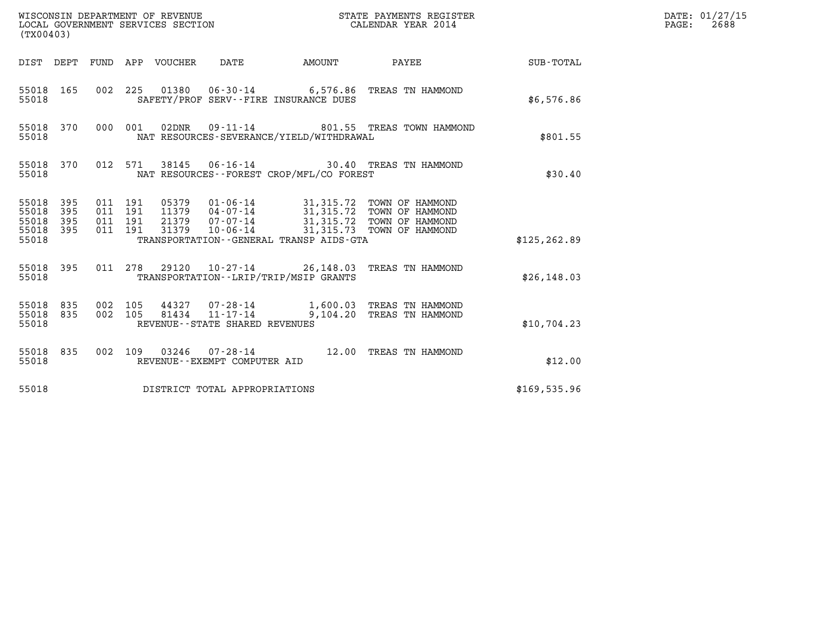| WISCONSIN DEPARTMENT OF REVENUE<br>LOCAL GOVERNMENT SERVICES SECTION<br>(TX00403) |            |                    |                               |                                 |                                            | STATE PAYMENTS REGISTER<br>CALENDAR YEAR 2014 |                                                                                                                                                                                          |               | DATE: 01/27/15<br>$\mathtt{PAGE:}$<br>2688 |
|-----------------------------------------------------------------------------------|------------|--------------------|-------------------------------|---------------------------------|--------------------------------------------|-----------------------------------------------|------------------------------------------------------------------------------------------------------------------------------------------------------------------------------------------|---------------|--------------------------------------------|
|                                                                                   |            |                    |                               | DIST DEPT FUND APP VOUCHER DATE |                                            | <b>AMOUNT</b>                                 | PAYEE                                                                                                                                                                                    | SUB-TOTAL     |                                            |
| 55018                                                                             | 55018 165  |                    |                               |                                 |                                            | SAFETY/PROF SERV--FIRE INSURANCE DUES         | 002 225 01380 06-30-14 6,576.86 TREAS TN HAMMOND                                                                                                                                         | \$6,576.86    |                                            |
| 55018                                                                             | 55018 370  |                    | 000 001                       |                                 |                                            | NAT RESOURCES-SEVERANCE/YIELD/WITHDRAWAL      | 801.55 TREAS TOWN HAMMOND                                                                                                                                                                | \$801.55      |                                            |
| 55018                                                                             | 55018 370  |                    | 012 571                       |                                 |                                            | NAT RESOURCES--FOREST CROP/MFL/CO FOREST      | 38145  06-16-14  30.40 TREAS TN HAMMOND                                                                                                                                                  | \$30.40       |                                            |
| 55018 395<br>55018<br>55018<br>55018 395<br>55018                                 | 395<br>395 | 011 191            | 011 191<br>011 191<br>011 191 |                                 |                                            | TRANSPORTATION--GENERAL TRANSP AIDS-GTA       | 05379  01-06-14  31,315.72  TOWN OF HAMMOND<br>11379  04-07-14  31,315.72  TOWN OF HAMMOND<br>21379  07-07-14  31,315.72  TOWN OF HAMMOND<br>31379  10-06-14  31,315.73  TOWN OF HAMMOND | \$125, 262.89 |                                            |
| 55018                                                                             | 55018 395  |                    |                               |                                 |                                            | TRANSPORTATION - - LRIP/TRIP/MSIP GRANTS      | 011 278 29120 10-27-14 26,148.03 TREAS TN HAMMOND                                                                                                                                        | \$26, 148.03  |                                            |
| 55018 835<br>55018 835<br>55018                                                   |            | 002 105<br>002 105 |                               | 81434                           | 11-17-14<br>REVENUE--STATE SHARED REVENUES |                                               | 44327 07-28-14 1,600.03 TREAS TN HAMMOND<br>9,104.20 TREAS TN HAMMOND                                                                                                                    | \$10,704.23   |                                            |
| 55018 835<br>55018                                                                |            |                    |                               |                                 | REVENUE--EXEMPT COMPUTER AID               |                                               | 002 109 03246 07-28-14 12.00 TREAS TN HAMMOND                                                                                                                                            | \$12.00       |                                            |
| 55018                                                                             |            |                    |                               |                                 | DISTRICT TOTAL APPROPRIATIONS              |                                               |                                                                                                                                                                                          | \$169, 535.96 |                                            |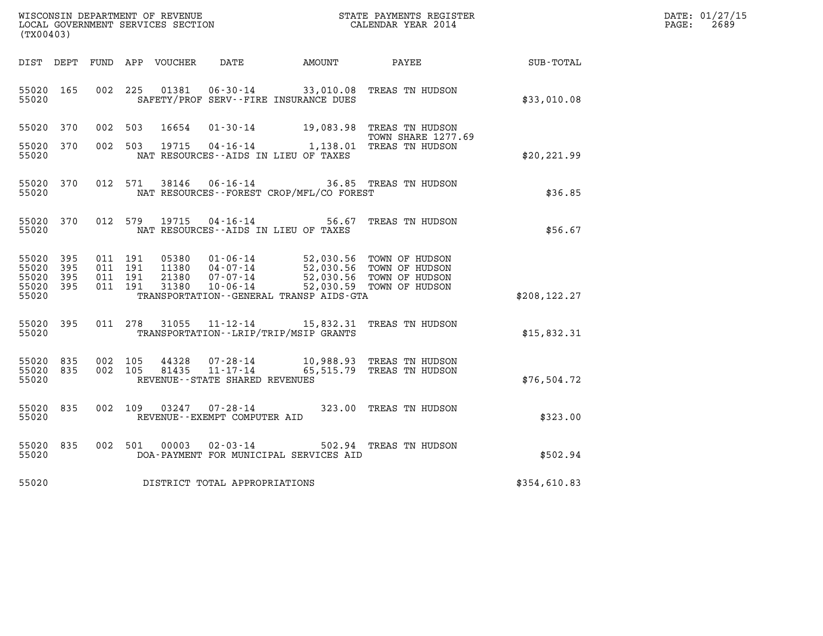| WISCONSIN DEPARTMENT OF REVENUE   | STATE PAYMENTS REGISTER | DATE: 01/27/15 |
|-----------------------------------|-------------------------|----------------|
| LOCAL GOVERNMENT SERVICES SECTION | CALENDAR YEAR 2014      | 2689<br>PAGE:  |

| WISCONSIN DEPARTMENT OF REVENUE                               STATE PAYMENTS REGIS' LOCAL GOVERNMENT SERVICES SECTION                               CALENDAR YEAR 2014<br>STATE PAYMENTS REGISTER<br>(TX00403)                                                                                                                           | DATE: 01/27/15<br>$\mathtt{PAGE:}$<br>2689 |
|------------------------------------------------------------------------------------------------------------------------------------------------------------------------------------------------------------------------------------------------------------------------------------------------------------------------------------------|--------------------------------------------|
| DIST DEPT FUND APP VOUCHER DATE     AMOUNT     PAYEE                                                                                                                                                                                                                                                                                     | SUB-TOTAL                                  |
| 002 225 01381 06-30-14 33,010.08 TREAS TN HUDSON<br>55020 165<br>SAFETY/PROF SERV--FIRE INSURANCE DUES<br>55020                                                                                                                                                                                                                          | \$33,010.08                                |
| 55020 370<br>002 503<br>16654 01-30-14<br>19,083.98 TREAS TN HUDSON<br><b>TOWN SHARE 1277.69</b>                                                                                                                                                                                                                                         |                                            |
| 19715  04-16-14   1,138.01   TREAS TN HUDSON<br>55020 370<br>002 503<br>55020<br>NAT RESOURCES--AIDS IN LIEU OF TAXES                                                                                                                                                                                                                    | \$20,221.99                                |
| 38146 06-16-14<br>55020 370<br>012 571<br>36.85 TREAS TN HUDSON<br>NAT RESOURCES--FOREST CROP/MFL/CO FOREST<br>55020                                                                                                                                                                                                                     | \$36.85                                    |
| 55020 370<br>012 579 19715 04-16-14<br>56.67 TREAS TN HUDSON<br>55020<br>NAT RESOURCES--AIDS IN LIEU OF TAXES                                                                                                                                                                                                                            | \$56.67                                    |
| 55020 395<br>011 191<br>05380  01-06-14  52,030.56  TOWN OF HUDSON<br>11380  04-07-14  52,030.56  TOWN OF HUDSON<br>21380  07-07-14  52,030.56  TOWN OF HUDSON<br>31380  10-06-14  52,030.59  TOWN OF HUDSON<br>55020 395<br>011 191<br>55020 395<br>011 191<br>011 191<br>55020 395<br>55020<br>TRANSPORTATION--GENERAL TRANSP AIDS-GTA | \$208, 122.27                              |
| 011 278 31055 11-12-14 15,832.31 TREAS TN HUDSON<br>55020 395<br>TRANSPORTATION - - LRIP/TRIP/MSIP GRANTS<br>55020                                                                                                                                                                                                                       | \$15,832.31                                |
| $44328$ $07 - 28 - 14$ $10,988.93$ TREAS TN HUDSON<br>81435 11-17-14 65,515.79 TREAS TN HUDSON<br>55020 835<br>002 105<br>002 105<br>55020 835<br>55020<br>REVENUE--STATE SHARED REVENUES                                                                                                                                                | \$76,504.72                                |
| 002 109 03247 07-28-14 323.00 TREAS TN HUDSON<br>55020 835<br>55020<br>REVENUE--EXEMPT COMPUTER AID                                                                                                                                                                                                                                      | \$323.00                                   |
| $02 - 03 - 14$<br>55020 835<br>002 501<br>00003<br>502.94 TREAS TN HUDSON<br>DOA-PAYMENT FOR MUNICIPAL SERVICES AID<br>55020                                                                                                                                                                                                             | \$502.94                                   |
| 55020 DISTRICT TOTAL APPROPRIATIONS                                                                                                                                                                                                                                                                                                      | \$354,610.83                               |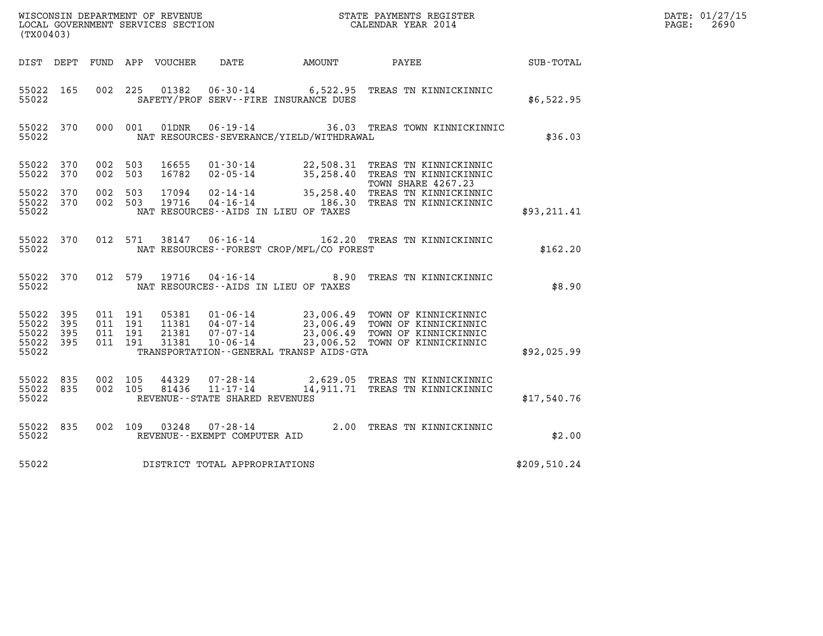| DATE: | 01/27/15 |
|-------|----------|
| PAGE: | 2690     |

| $\tt WISCONSIM DEPARTMENT OF REVENUE$ $\tt WISCONSIMENT$ SERVICES SECTION $\tt CALENDAR YEAR$ 2014 CALENDAR SERVICES SECTION<br>(TX00403) |                       |                                          |         |                |                                                                 |                                                             |                                                                                                                                                                                                          |              | DATE: 01/27/15<br>$\mathtt{PAGE:}$<br>2690 |
|-------------------------------------------------------------------------------------------------------------------------------------------|-----------------------|------------------------------------------|---------|----------------|-----------------------------------------------------------------|-------------------------------------------------------------|----------------------------------------------------------------------------------------------------------------------------------------------------------------------------------------------------------|--------------|--------------------------------------------|
|                                                                                                                                           |                       |                                          |         |                |                                                                 | DIST DEPT FUND APP VOUCHER DATE AMOUNT                      | PAYEE                                                                                                                                                                                                    | SUB-TOTAL    |                                            |
| 55022 165<br>55022                                                                                                                        |                       | 002 225                                  |         |                |                                                                 | SAFETY/PROF SERV--FIRE INSURANCE DUES                       | 01382  06-30-14   6,522.95  TREAS TN KINNICKINNIC                                                                                                                                                        | \$6,522.95   |                                            |
| 55022 370<br>55022                                                                                                                        |                       | 000 001                                  |         | 01DNR          |                                                                 | NAT RESOURCES-SEVERANCE/YIELD/WITHDRAWAL                    | 06-19-14 36.03 TREAS TOWN KINNICKINNIC                                                                                                                                                                   | \$36.03      |                                            |
| 55022 370<br>55022 370                                                                                                                    |                       | 002 503<br>002 503                       |         | 16655<br>16782 |                                                                 |                                                             | 01-30-14 22,508.31 TREAS TN KINNICKINNIC<br>02-05-14 35,258.40 TREAS TN KINNICKINNIC<br>TOWN SHARE 4267.23                                                                                               |              |                                            |
| 55022 370<br>55022 370<br>55022                                                                                                           |                       | 002 503<br>002 503                       |         | 17094<br>19716 |                                                                 | NAT RESOURCES -- AIDS IN LIEU OF TAXES                      | 02-14-14 35,258.40 TREAS TN KINNICKINNIC<br>04-16-14 186.30 TREAS TN KINNICKINNIC                                                                                                                        | \$93,211.41  |                                            |
| 55022 370<br>55022                                                                                                                        |                       |                                          | 012 571 |                |                                                                 | NAT RESOURCES - - FOREST CROP/MFL/CO FOREST                 | 38147  06-16-14   162.20   TREAS TN KINNICKINNIC                                                                                                                                                         | \$162.20     |                                            |
| 55022 370<br>55022                                                                                                                        |                       | 012 579                                  |         | 19716          |                                                                 | $04 - 16 - 14$ 8.90<br>NAT RESOURCES--AIDS IN LIEU OF TAXES | TREAS TN KINNICKINNIC                                                                                                                                                                                    | \$8.90       |                                            |
| 55022<br>55022<br>55022<br>55022 395<br>55022                                                                                             | - 395<br>395<br>- 395 | 011 191<br>011 191<br>011 191<br>011 191 |         |                |                                                                 | TRANSPORTATION--GENERAL TRANSP AIDS-GTA                     | 05381  01-06-14  23,006.49 TOWN OF KINNICKINNIC<br>11381  04-07-14  23,006.49 TOWN OF KINNICKINNIC<br>21381  07-07-14  23,006.49 TOWN OF KINNICKINNIC<br>31381  10-06-14  23,006.52 TOWN OF KINNICKINNIC | \$92,025.99  |                                            |
| 55022<br>55022 835<br>55022                                                                                                               | 835                   | 002 105<br>002 105                       |         | 44329<br>81436 | 07-28-14<br>$11 - 17 - 14$<br>REVENUE - - STATE SHARED REVENUES |                                                             | 2,629.05 TREAS TN KINNICKINNIC<br>14,911.71 TREAS TN KINNICKINNIC                                                                                                                                        | \$17,540.76  |                                            |
| 55022 835<br>55022                                                                                                                        |                       | 002 109                                  |         | 03248          | $07 - 28 - 14$<br>REVENUE--EXEMPT COMPUTER AID                  |                                                             | 2.00 TREAS TN KINNICKINNIC                                                                                                                                                                               | \$2.00       |                                            |
| 55022                                                                                                                                     |                       |                                          |         |                | DISTRICT TOTAL APPROPRIATIONS                                   |                                                             |                                                                                                                                                                                                          | \$209,510.24 |                                            |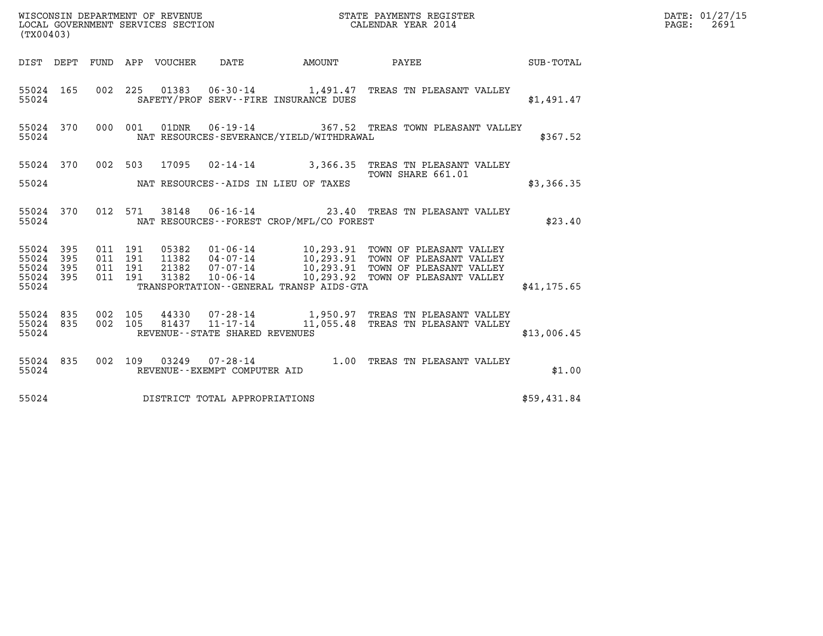| (TX00403)                                                                                    | WISCONSIN DEPARTMENT OF REVENUE<br>LOCAL GOVERNMENT SERVICES SECTION<br>LOCAL GOVERNMENT SERVICES SECTION<br>CALENDAR YEAR 2014 |                                                                                                                                                                                                                                         |              | DATE: 01/27/15<br>$\mathtt{PAGE:}$<br>2691 |
|----------------------------------------------------------------------------------------------|---------------------------------------------------------------------------------------------------------------------------------|-----------------------------------------------------------------------------------------------------------------------------------------------------------------------------------------------------------------------------------------|--------------|--------------------------------------------|
|                                                                                              |                                                                                                                                 | DIST DEPT FUND APP VOUCHER DATE AMOUNT PAYEE SUB-TOTAL                                                                                                                                                                                  |              |                                            |
| 55024 165<br>55024                                                                           | SAFETY/PROF SERV--FIRE INSURANCE DUES                                                                                           | 002 225 01383 06-30-14 1,491.47 TREAS TN PLEASANT VALLEY                                                                                                                                                                                | \$1,491.47   |                                            |
| 55024                                                                                        | NAT RESOURCES-SEVERANCE/YIELD/WITHDRAWAL                                                                                        | 55024 370 000 001 01DNR 06-19-14 367.52 TREAS TOWN PLEASANT VALLEY                                                                                                                                                                      | \$367.52     |                                            |
|                                                                                              |                                                                                                                                 | 55024 370 002 503 17095 02-14-14 3,366.35 TREAS TN PLEASANT VALLEY<br>TOWN SHARE 661.01                                                                                                                                                 |              |                                            |
|                                                                                              | 55024 NAT RESOURCES--AIDS IN LIEU OF TAXES                                                                                      |                                                                                                                                                                                                                                         | \$3,366.35   |                                            |
| 55024 370<br>55024                                                                           | NAT RESOURCES--FOREST CROP/MFL/CO FOREST                                                                                        | 012 571 38148 06-16-14 23.40 TREAS TN PLEASANT VALLEY                                                                                                                                                                                   | \$23.40      |                                            |
| 011 191<br>55024 395<br>011 191<br>55024 395<br>011 191<br>55024 395<br>011 191<br>55024 395 |                                                                                                                                 | 05382    01-06-14    10,293.91    TOWN OF PLEASANT VALLEY<br>11382    04-07-14    10,293.91    TOWN OF PLEASANT VALLEY<br>21382    07-07-14    10,293.91    TOWN OF PLEASANT VALLEY<br>31382    10-06-14    10,293.92    TOWN OF PLEASA |              |                                            |
| 55024                                                                                        | TRANSPORTATION--GENERAL TRANSP AIDS-GTA                                                                                         |                                                                                                                                                                                                                                         | \$41, 175.65 |                                            |
| 55024 835 002 105<br>55024 835<br>55024                                                      | REVENUE--STATE SHARED REVENUES                                                                                                  | 002 105  44330  07-28-14   1,950.97  TREAS TN PLEASANT VALLEY<br>002  105  81437  11-17-14   11,055.48  TREAS TN PLEASANT VALLEY                                                                                                        | \$13,006.45  |                                            |
| 55024 835<br>55024                                                                           | REVENUE--EXEMPT COMPUTER AID                                                                                                    | 002 109 03249 07-28-14 1.00 TREAS TN PLEASANT VALLEY                                                                                                                                                                                    | \$1.00       |                                            |
| 55024                                                                                        | DISTRICT TOTAL APPROPRIATIONS                                                                                                   |                                                                                                                                                                                                                                         | \$59,431.84  |                                            |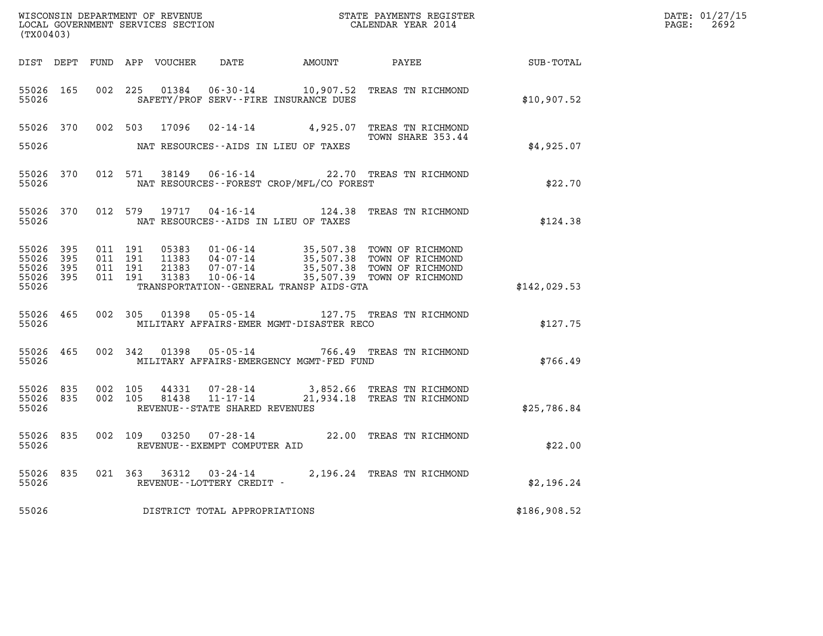| DATE: | 01/27/15 |
|-------|----------|
| PAGE: | 2692     |

| (TX00403)                                |                  |                    |                    |                |                                              | $\tt WISCONSIM DEPARTMENT OF REVENUE$ $\tt WISCONSIMENT$ SERVICES SECTION $\tt WISCONBINENT$ SERVICES SECTION $\tt CALENDAR$ YEAR 2014 |                                                                                                                                                                                                                      |              | DATE: 01/27/15<br>$\mathtt{PAGE:}$<br>2692 |
|------------------------------------------|------------------|--------------------|--------------------|----------------|----------------------------------------------|----------------------------------------------------------------------------------------------------------------------------------------|----------------------------------------------------------------------------------------------------------------------------------------------------------------------------------------------------------------------|--------------|--------------------------------------------|
|                                          |                  |                    |                    |                |                                              |                                                                                                                                        | DIST DEPT FUND APP VOUCHER DATE AMOUNT PAYEE TOTAL                                                                                                                                                                   |              |                                            |
| 55026 165<br>55026                       |                  | 002 225            |                    |                | SAFETY/PROF SERV--FIRE INSURANCE DUES        |                                                                                                                                        | 01384  06-30-14   10,907.52   TREAS TN RICHMOND                                                                                                                                                                      | \$10,907.52  |                                            |
|                                          |                  |                    |                    |                |                                              |                                                                                                                                        | 55026 370 002 503 17096 02-14-14 4,925.07 TREAS TN RICHMOND<br>TOWN SHARE 353.44                                                                                                                                     |              |                                            |
| 55026                                    |                  |                    |                    |                | NAT RESOURCES--AIDS IN LIEU OF TAXES         |                                                                                                                                        |                                                                                                                                                                                                                      | \$4,925.07   |                                            |
| 55026                                    | 55026 370        |                    |                    |                | NAT RESOURCES--FOREST CROP/MFL/CO FOREST     |                                                                                                                                        | 012 571 38149 06-16-14 22.70 TREAS TN RICHMOND                                                                                                                                                                       | \$22.70      |                                            |
| 55026 370<br>55026                       |                  |                    |                    |                | NAT RESOURCES--AIDS IN LIEU OF TAXES         |                                                                                                                                        | 012 579 19717 04-16-14 124.38 TREAS TN RICHMOND                                                                                                                                                                      | \$124.38     |                                            |
| 55026 395<br>55026<br>55026 395<br>55026 | 395<br>55026 395 | 011 191<br>011 191 | 011 191<br>011 191 |                | TRANSPORTATION - - GENERAL TRANSP AIDS - GTA |                                                                                                                                        | 05383    01-06-14    35,507.38    TOWN OF RICHMOND<br>11383    04-07-14    35,507.38    TOWN OF RICHMOND<br>21383    07-07-14    35,507.38    TOWN OF RICHMOND<br>31383    10-06-14    35,507.39    TOWN OF RICHMOND | \$142,029.53 |                                            |
| 55026                                    | 55026 465        |                    |                    |                | MILITARY AFFAIRS-EMER MGMT-DISASTER RECO     |                                                                                                                                        | 002 305 01398 05-05-14 127.75 TREAS TN RICHMOND                                                                                                                                                                      | \$127.75     |                                            |
| 55026                                    | 55026 465        |                    |                    |                | MILITARY AFFAIRS-EMERGENCY MGMT-FED FUND     |                                                                                                                                        | 002 342 01398 05-05-14 766.49 TREAS TN RICHMOND                                                                                                                                                                      | \$766.49     |                                            |
| 55026 835<br>55026 835<br>55026          |                  | 002 105<br>002 105 |                    | 44331<br>81438 | REVENUE--STATE SHARED REVENUES               |                                                                                                                                        |                                                                                                                                                                                                                      | \$25,786.84  |                                            |
| 55026                                    | 55026 835        |                    |                    |                | REVENUE--EXEMPT COMPUTER AID                 |                                                                                                                                        | 002 109 03250 07-28-14 22.00 TREAS TN RICHMOND                                                                                                                                                                       | \$22.00      |                                            |
| 55026                                    | 55026 835        |                    |                    |                | REVENUE--LOTTERY CREDIT -                    |                                                                                                                                        | 021 363 36312 03-24-14 2,196.24 TREAS TN RICHMOND                                                                                                                                                                    | \$2,196.24   |                                            |
| 55026                                    |                  |                    |                    |                | DISTRICT TOTAL APPROPRIATIONS                |                                                                                                                                        |                                                                                                                                                                                                                      | \$186,908.52 |                                            |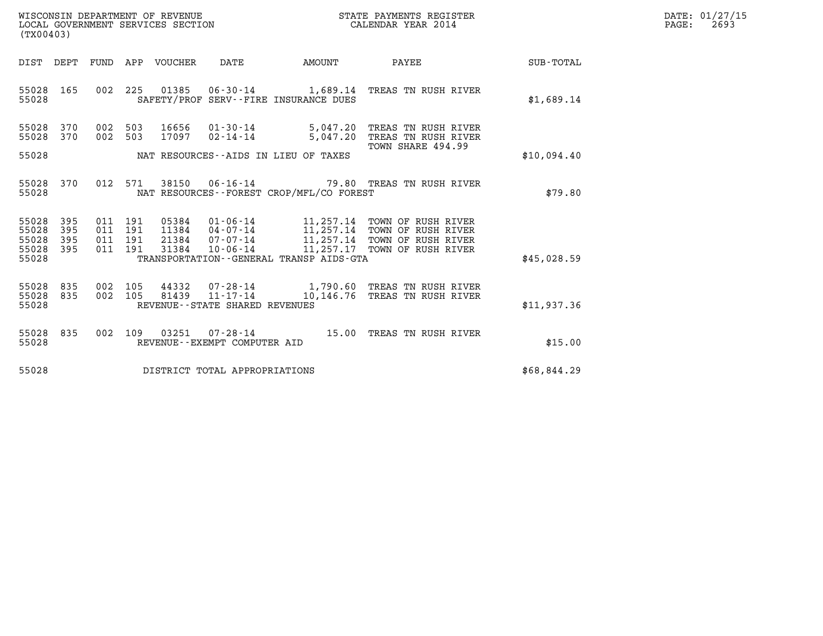| WISCONSIN DEPARTMENT OF REVENUE   | STATE PAYMENTS REGISTER | DATE: 01/27/15 |
|-----------------------------------|-------------------------|----------------|
| LOCAL GOVERNMENT SERVICES SECTION | CALENDAR YEAR 2014      | 2693<br>PAGE:  |

| (TX00403)                                                                                |                                                                                                                                                                                                                                                          |             |
|------------------------------------------------------------------------------------------|----------------------------------------------------------------------------------------------------------------------------------------------------------------------------------------------------------------------------------------------------------|-------------|
| DIST<br>DEPT<br>FUND                                                                     | <b>VOUCHER</b><br>PAYEE<br>APP<br>DATE<br>AMOUNT                                                                                                                                                                                                         | SUB-TOTAL   |
| 165<br>002<br>55028<br>55028                                                             | 225<br>01385<br>06-30-14 1,689.14 TREAS TN RUSH RIVER<br>SAFETY/PROF SERV--FIRE INSURANCE DUES                                                                                                                                                           | \$1,689.14  |
| 55028<br>370<br>002<br>002<br>55028<br>370<br>55028                                      | 503<br>16656<br>$01 - 30 - 14$<br>5,047.20<br>TREAS TN RUSH RIVER<br>17097<br>$02 - 14 - 14$<br>503<br>5,047.20<br>TREAS TN RUSH RIVER<br>TOWN SHARE 494.99<br>NAT RESOURCES--AIDS IN LIEU OF TAXES                                                      | \$10,094.40 |
| 012<br>55028<br>370                                                                      | 571<br>38150<br>$06 - 16 - 14$<br>79.80 TREAS TN RUSH RIVER                                                                                                                                                                                              |             |
| 55028                                                                                    | NAT RESOURCES - - FOREST CROP/MFL/CO FOREST                                                                                                                                                                                                              | \$79.80     |
| 55028<br>395<br>011<br>55028<br>395<br>011<br>55028<br>395<br>011<br>55028<br>395<br>011 | 191<br>05384<br>$01 - 06 - 14$<br>11,257.14 TOWN OF RUSH RIVER<br>04-07-14 11,257.14 TOWN OF RUSH RIVER<br>191<br>11384<br>11,257.14 TOWN OF RUSH RIVER<br>191<br>21384<br>07-07-14<br>11,257.17<br>191<br>31384<br>$10 - 06 - 14$<br>TOWN OF RUSH RIVER |             |
| 55028                                                                                    | TRANSPORTATION--GENERAL TRANSP AIDS-GTA                                                                                                                                                                                                                  | \$45,028.59 |
| 55028<br>835<br>002<br>835<br>002<br>55028<br>55028                                      | 105<br>44332 07-28-14 1,790.60 TREAS TN RUSH RIVER<br>$11 - 17 - 14$<br>105<br>81439<br>10,146.76 TREAS TN RUSH RIVER<br>REVENUE - - STATE SHARED REVENUES                                                                                               | \$11,937.36 |
| 835<br>002<br>55028<br>55028                                                             | 109<br>03251<br>15.00<br>07-28-14<br>TREAS TN RUSH RIVER<br>REVENUE - - EXEMPT COMPUTER AID                                                                                                                                                              | \$15.00     |
| 55028                                                                                    | DISTRICT TOTAL APPROPRIATIONS                                                                                                                                                                                                                            | \$68,844.29 |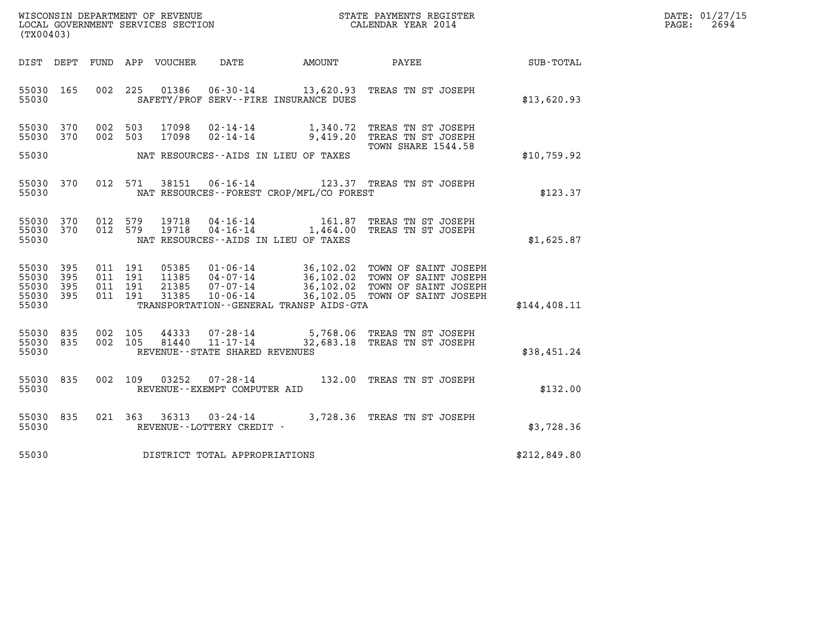| WISCONSIN DEPARTMENT OF REVENUE   | STATE PAYMENTS REGISTER | DATE: 01/27/15 |
|-----------------------------------|-------------------------|----------------|
| LOCAL GOVERNMENT SERVICES SECTION | CALENDAR YEAR 2014      | 2694<br>PAGE:  |

| WISCONSIN DEPARTMENT OF REVENUE<br>LOCAL GOVERNMENT SERVICES SECTION<br>CALENDAR YEAR 2014<br>(TX00403) |  |  |                    |  |                                     |                                                  |                                                                                                                                |              | DATE: 01/27/15<br>PAGE:<br>2694 |
|---------------------------------------------------------------------------------------------------------|--|--|--------------------|--|-------------------------------------|--------------------------------------------------|--------------------------------------------------------------------------------------------------------------------------------|--------------|---------------------------------|
|                                                                                                         |  |  |                    |  |                                     |                                                  | DIST DEPT FUND APP VOUCHER DATE AMOUNT PAYEE TOTAL                                                                             |              |                                 |
| 55030 165<br>55030                                                                                      |  |  |                    |  |                                     | SAFETY/PROF SERV--FIRE INSURANCE DUES            | 002 225 01386 06-30-14 13,620.93 TREAS TN ST JOSEPH                                                                            | \$13,620.93  |                                 |
| 55030 370<br>55030 370                                                                                  |  |  |                    |  |                                     | 55030 NAT RESOURCES - AIDS IN LIEU OF TAXES      | 002 503 17098 02-14-14 1,340.72 TREAS TN ST JOSEPH<br>002 503 17098 02-14-14 9,419.20 TREAS TN ST JOSEPH<br>TOWN SHARE 1544.58 | \$10,759.92  |                                 |
|                                                                                                         |  |  |                    |  |                                     | 55030 NAT RESOURCES - FOREST CROP/MFL/CO FOREST  | 55030 370 012 571 38151 06-16-14 123.37 TREAS TN ST JOSEPH                                                                     | \$123.37     |                                 |
| 55030                                                                                                   |  |  |                    |  |                                     | NAT RESOURCES--AIDS IN LIEU OF TAXES             | 55030 370 012 579 19718 04-16-14 161.87 TREAS TN ST JOSEPH 55030 370 012 579 19718 04-16-14 1,464.00 TREAS TN ST JOSEPH        | \$1,625.87   |                                 |
| 55030 395<br>55030 395<br>55030 395<br>55030 395                                                        |  |  |                    |  |                                     | 55030 TRANSPORTATION - GENERAL TRANSP AIDS - GTA |                                                                                                                                | \$144,408.11 |                                 |
| 55030 835<br>55030 835<br>55030                                                                         |  |  | 002 105<br>002 105 |  | REVENUE--STATE SHARED REVENUES      |                                                  | 44333  07-28-14  5,768.06  TREAS TN ST JOSEPH<br>81440  11-17-14  32,683.18  TREAS TN ST JOSEPH                                | \$38,451.24  |                                 |
| 55030 835<br>55030                                                                                      |  |  | 002 109            |  | REVENUE--EXEMPT COMPUTER AID        |                                                  | 03252  07-28-14  132.00  TREAS TN ST JOSEPH                                                                                    | \$132.00     |                                 |
| 55030 835<br>55030                                                                                      |  |  |                    |  |                                     |                                                  |                                                                                                                                | \$3,728.36   |                                 |
|                                                                                                         |  |  |                    |  | 55030 DISTRICT TOTAL APPROPRIATIONS |                                                  |                                                                                                                                | \$212,849.80 |                                 |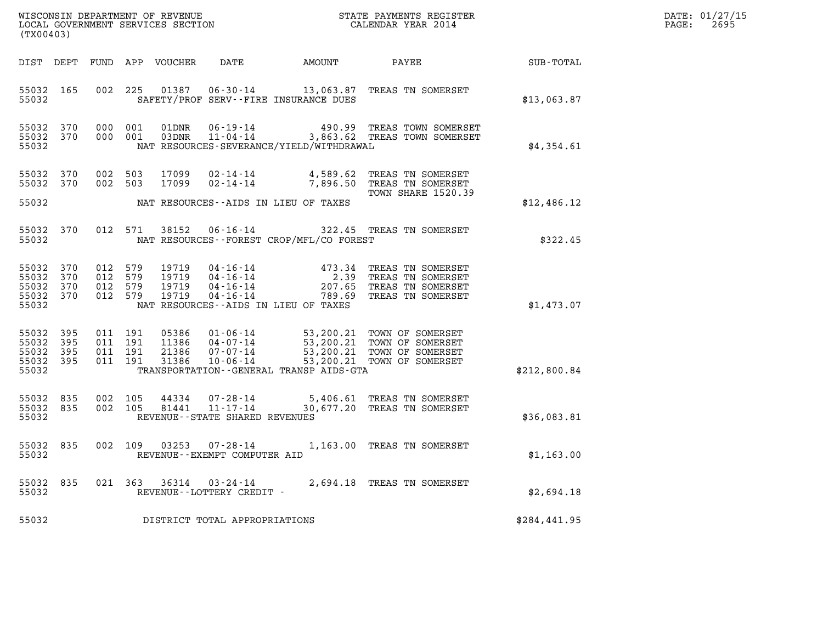| DATE: | 01/27/15 |
|-------|----------|
| PAGE: | 2695     |

| (TX00403)                                         |                   |                                          |                    |                                  |                                                        |                                                                   |                                                                                                                                                |              | DATE: 01/27/15<br>2695<br>PAGE: |
|---------------------------------------------------|-------------------|------------------------------------------|--------------------|----------------------------------|--------------------------------------------------------|-------------------------------------------------------------------|------------------------------------------------------------------------------------------------------------------------------------------------|--------------|---------------------------------|
| DIST DEPT                                         |                   |                                          |                    | FUND APP VOUCHER                 | DATE                                                   | AMOUNT                                                            | PAYEE                                                                                                                                          | SUB-TOTAL    |                                 |
| 55032 165<br>55032                                |                   | 002                                      |                    |                                  |                                                        | SAFETY/PROF SERV--FIRE INSURANCE DUES                             | 225  01387  06-30-14  13,063.87  TREAS TN SOMERSET                                                                                             | \$13,063.87  |                                 |
| 55032 370<br>55032 370<br>55032                   |                   |                                          | 000 001<br>000 001 |                                  |                                                        | NAT RESOURCES-SEVERANCE/YIELD/WITHDRAWAL                          | 01DNR  06-19-14  490.99 TREAS TOWN SOMERSET<br>03DNR  11-04-14  3,863.62 TREAS TOWN SOMERSET                                                   | \$4,354.61   |                                 |
| 55032<br>55032 370<br>55032                       | 370               | 002 503<br>002 503                       |                    | 17099<br>17099                   | $02 - 14 - 14$                                         | $02 - 14 - 14$ $4,589.62$<br>NAT RESOURCES--AIDS IN LIEU OF TAXES | TREAS TN SOMERSET<br>7,896.50 TREAS TN SOMERSET<br><b>TOWN SHARE 1520.39</b>                                                                   | \$12,486.12  |                                 |
| 55032<br>55032                                    | 370               |                                          | 012 571            | 38152                            | $06 - 16 - 14$                                         | NAT RESOURCES--FOREST CROP/MFL/CO FOREST                          | 322.45 TREAS TN SOMERSET                                                                                                                       | \$322.45     |                                 |
| 55032<br>55032<br>55032<br>55032 370<br>55032     | 370<br>370<br>370 | 012 579<br>012 579<br>012 579<br>012 579 |                    | 19719<br>19719<br>19719<br>19719 |                                                        | NAT RESOURCES--AIDS IN LIEU OF TAXES                              | 04-16-14 473.34 TREAS TN SOMERSET<br>04-16-14 2.39 TREAS TN SOMERSET<br>04-16-14 207.65 TREAS TN SOMERSET<br>04-16-14 789.69 TREAS TN SOMERSET | \$1,473.07   |                                 |
| 55032 395<br>55032<br>55032<br>55032 395<br>55032 | 395<br>395        | 011 191<br>011 191<br>011 191            | 011 191            | 05386<br>11386<br>21386<br>31386 | 04-07-14<br>07-07-14<br>$07 - 07 - 14$<br>10 - 06 - 14 | TRANSPORTATION--GENERAL TRANSP AIDS-GTA                           | 01-06-14 53,200.21 TOWN OF SOMERSET<br>53,200.21 TOWN OF SOMERSET<br>53,200.21 TOWN OF SOMERSET<br>53,200.21 TOWN OF SOMERSET                  | \$212,800.84 |                                 |
| 55032 835<br>55032 835<br>55032                   |                   | 002 105<br>002 105                       |                    | 44334<br>81441                   | $11 - 17 - 14$<br>REVENUE--STATE SHARED REVENUES       |                                                                   | 07-28-14 5,406.61 TREAS TN SOMERSET<br>30,677.20 TREAS TN SOMERSET                                                                             | \$36,083.81  |                                 |
| 55032 835<br>55032                                |                   | 002 109                                  |                    | 03253                            | 07-28-14<br>REVENUE - - EXEMPT COMPUTER AID            |                                                                   | 1,163.00 TREAS TN SOMERSET                                                                                                                     | \$1,163.00   |                                 |
| 55032<br>55032                                    | 835               |                                          |                    |                                  | 021 363 36314 03-24-14<br>REVENUE--LOTTERY CREDIT -    |                                                                   | 2,694.18 TREAS TN SOMERSET                                                                                                                     | \$2,694.18   |                                 |
| 55032                                             |                   |                                          |                    |                                  | DISTRICT TOTAL APPROPRIATIONS                          |                                                                   |                                                                                                                                                | \$284,441.95 |                                 |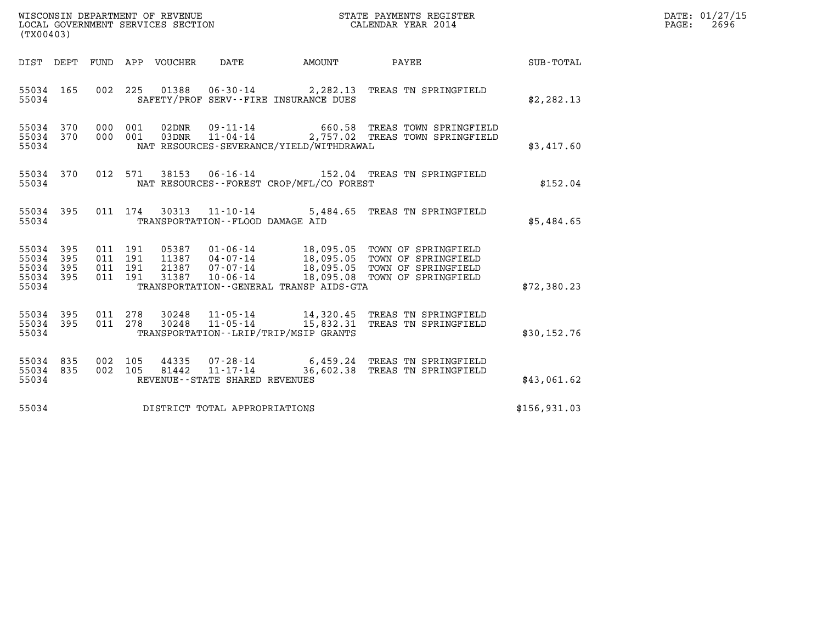| WISCONSIN DEPARTMENT OF REVENUE   | STATE PAYMENTS REGISTER | DATE: 01/27/15 |
|-----------------------------------|-------------------------|----------------|
| LOCAL GOVERNMENT SERVICES SECTION | CALENDAR YEAR 2014      | 2696<br>PAGE:  |

| WISCONSIN DEPARTMENT OF REVENUE<br>LOCAL GOVERNMENT SERVICES SECTION<br>CALENDAR YEAR 2014<br>(TX00403) |  |  |  |  |                                     |                                           |                                                                                                                                                                                                                              |              | DATE: 01/27/15<br>2696<br>$\mathtt{PAGE:}$ |
|---------------------------------------------------------------------------------------------------------|--|--|--|--|-------------------------------------|-------------------------------------------|------------------------------------------------------------------------------------------------------------------------------------------------------------------------------------------------------------------------------|--------------|--------------------------------------------|
|                                                                                                         |  |  |  |  |                                     |                                           | DIST DEPT FUND APP VOUCHER DATE AMOUNT PAYEE                                                                                                                                                                                 | SUB-TOTAL    |                                            |
| 55034                                                                                                   |  |  |  |  |                                     | SAFETY/PROF SERV--FIRE INSURANCE DUES     | 55034 165 002 225 01388 06-30-14 2,282.13 TREAS TN SPRINGFIELD                                                                                                                                                               | \$2, 282.13  |                                            |
| 55034 370<br>55034 370<br>55034                                                                         |  |  |  |  |                                     | NAT RESOURCES-SEVERANCE/YIELD/WITHDRAWAL  | 000 001 02DNR 09-11-14 660.58 TREAS TOWN SPRINGFIELD<br>000 001 03DNR 11-04-14 2,757.02 TREAS TOWN SPRINGFIELD                                                                                                               | \$3,417.60   |                                            |
| 55034 370<br>55034                                                                                      |  |  |  |  |                                     | NAT RESOURCES - FOREST CROP/MFL/CO FOREST | 012 571 38153 06-16-14 152.04 TREAS TN SPRINGFIELD                                                                                                                                                                           | \$152.04     |                                            |
| 55034 395<br>55034                                                                                      |  |  |  |  | TRANSPORTATION--FLOOD DAMAGE AID    |                                           | 011 174 30313 11-10-14 5,484.65 TREAS TN SPRINGFIELD                                                                                                                                                                         | \$5,484.65   |                                            |
| 55034 395<br>55034 395<br>55034 395<br>55034 395<br>55034                                               |  |  |  |  |                                     | TRANSPORTATION - GENERAL TRANSP AIDS-GTA  | 011 191 05387 01-06-14 18,095.05 TOWN OF SPRINGFIELD<br>011 191 11387 04-07-14 18,095.05 TOWN OF SPRINGFIELD<br>011 191 21387 07-07-14 18,095.05 TOWN OF SPRINGFIELD<br>011 191 31387 10-06-14 18,095.08 TOWN OF SPRINGFIELD | \$72,380.23  |                                            |
| 55034 395<br>55034 395<br>55034                                                                         |  |  |  |  |                                     | TRANSPORTATION - - LRIP/TRIP/MSIP GRANTS  | 011  278  30248  11-05-14  14,320.45 TREAS TN SPRINGFIELD<br>011  278  30248  11-05-14  15,832.31 TREAS TN SPRINGFIELD                                                                                                       | \$30,152.76  |                                            |
| 55034 835<br>55034 835<br>55034                                                                         |  |  |  |  | REVENUE--STATE SHARED REVENUES      |                                           | 002 105 44335 07-28-14 6,459.24 TREAS TN SPRINGFIELD<br>002 105 81442 11-17-14 36,602.38 TREAS TN SPRINGFIELD                                                                                                                | \$43,061.62  |                                            |
|                                                                                                         |  |  |  |  | 55034 DISTRICT TOTAL APPROPRIATIONS |                                           |                                                                                                                                                                                                                              | \$156,931.03 |                                            |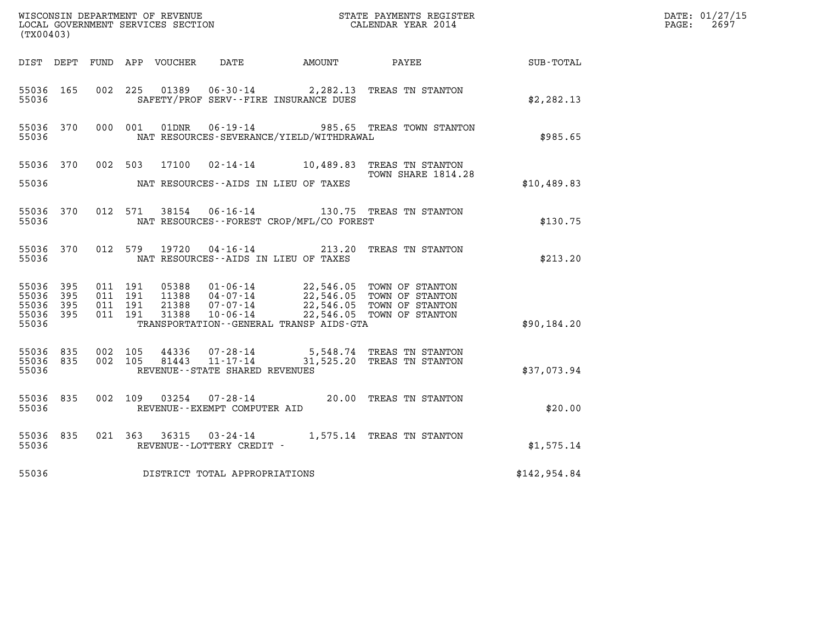| (TX00403)                       |              |                               |         |               |                                   |                                              |                                                                                                                                                                                                                                                                                                    |                  | DATE: 01/27/15<br>$\mathtt{PAGE:}$<br>2697 |
|---------------------------------|--------------|-------------------------------|---------|---------------|-----------------------------------|----------------------------------------------|----------------------------------------------------------------------------------------------------------------------------------------------------------------------------------------------------------------------------------------------------------------------------------------------------|------------------|--------------------------------------------|
|                                 |              |                               |         |               |                                   | DIST DEPT FUND APP VOUCHER DATE AMOUNT PAYEE |                                                                                                                                                                                                                                                                                                    | <b>SUB-TOTAL</b> |                                            |
| 55036 165<br>55036              |              |                               |         |               |                                   | SAFETY/PROF SERV--FIRE INSURANCE DUES        | 002 225 01389 06-30-14 2,282.13 TREAS TN STANTON                                                                                                                                                                                                                                                   | \$2,282.13       |                                            |
| 55036 370<br>55036              |              |                               | 000 001 |               |                                   | NAT RESOURCES-SEVERANCE/YIELD/WITHDRAWAL     | 01DNR  06-19-14  985.65 TREAS TOWN STANTON                                                                                                                                                                                                                                                         | \$985.65         |                                            |
| 55036                           |              |                               |         |               |                                   | NAT RESOURCES--AIDS IN LIEU OF TAXES         | 55036 370 002 503 17100 02-14-14 10,489.83 TREAS TN STANTON<br>TOWN SHARE 1814.28                                                                                                                                                                                                                  | \$10,489.83      |                                            |
|                                 |              |                               |         |               |                                   |                                              |                                                                                                                                                                                                                                                                                                    |                  |                                            |
| 55036 370<br>55036              |              |                               |         |               |                                   | NAT RESOURCES - - FOREST CROP/MFL/CO FOREST  | 012 571 38154 06-16-14 130.75 TREAS TN STANTON                                                                                                                                                                                                                                                     | \$130.75         |                                            |
| 55036 370<br>55036              |              |                               |         | 012 579 19720 |                                   | NAT RESOURCES -- AIDS IN LIEU OF TAXES       | 04-16-14 213.20 TREAS TN STANTON                                                                                                                                                                                                                                                                   | \$213.20         |                                            |
| 55036 395<br>55036<br>55036     | - 395<br>395 | 011 191<br>011 191<br>011 191 |         | 21388         |                                   |                                              | $\begin{array}{cccc} 05388 & 01\text{ - }06\text{ - }14 & 22\text{ , }546\text{ .}05 & \text{TOWN OF STANTON} \\ 11388 & 04\text{ - }07\text{ - }14 & 22\text{ , }546\text{ .}05 & \text{TOWN OF STANTON} \end{array}$<br>07-07-14 22,546.05 TOWN OF STANTON<br>10-06-14 22,546.05 TOWN OF STANTON |                  |                                            |
| 55036 395<br>55036              |              | 011 191                       |         | 31388         |                                   | TRANSPORTATION--GENERAL TRANSP AIDS-GTA      |                                                                                                                                                                                                                                                                                                    | \$90,184.20      |                                            |
| 55036 835<br>55036 835<br>55036 |              | 002 105<br>002 105            |         |               | REVENUE - - STATE SHARED REVENUES |                                              | 44336 07-28-14 5,548.74 TREAS TN STANTON<br>81443   11-17-14   31,525.20   TREAS TN STANTON                                                                                                                                                                                                        | \$37,073.94      |                                            |
| 55036 835<br>55036              |              |                               |         |               | REVENUE--EXEMPT COMPUTER AID      |                                              | 002 109 03254 07-28-14 20.00 TREAS TN STANTON                                                                                                                                                                                                                                                      | \$20.00          |                                            |
| 55036 835<br>55036              |              |                               |         |               | REVENUE--LOTTERY CREDIT -         |                                              | 021 363 36315 03-24-14 1,575.14 TREAS TN STANTON                                                                                                                                                                                                                                                   | \$1,575.14       |                                            |
| 55036                           |              |                               |         |               | DISTRICT TOTAL APPROPRIATIONS     |                                              |                                                                                                                                                                                                                                                                                                    | \$142,954.84     |                                            |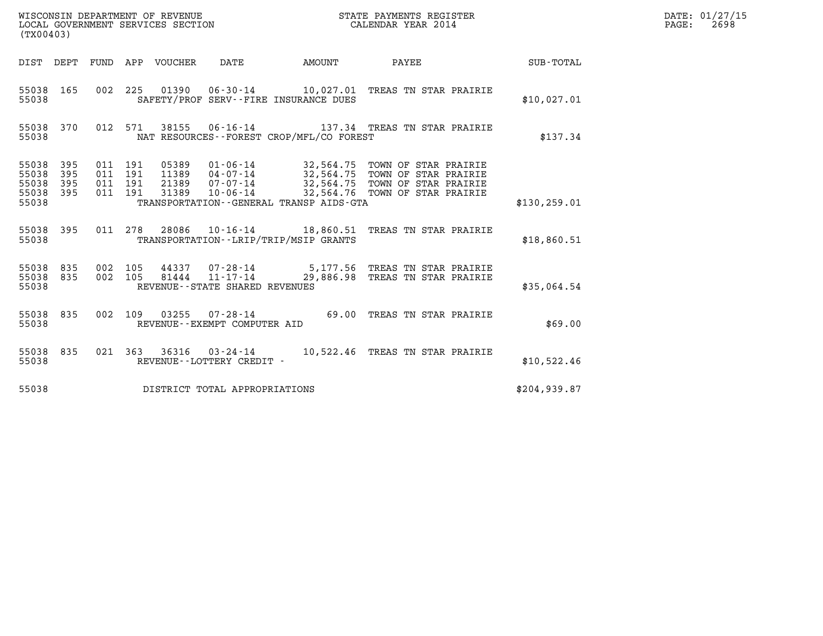| (TX00403)                                                          |                                                                                                                                                      |                                              |               | DATE: 01/27/15<br>$\mathtt{PAGE:}$<br>2698 |
|--------------------------------------------------------------------|------------------------------------------------------------------------------------------------------------------------------------------------------|----------------------------------------------|---------------|--------------------------------------------|
| DIST DEPT                                                          | FUND APP VOUCHER DATE                                                                                                                                | AMOUNT<br><b>PAYEE</b> FOUND THE PAYEE       | SUB-TOTAL     |                                            |
| 55038 165<br>55038                                                 | 002 225 01390 06-30-14 10,027.01 TREAS TN STAR PRAIRIE<br>SAFETY/PROF SERV--FIRE INSURANCE DUES                                                      |                                              | \$10,027.01   |                                            |
| 55038 370<br>55038                                                 | 012 571 38155 06-16-14 137.34 TREAS TN STAR PRAIRIE<br>NAT RESOURCES - - FOREST CROP/MFL/CO FOREST                                                   |                                              | \$137.34      |                                            |
| 55038<br>395<br>55038<br>395<br>55038<br>395<br>55038 395<br>55038 | 011 191<br>011 191<br>011 191<br>011 191<br>31389<br>TRANSPORTATION--GENERAL TRANSP AIDS-GTA                                                         | 10-06-14 32,564.76 TOWN OF STAR PRAIRIE      | \$130, 259.01 |                                            |
| 55038 395<br>55038                                                 | 011  278  28086  10-16-14  18,860.51  TREAS TN STAR PRAIRIE<br>TRANSPORTATION--LRIP/TRIP/MSIP GRANTS                                                 |                                              | \$18,860.51   |                                            |
| 55038 835<br>55038 835<br>55038                                    | 002 105 44337 07-28-14 5,177.56 TREAS TN STAR PRAIRIE<br>002 105 81444 11-17-14 29,886.98 TREAS TN STAR PRAIRIE<br>REVENUE - - STATE SHARED REVENUES |                                              | \$35,064.54   |                                            |
| 55038 835<br>55038                                                 | 002 109<br>REVENUE--EXEMPT COMPUTER AID                                                                                                              | 03255  07-28-14  69.00 TREAS TN STAR PRAIRIE | \$69.00       |                                            |
| 55038 835<br>55038                                                 | 021 363 36316 03-24-14 10,522.46 TREAS TN STAR PRAIRIE<br>REVENUE--LOTTERY CREDIT -                                                                  |                                              | \$10,522.46   |                                            |
| 55038                                                              | DISTRICT TOTAL APPROPRIATIONS                                                                                                                        |                                              | \$204, 939.87 |                                            |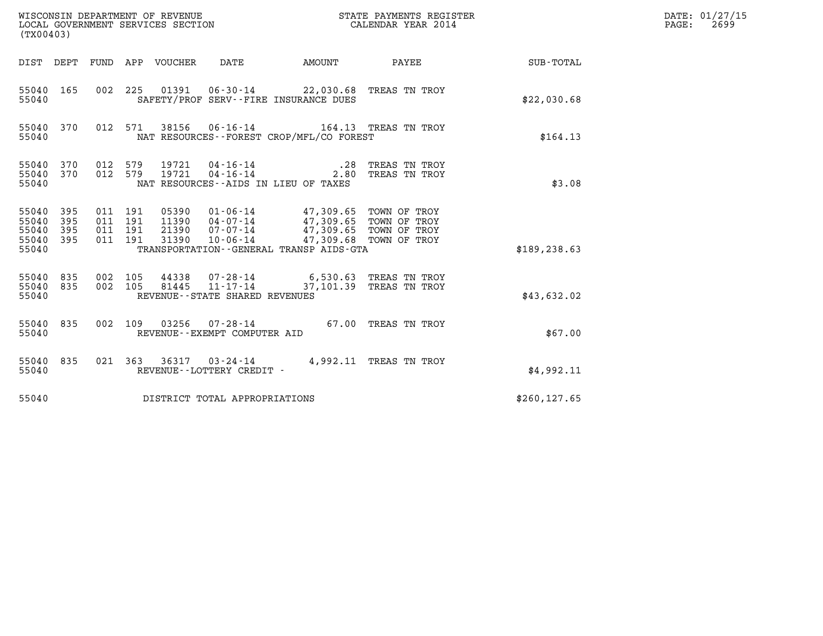| (TX00403)                                 |                          |                                          |         |                                  | WISCONSIN DEPARTMENT OF REVENUE<br>LOCAL GOVERNMENT SERVICES SECTION |                                                                                                                                             | STATE PAYMENTS REGISTER<br>CALENDAR YEAR 2014 |               | DATE: 01/27/15<br>$\mathtt{PAGE:}$<br>2699 |
|-------------------------------------------|--------------------------|------------------------------------------|---------|----------------------------------|----------------------------------------------------------------------|---------------------------------------------------------------------------------------------------------------------------------------------|-----------------------------------------------|---------------|--------------------------------------------|
|                                           |                          |                                          |         | DIST DEPT FUND APP VOUCHER DATE  |                                                                      |                                                                                                                                             | AMOUNT PAYEE                                  | SUB-TOTAL     |                                            |
| 55040 165<br>55040                        |                          |                                          |         |                                  |                                                                      | 002 225 01391 06-30-14 22,030.68 TREAS TN TROY<br>SAFETY/PROF SERV--FIRE INSURANCE DUES                                                     |                                               | \$22,030.68   |                                            |
| 55040 370<br>55040                        |                          |                                          | 012 571 |                                  |                                                                      | 38156  06-16-14    164.13    TREAS TN TROY<br>NAT RESOURCES - - FOREST CROP/MFL/CO FOREST                                                   |                                               | \$164.13      |                                            |
| 55040 370<br>55040<br>55040               | 370                      | 012 579<br>012 579                       |         | 19721<br>19721                   | 04-16-14<br>$04 - 16 - 14$                                           | .28<br>2.80<br>NAT RESOURCES--AIDS IN LIEU OF TAXES                                                                                         | TREAS TN TROY<br>TREAS TN TROY                | \$3.08        |                                            |
| 55040<br>55040<br>55040<br>55040<br>55040 | 395<br>395<br>395<br>395 | 011 191<br>011 191<br>011 191<br>011 191 |         | 05390<br>11390<br>21390<br>31390 | $10 - 06 - 14$                                                       | 01-06-14 47,309.65 TOWN OF TROY<br>04-07-14 47,309.65 TOWN OF TROY<br>$07 - 07 - 14$ $47,309.65$<br>TRANSPORTATION--GENERAL TRANSP AIDS-GTA | TOWN OF TROY<br>47,309.68 TOWN OF TROY        | \$189, 238.63 |                                            |
| 55040<br>55040<br>55040                   | 835<br>835               | 002 105<br>002 105                       |         | 44338<br>81445                   | 11-17-14<br>REVENUE - - STATE SHARED REVENUES                        | 07-28-14 6,530.63 TREAS TN TROY                                                                                                             | 37,101.39 TREAS TN TROY                       | \$43,632.02   |                                            |
| 55040 835<br>55040                        |                          |                                          | 002 109 | 03256                            | REVENUE--EXEMPT COMPUTER AID                                         | 07-28-14 67.00 TREAS TN TROY                                                                                                                |                                               | \$67.00       |                                            |
| 55040 835<br>55040                        |                          |                                          |         |                                  | REVENUE--LOTTERY CREDIT -                                            | 021 363 36317 03-24-14 4,992.11 TREAS TN TROY                                                                                               |                                               | \$4,992.11    |                                            |
| 55040                                     |                          |                                          |         |                                  | DISTRICT TOTAL APPROPRIATIONS                                        |                                                                                                                                             |                                               | \$260, 127.65 |                                            |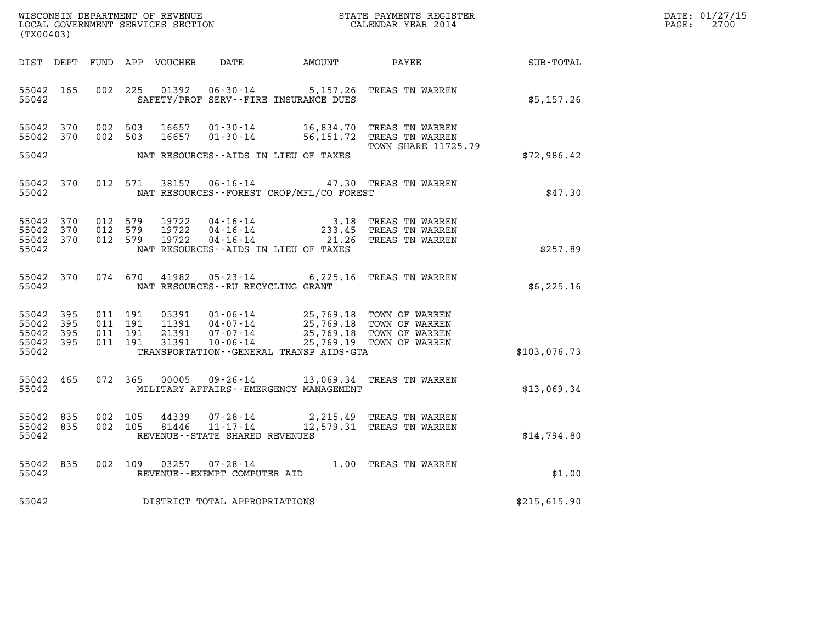| DATE: | 01/27/15 |
|-------|----------|
| PAGE: | 2700     |

| (TX00403)                                         |            |  |                                          |                         |                                   | WISCONSIN DEPARTMENT OF REVENUE<br>LOCAL GOVERNMENT SERVICES SECTION<br>CALENDAR YEAR 2014                                                                                                                          |                                                                                                        |                                                              | DATE: 01/27/15<br>$\mathtt{PAGE:}$<br>2700 |
|---------------------------------------------------|------------|--|------------------------------------------|-------------------------|-----------------------------------|---------------------------------------------------------------------------------------------------------------------------------------------------------------------------------------------------------------------|--------------------------------------------------------------------------------------------------------|--------------------------------------------------------------|--------------------------------------------|
|                                                   |            |  |                                          |                         |                                   |                                                                                                                                                                                                                     |                                                                                                        | DIST DEPT FUND APP VOUCHER DATE AMOUNT PAYEE PAYER SUB-TOTAL |                                            |
| 55042 165<br>55042                                |            |  |                                          |                         |                                   | SAFETY/PROF SERV--FIRE INSURANCE DUES                                                                                                                                                                               | 002 225 01392 06-30-14 5,157.26 TREAS TN WARREN                                                        | \$5,157.26                                                   |                                            |
| 55042 370<br>55042 370                            |            |  | 002 503<br>002 503                       | 16657<br>16657          |                                   |                                                                                                                                                                                                                     | 01-30-14 16,834.70 TREAS TN WARREN<br>01-30-14 56,151.72 TREAS TN WARREN<br><b>TOWN SHARE 11725.79</b> |                                                              |                                            |
| 55042                                             |            |  |                                          |                         |                                   | NAT RESOURCES--AIDS IN LIEU OF TAXES                                                                                                                                                                                |                                                                                                        | \$72,986.42                                                  |                                            |
| 55042 370<br>55042                                |            |  | 012 571                                  |                         |                                   | NAT RESOURCES - - FOREST CROP/MFL/CO FOREST                                                                                                                                                                         | 38157 06-16-14 47.30 TREAS TN WARREN                                                                   | \$47.30                                                      |                                            |
| 55042 370<br>55042 370<br>55042 370<br>55042      |            |  | 012 579<br>012 579<br>012 579            | 19722<br>19722<br>19722 |                                   | NAT RESOURCES--AIDS IN LIEU OF TAXES                                                                                                                                                                                | 04-16-14 3.18 TREAS TN WARREN<br>04-16-14 233.45 TREAS TN WARREN<br>04-16-14 21.26 TREAS TN WARREN     | \$257.89                                                     |                                            |
| 55042 370<br>55042                                |            |  | 074 670                                  |                         | NAT RESOURCES--RU RECYCLING GRANT |                                                                                                                                                                                                                     | 41982  05-23-14  6,225.16  TREAS TN WARREN                                                             | \$6,225.16                                                   |                                            |
| 55042<br>55042<br>55042 395<br>55042 395<br>55042 | 395<br>395 |  | 011 191<br>011 191<br>011 191<br>011 191 |                         |                                   | 05391 01-06-14 25,769.18 TOWN OF WARREN<br>11391 04-07-14 25,769.18 TOWN OF WARREN<br>21391 07-07-14 25,769.18 TOWN OF WARREN<br>31391 10-06-14 25,769.19 TOWN OF WARREN<br>TRANSPORTATION--GENERAL TRANSP AIDS-GTA |                                                                                                        | \$103,076.73                                                 |                                            |
| 55042 465<br>55042                                |            |  |                                          |                         |                                   | MILITARY AFFAIRS - - EMERGENCY MANAGEMENT                                                                                                                                                                           | 072 365 00005 09-26-14 13,069.34 TREAS TN WARREN                                                       | \$13,069.34                                                  |                                            |
| 55042 835<br>55042 835<br>55042                   |            |  | 002 105<br>002 105                       |                         | REVENUE - - STATE SHARED REVENUES |                                                                                                                                                                                                                     | $44339$ $07 - 28 - 14$ 2, 215.49 TREAS TN WARREN<br>81446 11-17-14 12, 579.31 TREAS TN WARREN          | \$14,794.80                                                  |                                            |
| 55042<br>55042                                    | 835        |  |                                          |                         | REVENUE--EXEMPT COMPUTER AID      |                                                                                                                                                                                                                     | 002 109 03257 07-28-14 1.00 TREAS TN WARREN                                                            | \$1.00                                                       |                                            |
| 55042                                             |            |  |                                          |                         | DISTRICT TOTAL APPROPRIATIONS     |                                                                                                                                                                                                                     |                                                                                                        | \$215,615.90                                                 |                                            |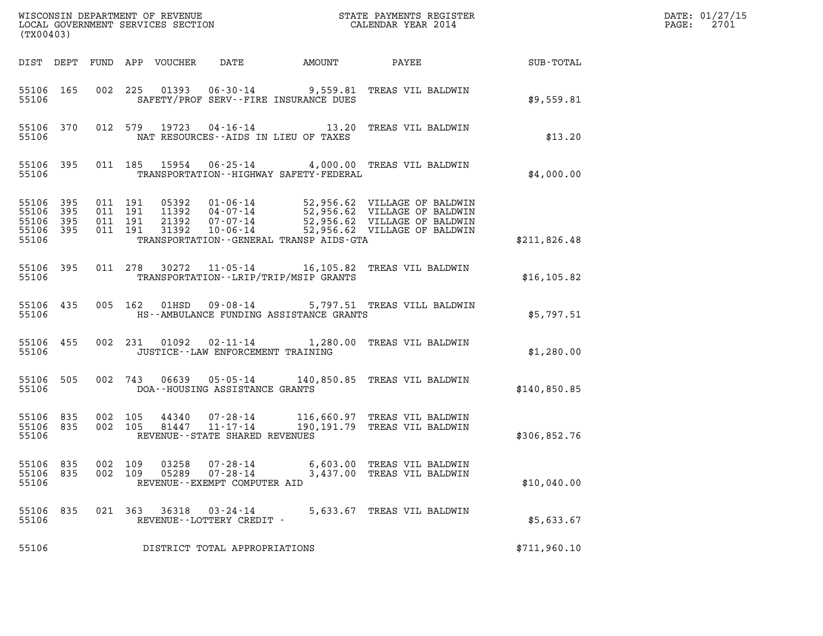| (TX00403)                                             |           |                    |                    |                            |                                                            |                                             |                                                                                                                                                                  |              | DATE: 01/27/15<br>2701<br>$\mathtt{PAGE:}$ |
|-------------------------------------------------------|-----------|--------------------|--------------------|----------------------------|------------------------------------------------------------|---------------------------------------------|------------------------------------------------------------------------------------------------------------------------------------------------------------------|--------------|--------------------------------------------|
|                                                       |           |                    |                    | DIST DEPT FUND APP VOUCHER | DATE                                                       | AMOUNT                                      | PAYEE                                                                                                                                                            | SUB-TOTAL    |                                            |
| 55106                                                 | 55106 165 |                    |                    |                            |                                                            | SAFETY/PROF SERV--FIRE INSURANCE DUES       | 002 225 01393 06-30-14 9,559.81 TREAS VIL BALDWIN                                                                                                                | \$9,559.81   |                                            |
| 55106                                                 | 55106 370 |                    |                    |                            |                                                            | NAT RESOURCES -- AIDS IN LIEU OF TAXES      | 012 579 19723 04-16-14 13.20 TREAS VIL BALDWIN                                                                                                                   | \$13.20      |                                            |
| 55106                                                 | 55106 395 |                    |                    |                            |                                                            | TRANSPORTATION - - HIGHWAY SAFETY - FEDERAL | 011 185 15954 06-25-14 4,000.00 TREAS VIL BALDWIN                                                                                                                | \$4,000.00   |                                            |
| 55106 395<br>55106<br>55106 395<br>55106 395<br>55106 | 395       | 011 191<br>011 191 | 011 191<br>011 191 | 31392                      | 21392 07-07-14<br>10-06-14                                 | TRANSPORTATION - - GENERAL TRANSP AIDS-GTA  | 05392  01-06-14  52,956.62  VILLAGE OF BALDWIN<br>11392  04-07-14  52,956.62  VILLAGE OF BALDWIN<br>52,956.62 VILLAGE OF BALDWIN<br>52,956.62 VILLAGE OF BALDWIN | \$211,826.48 |                                            |
| 55106 395<br>55106                                    |           |                    |                    |                            |                                                            | TRANSPORTATION--LRIP/TRIP/MSIP GRANTS       | 011 278 30272 11-05-14 16,105.82 TREAS VIL BALDWIN                                                                                                               | \$16, 105.82 |                                            |
| 55106 435<br>55106                                    |           |                    | 005 162            | 01HSD                      |                                                            | HS--AMBULANCE FUNDING ASSISTANCE GRANTS     | 09-08-14 5,797.51 TREAS VILL BALDWIN                                                                                                                             | \$5,797.51   |                                            |
| 55106 455<br>55106                                    |           |                    |                    | 002 231 01092              | JUSTICE - - LAW ENFORCEMENT TRAINING                       |                                             | 02-11-14 1,280.00 TREAS VIL BALDWIN                                                                                                                              | \$1,280.00   |                                            |
| 55106 505<br>55106                                    |           |                    | 002 743            | 06639                      | $05 - 05 - 14$<br>DOA--HOUSING ASSISTANCE GRANTS           |                                             | 140,850.85 TREAS VIL BALDWIN                                                                                                                                     | \$140,850.85 |                                            |
| 55106 835<br>55106 835<br>55106                       |           | 002 105<br>002 105 |                    | 44340<br>81447             | $11 - 17 - 14$<br>REVENUE--STATE SHARED REVENUES           |                                             | 07-28-14 116,660.97 TREAS VIL BALDWIN<br>190,191.79 TREAS VIL BALDWIN                                                                                            | \$306,852.76 |                                            |
| 55106 835<br>55106<br>55106                           | 835       | 002 109<br>002 109 |                    | 03258<br>05289             | 07-28-14<br>$07 - 28 - 14$<br>REVENUE--EXEMPT COMPUTER AID |                                             | 6,603.00 TREAS VIL BALDWIN<br>3,437.00 TREAS VIL BALDWIN                                                                                                         | \$10,040.00  |                                            |
| 55106 835<br>55106                                    |           |                    | 021 363            | 36318                      | $03 - 24 - 14$<br>REVENUE--LOTTERY CREDIT -                |                                             | 5,633.67 TREAS VIL BALDWIN                                                                                                                                       | \$5,633.67   |                                            |
| 55106                                                 |           |                    |                    |                            | DISTRICT TOTAL APPROPRIATIONS                              |                                             |                                                                                                                                                                  | \$711,960.10 |                                            |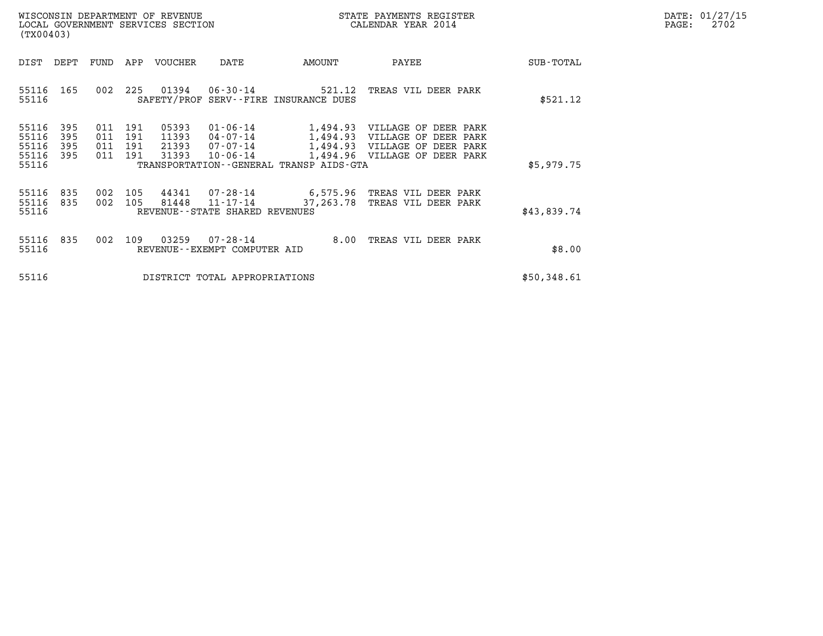| DATE:             | 01/27/15 |
|-------------------|----------|
| $\mathtt{PAGE}$ : | 2702     |

| WISCONSIN DEPARTMENT OF REVENUE<br>LOCAL GOVERNMENT SERVICES SECTION<br>(TX00403) |                          |                          |                          |                                  |                                               | STATE PAYMENTS REGISTER<br>CALENDAR YEAR 2014                      |                                                                                                                                                    |             | DATE: 01/27/15<br>2702<br>$\mathtt{PAGE:}$ |
|-----------------------------------------------------------------------------------|--------------------------|--------------------------|--------------------------|----------------------------------|-----------------------------------------------|--------------------------------------------------------------------|----------------------------------------------------------------------------------------------------------------------------------------------------|-------------|--------------------------------------------|
| DIST                                                                              | DEPT                     |                          |                          | FUND APP VOUCHER                 | DATE                                          | AMOUNT                                                             | PAYEE                                                                                                                                              | SUB-TOTAL   |                                            |
| 55116 165<br>55116                                                                |                          | 002                      |                          |                                  |                                               | 225 01394 06-30-14 521.12<br>SAFETY/PROF SERV--FIRE INSURANCE DUES | TREAS VIL DEER PARK                                                                                                                                | \$521.12    |                                            |
| 55116<br>55116<br>55116<br>55116<br>55116                                         | 395<br>395<br>395<br>395 | 011<br>011<br>011<br>011 | 191<br>191<br>191<br>191 | 05393<br>11393<br>21393<br>31393 | 07-07-14<br>$10 - 06 - 14$                    | TRANSPORTATION - - GENERAL TRANSP AIDS - GTA                       | 01-06-14 1,494.93 VILLAGE OF DEER PARK<br>04-07-14 1,494.93 VILLAGE OF DEER PARK<br>1,494.93 VILLAGE OF DEER PARK<br>1,494.96 VILLAGE OF DEER PARK | \$5,979.75  |                                            |
| 55116<br>55116<br>55116                                                           | 835<br>835               | 002<br>002               | 105                      | 81448                            | 11-17-14<br>REVENUE - - STATE SHARED REVENUES | 37,263.78                                                          | 105  44341  07-28-14  6,575.96  TREAS VIL DEER PARK<br>TREAS VIL DEER PARK                                                                         | \$43,839.74 |                                            |
| 55116<br>55116                                                                    | 835                      |                          | 002 109                  | 03259                            | 07-28-14<br>REVENUE - - EXEMPT COMPUTER AID   |                                                                    | 8.00 TREAS VIL DEER PARK                                                                                                                           | \$8.00      |                                            |
| 55116                                                                             |                          |                          |                          |                                  | DISTRICT TOTAL APPROPRIATIONS                 |                                                                    |                                                                                                                                                    | \$50,348.61 |                                            |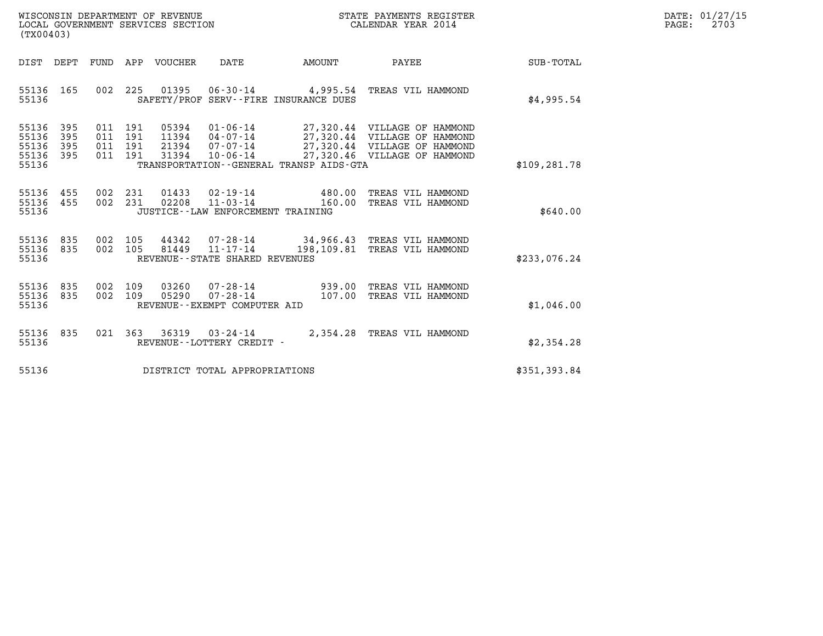| WISCONSIN DEPARTMENT OF REVENUE   | STATE PAYMENTS REGISTER | DATE: 01/27/15 |
|-----------------------------------|-------------------------|----------------|
| LOCAL GOVERNMENT SERVICES SECTION | CALENDAR YEAR 2014      | 2703<br>PAGE:  |

| (TX00403)                                                                                         |                                                                                                                                                                          |                                                                                                                              |                  |
|---------------------------------------------------------------------------------------------------|--------------------------------------------------------------------------------------------------------------------------------------------------------------------------|------------------------------------------------------------------------------------------------------------------------------|------------------|
| DIST<br>DEPT<br>FUND                                                                              | APP<br><b>VOUCHER</b><br><b>DATE</b><br><b>AMOUNT</b>                                                                                                                    | PAYEE                                                                                                                        | <b>SUB-TOTAL</b> |
| 002<br>165<br>55136<br>55136                                                                      | 225<br>01395<br>$06 - 30 - 14$<br>4,995.54<br>SAFETY/PROF SERV--FIRE INSURANCE DUES                                                                                      | TREAS VIL HAMMOND                                                                                                            | \$4,995.54       |
| 55136<br>395<br>011<br>395<br>55136<br>011<br>395<br>55136<br>011<br>011<br>55136<br>395<br>55136 | $01 - 06 - 14$<br>191<br>05394<br>191<br>11394<br>04-07-14<br>191<br>21394<br>07-07-14<br>31394<br>191<br>$10 - 06 - 14$<br>TRANSPORTATION - - GENERAL TRANSP AIDS - GTA | 27,320.44 VILLAGE OF HAMMOND<br>27,320.44 VILLAGE OF HAMMOND<br>27,320.44 VILLAGE OF HAMMOND<br>27,320.46 VILLAGE OF HAMMOND | \$109,281.78     |
| 455<br>002<br>55136<br>002<br>55136<br>455<br>55136                                               | 231<br>01433<br>02-19-14<br>231<br>02208<br>$11 - 03 - 14$<br>JUSTICE - - LAW ENFORCEMENT TRAINING                                                                       | 480.00<br>TREAS VIL HAMMOND<br>160.00<br>TREAS VIL HAMMOND                                                                   | \$640.00         |
| 835<br>002<br>55136<br>002<br>835<br>55136<br>55136                                               | 105<br>44342<br>$07 - 28 - 14$<br>105<br>81449<br>$11 - 17 - 14$<br>REVENUE - - STATE SHARED REVENUES                                                                    | 34,966.43<br>TREAS VIL HAMMOND<br>198,109.81<br>TREAS VIL HAMMOND                                                            | \$233,076.24     |
| 55136<br>835<br>002<br>835<br>002<br>55136<br>55136                                               | 109<br>03260<br>$07 - 28 - 14$<br>109<br>05290<br>$07 - 28 - 14$<br>REVENUE--EXEMPT COMPUTER AID                                                                         | 939.00<br>TREAS VIL HAMMOND<br>107.00<br>TREAS VIL HAMMOND                                                                   | \$1,046.00       |
| 835<br>021<br>55136<br>55136                                                                      | 363<br>36319<br>$03 - 24 - 14$<br>REVENUE - - LOTTERY CREDIT -                                                                                                           | 2,354.28<br>TREAS VIL HAMMOND                                                                                                | \$2,354.28       |
| 55136                                                                                             | DISTRICT TOTAL APPROPRIATIONS                                                                                                                                            |                                                                                                                              | \$351,393.84     |

(TX00403)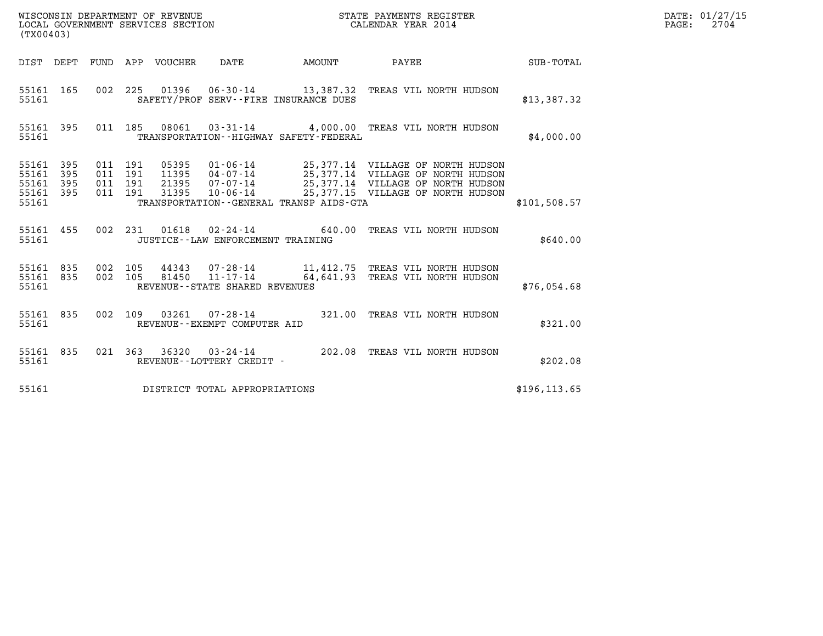| (TX00403)                                                                                             |                                                                                                                                                                                                                                                                     | STATE PAYMENTS REGISTER |               | DATE: 01/27/15<br>$\mathtt{PAGE:}$<br>2704 |
|-------------------------------------------------------------------------------------------------------|---------------------------------------------------------------------------------------------------------------------------------------------------------------------------------------------------------------------------------------------------------------------|-------------------------|---------------|--------------------------------------------|
| DIST DEPT FUND APP VOUCHER DATE                                                                       | AMOUNT                                                                                                                                                                                                                                                              | PAYEE                   | SUB-TOTAL     |                                            |
| 55161 165<br>55161                                                                                    | 002 225 01396 06-30-14 13,387.32 TREAS VIL NORTH HUDSON<br>SAFETY/PROF SERV--FIRE INSURANCE DUES                                                                                                                                                                    |                         | \$13,387.32   |                                            |
| 55161 395<br>55161                                                                                    | 011 185 08061 03-31-14 4,000.00 TREAS VIL NORTH HUDSON<br>TRANSPORTATION - - HIGHWAY SAFETY - FEDERAL                                                                                                                                                               |                         | \$4,000.00    |                                            |
| 011 191<br>55161 395<br>55161 395<br>011 191<br>55161 395<br>011 191<br>011 191<br>55161 395<br>55161 | 05395  01-06-14  25,377.14  VILLAGE OF NORTH HUDSON<br>11395  04-07-14  25,377.14  VILLAGE OF NORTH HUDSON<br>21395  07-07-14  25,377.14  VILLAGE OF NORTH HUDSON<br>31395  10-06-14  25,377.15  VILLAGE OF NORTH HUDSON<br>TRANSPORTATION--GENERAL TRANSP AIDS-GTA |                         | \$101,508.57  |                                            |
| 55161 455<br>55161                                                                                    | 002 231 01618 02-24-14 640.00 TREAS VIL NORTH HUDSON<br>JUSTICE - - LAW ENFORCEMENT TRAINING                                                                                                                                                                        |                         | \$640.00      |                                            |
| 55161 835 002 105<br>55161 835<br>55161                                                               | 002 105 44343 07-28-14 11,412.75 TREAS VIL NORTH HUDSON 002 105 81450 11-17-14 64,641.93 TREAS VIL NORTH HUDSON<br>REVENUE - - STATE SHARED REVENUES                                                                                                                |                         | \$76,054.68   |                                            |
| 55161 835<br>002 109<br>55161                                                                         | 03261  07-28-14  321.00 TREAS VIL NORTH HUDSON<br>REVENUE--EXEMPT COMPUTER AID                                                                                                                                                                                      |                         | \$321.00      |                                            |
| 55161 835<br>55161                                                                                    | 021 363 36320 03-24-14 202.08 TREAS VIL NORTH HUDSON<br>REVENUE--LOTTERY CREDIT -                                                                                                                                                                                   |                         | \$202.08      |                                            |
| 55161                                                                                                 | DISTRICT TOTAL APPROPRIATIONS                                                                                                                                                                                                                                       |                         | \$196, 113.65 |                                            |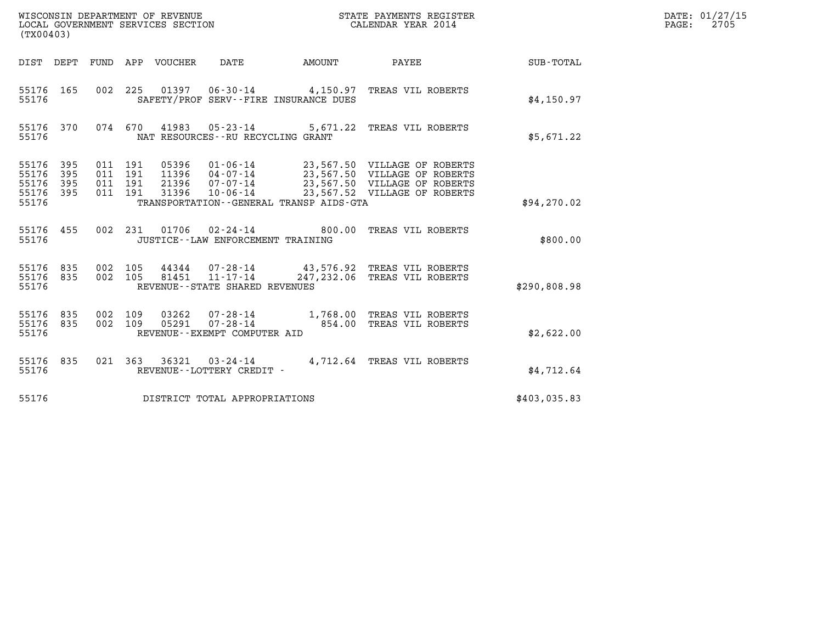| (TX00403)                                     |                   |         |                               |                                 | WISCONSIN DEPARTMENT OF REVENUE<br>LOCAL GOVERNMENT SERVICES SECTION  |                                         | STATE PAYMENTS REGISTER<br>CALENDAR YEAR 2014                                                                                                                                      |              | DATE: 01/27/15<br>$\mathtt{PAGE:}$<br>2705 |
|-----------------------------------------------|-------------------|---------|-------------------------------|---------------------------------|-----------------------------------------------------------------------|-----------------------------------------|------------------------------------------------------------------------------------------------------------------------------------------------------------------------------------|--------------|--------------------------------------------|
|                                               |                   |         |                               | DIST DEPT FUND APP VOUCHER DATE |                                                                       | AMOUNT                                  | <b>PAYEE</b> PAYEE                                                                                                                                                                 | SUB-TOTAL    |                                            |
| 55176 165<br>55176                            |                   |         |                               |                                 | SAFETY/PROF SERV--FIRE INSURANCE DUES                                 |                                         | 002 225 01397 06-30-14 4,150.97 TREAS VIL ROBERTS                                                                                                                                  | \$4,150.97   |                                            |
| 55176 370<br>55176                            |                   |         | 074 670                       |                                 | NAT RESOURCES - - RU RECYCLING GRANT                                  |                                         | 41983  05-23-14  5,671.22  TREAS VIL ROBERTS                                                                                                                                       | \$5,671.22   |                                            |
| 55176 395<br>55176<br>55176<br>55176<br>55176 | 395<br>395<br>395 | 011 191 | 011 191<br>011 191<br>011 191 | 05396<br>11396                  |                                                                       | TRANSPORTATION--GENERAL TRANSP AIDS-GTA | 01-06-14 23,567.50 VILLAGE OF ROBERTS<br>04-07-14 23,567.50 VILLAGE OF ROBERTS<br>21396  07-07-14  23,567.50  VILLAGE OF ROBERTS<br>31396  10-06-14  23,567.52  VILLAGE OF ROBERTS | \$94, 270.02 |                                            |
| 55176 455<br>55176                            |                   |         |                               |                                 | JUSTICE - - LAW ENFORCEMENT TRAINING                                  |                                         | 002  231  01706  02-24-14  800.00  TREAS VIL ROBERTS                                                                                                                               | \$800.00     |                                            |
| 55176 835<br>55176<br>55176                   | 835               |         | 002 105<br>002 105            | 81451                           | 44344 07-28-14<br>$11 - 17 - 14$<br>REVENUE - - STATE SHARED REVENUES |                                         | 43,576.92 TREAS VIL ROBERTS<br>247,232.06 TREAS VIL ROBERTS                                                                                                                        | \$290,808.98 |                                            |
| 55176 835<br>55176 835<br>55176               |                   | 002 109 | 002 109                       | 03262<br>05291                  | REVENUE--EXEMPT COMPUTER AID                                          |                                         | 07-28-14 1,768.00 TREAS VIL ROBERTS<br>07-28-14 0854.00 TREAS VIL ROBERTS                                                                                                          | \$2,622.00   |                                            |
| 55176 835<br>55176                            |                   |         |                               |                                 | REVENUE--LOTTERY CREDIT -                                             |                                         | 021  363  36321  03-24-14  4,712.64  TREAS VIL ROBERTS                                                                                                                             | \$4,712.64   |                                            |
| 55176                                         |                   |         |                               |                                 | DISTRICT TOTAL APPROPRIATIONS                                         |                                         |                                                                                                                                                                                    | \$403,035.83 |                                            |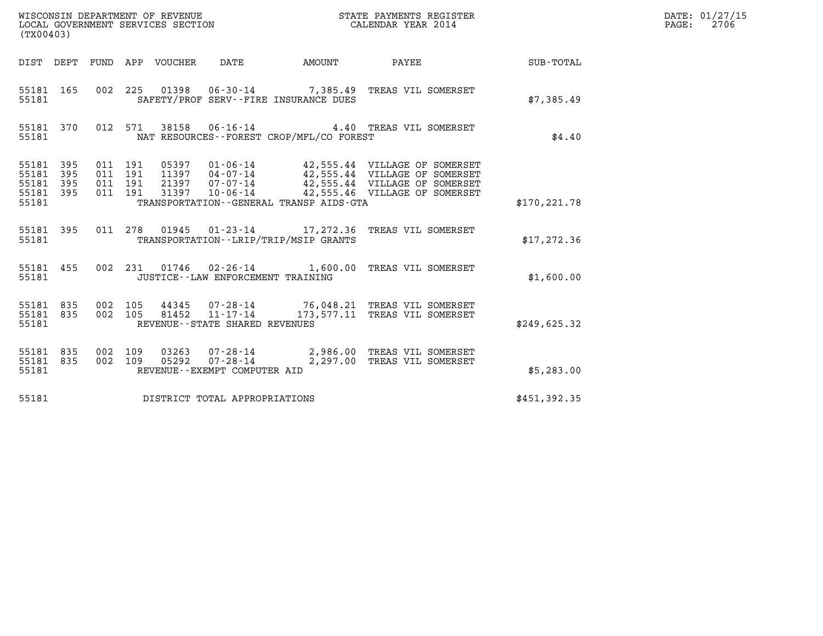| WISCONSIN DEPARTMENT OF REVENUE<br>LOCAL GOVERNMENT SERVICES SECTION<br>CALENDAR YEAR 2014<br>(TX00403) |                        |                               |         |  |                                       |                                          |                                                                                                                                                                                                          |               | DATE: 01/27/15<br>$\mathtt{PAGE:}$<br>2706 |
|---------------------------------------------------------------------------------------------------------|------------------------|-------------------------------|---------|--|---------------------------------------|------------------------------------------|----------------------------------------------------------------------------------------------------------------------------------------------------------------------------------------------------------|---------------|--------------------------------------------|
|                                                                                                         |                        |                               |         |  |                                       |                                          | DIST DEPT FUND APP VOUCHER DATE AMOUNT PAYEE SUB-TOTAL                                                                                                                                                   |               |                                            |
| 55181                                                                                                   | 55181 165              |                               |         |  | SAFETY/PROF SERV--FIRE INSURANCE DUES |                                          | 002 225 01398 06-30-14 7,385.49 TREAS VIL SOMERSET                                                                                                                                                       | \$7,385.49    |                                            |
| 55181                                                                                                   |                        |                               |         |  |                                       | NAT RESOURCES--FOREST CROP/MFL/CO FOREST | 55181 370 012 571 38158 06-16-14 4.40 TREAS VIL SOMERSET                                                                                                                                                 | \$4.40        |                                            |
| 55181 395<br>55181<br>55181 395<br>55181 395<br>55181                                                   | 395                    | 011 191<br>011 191<br>011 191 | 011 191 |  |                                       | TRANSPORTATION--GENERAL TRANSP AIDS-GTA  | 05397  01-06-14  42,555.44  VILLAGE OF SOMERSET<br>11397  04-07-14  42,555.44  VILLAGE OF SOMERSET<br>21397  07-07-14  42,555.44  VILLAGE OF SOMERSET<br>31397  10-06-14  42,555.46  VILLAGE OF SOMERSET | \$170, 221.78 |                                            |
| 55181                                                                                                   |                        |                               |         |  | TRANSPORTATION--LRIP/TRIP/MSIP GRANTS |                                          | 55181 395 011 278 01945 01-23-14 17,272.36 TREAS VIL SOMERSET                                                                                                                                            | \$17, 272.36  |                                            |
| 55181                                                                                                   | 55181 455              |                               |         |  | JUSTICE - - LAW ENFORCEMENT TRAINING  |                                          | 002 231 01746 02-26-14 1,600.00 TREAS VIL SOMERSET                                                                                                                                                       | \$1,600.00    |                                            |
| 55181                                                                                                   |                        |                               |         |  | REVENUE--STATE SHARED REVENUES        |                                          | 55181 835 002 105 44345 07-28-14 76,048.21 TREAS VIL SOMERSET 55181 835 002 105 81452 11-17-14 173,577.11 TREAS VIL SOMERSET                                                                             | \$249,625.32  |                                            |
| 55181                                                                                                   | 55181 835<br>55181 835 |                               |         |  | REVENUE--EXEMPT COMPUTER AID          |                                          | 002 109 03263 07-28-14 2,986.00 TREAS VIL SOMERSET<br>002 109 05292 07-28-14 2,297.00 TREAS VIL SOMERSET                                                                                                 | \$5,283.00    |                                            |
| 55181                                                                                                   |                        |                               |         |  | DISTRICT TOTAL APPROPRIATIONS         |                                          |                                                                                                                                                                                                          | \$451,392.35  |                                            |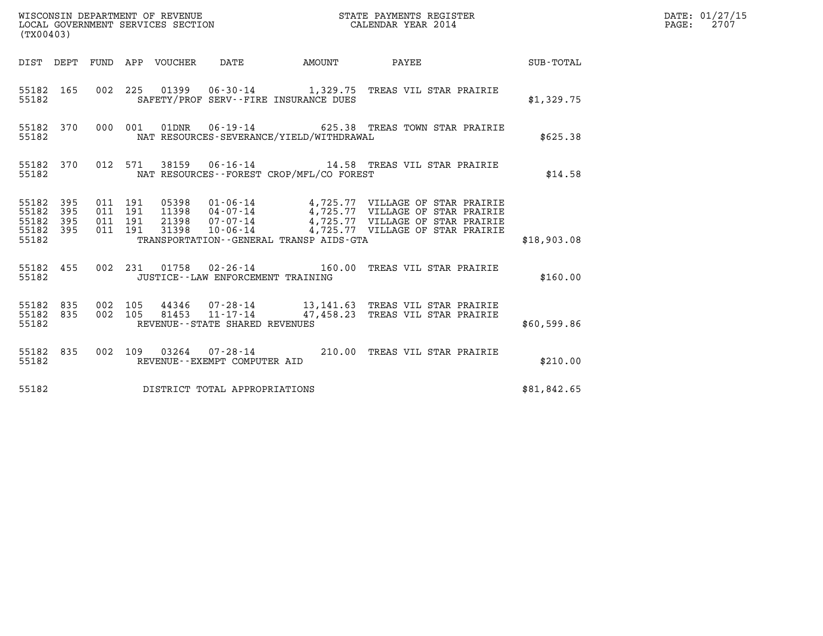| (TX00403)                                                    |         |                                          |                                                | WISCONSIN DEPARTMENT OF REVENUE<br>LOCAL GOVERNMENT SERVICES SECTION<br>LOCAL GOVERNMENT SERVICES SECTION<br>CALENDAR YEAR 2014                                                                                                                                      |             | DATE: 01/27/15<br>$\mathtt{PAGE:}$<br>2707 |
|--------------------------------------------------------------|---------|------------------------------------------|------------------------------------------------|----------------------------------------------------------------------------------------------------------------------------------------------------------------------------------------------------------------------------------------------------------------------|-------------|--------------------------------------------|
|                                                              |         |                                          |                                                | DIST DEPT FUND APP VOUCHER DATE AMOUNT PAYEE SUB-TOTAL                                                                                                                                                                                                               |             |                                            |
| 55182                                                        |         |                                          | SAFETY/PROF SERV--FIRE INSURANCE DUES          | 55182 165 002 225 01399 06-30-14 1,329.75 TREAS VIL STAR PRAIRIE                                                                                                                                                                                                     | \$1,329.75  |                                            |
| 55182                                                        |         |                                          | NAT RESOURCES-SEVERANCE/YIELD/WITHDRAWAL       | 55182 370 000 001 01DNR 06-19-14 625.38 TREAS TOWN STAR PRAIRIE                                                                                                                                                                                                      | \$625.38    |                                            |
|                                                              |         |                                          | 55182 NAT RESOURCES--FOREST CROP/MFL/CO FOREST | 55182 370 012 571 38159 06-16-14 14.58 TREAS VIL STAR PRAIRIE                                                                                                                                                                                                        | \$14.58     |                                            |
| 55182 395<br>55182 395<br>55182<br>395<br>55182 395<br>55182 |         | 011 191<br>011 191<br>011 191<br>011 191 |                                                | 05398  01-06-14  4,725.77  VILLAGE OF STAR PRAIRIE<br>11398  04-07-14  4,725.77  VILLAGE OF STAR PRAIRIE<br>21398  07-07-14  4,725.77  VILLAGE OF STAR PRAIRIE<br>31398  10-06-14  4,725.77  VILLAGE OF STAR PRAIRIE<br>TRANSPORTATION - - GENERAL TRANSP AIDS - GTA | \$18,903.08 |                                            |
| 55182                                                        |         |                                          | JUSTICE - - LAW ENFORCEMENT TRAINING           | 55182 455 002 231 01758 02-26-14 160.00 TREAS VIL STAR PRAIRIE                                                                                                                                                                                                       | \$160.00    |                                            |
| 55182 835<br>55182 835<br>55182                              | 002 105 | 002 105                                  | REVENUE--STATE SHARED REVENUES                 |                                                                                                                                                                                                                                                                      | \$60,599.86 |                                            |
| 55182                                                        |         |                                          | REVENUE--EXEMPT COMPUTER AID                   | 55182 835 002 109 03264 07-28-14 210.00 TREAS VIL STAR PRAIRIE                                                                                                                                                                                                       | \$210.00    |                                            |
| 55182                                                        |         |                                          | DISTRICT TOTAL APPROPRIATIONS                  |                                                                                                                                                                                                                                                                      | \$81,842.65 |                                            |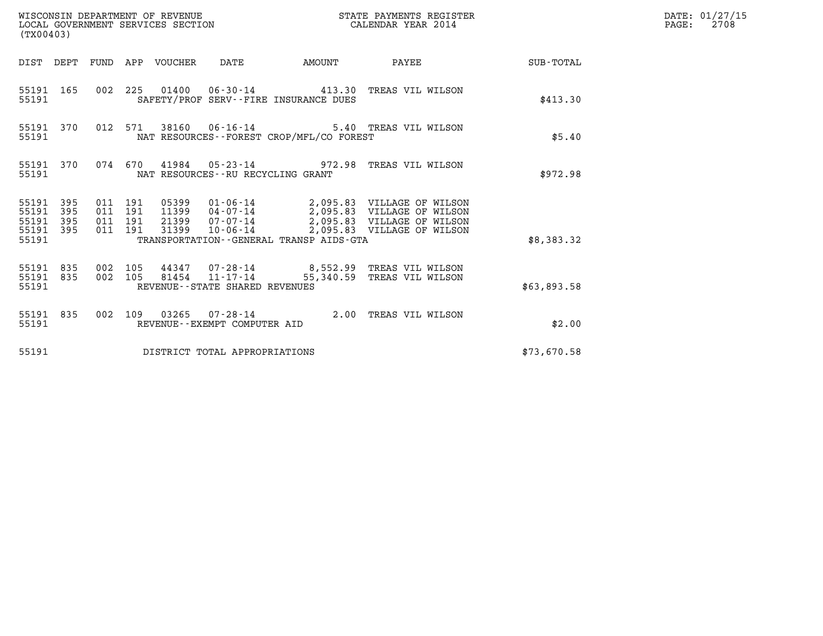| WISCONSIN DEPARTMENT OF REVENUE<br>WISCONSIN DEPARTMENT OF REVENUE<br>LOCAL GOVERNMENT SERVICES SECTION<br>(TX00403) |           |                                          |         |                                 |                                                      |                                          | STATE PAYMENTS REGISTER<br>CALENDAR YEAR 2014                                                                                                                              |                 | DATE: 01/27/15<br>$\mathtt{PAGE:}$<br>2708 |
|----------------------------------------------------------------------------------------------------------------------|-----------|------------------------------------------|---------|---------------------------------|------------------------------------------------------|------------------------------------------|----------------------------------------------------------------------------------------------------------------------------------------------------------------------------|-----------------|--------------------------------------------|
|                                                                                                                      |           |                                          |         | DIST DEPT FUND APP VOUCHER DATE |                                                      | AMOUNT                                   |                                                                                                                                                                            | PAYEE SUB-TOTAL |                                            |
| 55191                                                                                                                | 55191 165 |                                          |         |                                 |                                                      | SAFETY/PROF SERV--FIRE INSURANCE DUES    | 002 225 01400 06-30-14 413.30 TREAS VIL WILSON                                                                                                                             | \$413.30        |                                            |
| 55191                                                                                                                | 55191 370 |                                          | 012 571 |                                 |                                                      | NAT RESOURCES--FOREST CROP/MFL/CO FOREST | 38160  06-16-14  5.40 TREAS VIL WILSON                                                                                                                                     | \$5.40          |                                            |
| 55191                                                                                                                | 55191 370 |                                          |         |                                 | NAT RESOURCES - - RU RECYCLING GRANT                 |                                          | 074 670 41984 05-23-14 972.98 TREAS VIL WILSON                                                                                                                             | \$972.98        |                                            |
| 55191 395<br>55191<br>55191 395<br>55191 395<br>55191                                                                | 395       | 011 191<br>011 191<br>011 191<br>011 191 |         |                                 | 31399 10-06-14                                       | TRANSPORTATION--GENERAL TRANSP AIDS-GTA  | 05399  01-06-14  2,095.83  VILLAGE OF WILSON<br>11399  04-07-14  2,095.83  VILLAGE OF WILSON<br>21399  07-07-14  2,095.83  VILLAGE OF WILSON<br>2,095.83 VILLAGE OF WILSON | \$8,383.32      |                                            |
| 55191 835<br>55191                                                                                                   | 55191 835 | 002 105<br>002 105                       |         |                                 | $81454$ $11-17-14$<br>REVENUE--STATE SHARED REVENUES |                                          | 44347 07-28-14 8,552.99 TREAS VIL WILSON<br>55,340.59 TREAS VIL WILSON                                                                                                     | \$63,893.58     |                                            |
| 55191                                                                                                                | 55191 835 |                                          |         |                                 | REVENUE--EXEMPT COMPUTER AID                         |                                          | 002 109 03265 07-28-14 2.00 TREAS VIL WILSON                                                                                                                               | \$2.00          |                                            |
| 55191                                                                                                                |           |                                          |         |                                 | DISTRICT TOTAL APPROPRIATIONS                        |                                          |                                                                                                                                                                            | \$73,670.58     |                                            |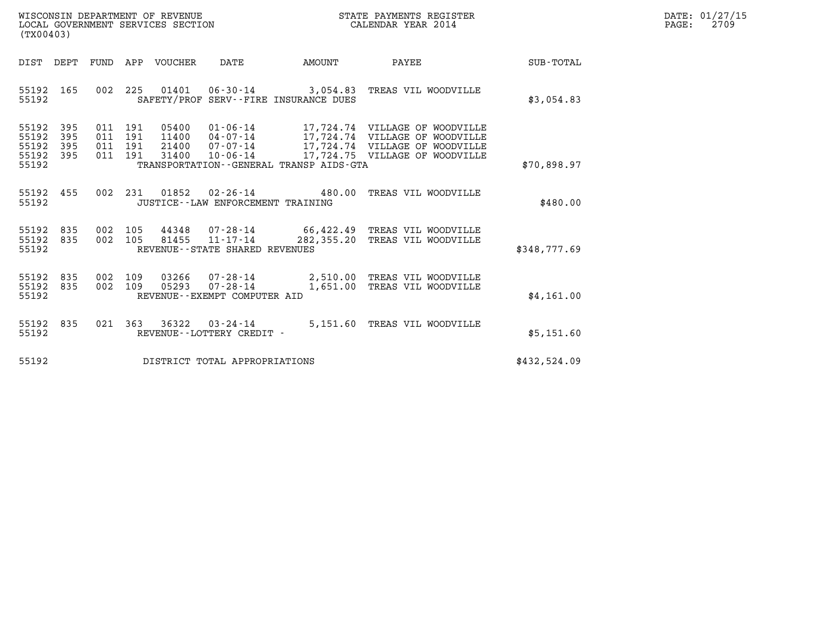| WISCONSIN DEPARTMENT OF REVENUE   | STATE PAYMENTS REGISTER | DATE: 01/27/15 |
|-----------------------------------|-------------------------|----------------|
| LOCAL GOVERNMENT SERVICES SECTION | CALENDAR YEAR 2014      | 2709<br>PAGE:  |

| WISCONSIN DEPARTMENT OF REVENUE<br>LOCAL GOVERNMENT SERVICES SECTION<br>(TX00403) |                   |  |         |                       |                                                |                                         | STATE PAYMENTS REGISTER<br>CALENDAR YEAR 2014                                                         |              | DATE: 01/27/15<br>PAGE:<br>2709 |
|-----------------------------------------------------------------------------------|-------------------|--|---------|-----------------------|------------------------------------------------|-----------------------------------------|-------------------------------------------------------------------------------------------------------|--------------|---------------------------------|
| DIST DEPT                                                                         |                   |  |         | FUND APP VOUCHER DATE |                                                | <b>EXAMPLE THE PROPERTY OF AMOUNT</b>   | PAYEE                                                                                                 | SUB-TOTAL    |                                 |
| 55192 165<br>55192                                                                |                   |  |         |                       |                                                | SAFETY/PROF SERV--FIRE INSURANCE DUES   | 002 225 01401 06-30-14 3,054.83 TREAS VIL WOODVILLE                                                   | \$3,054.83   |                                 |
| 55192<br>55192<br>55192<br>55192 395<br>55192                                     | 395<br>395<br>395 |  |         |                       |                                                | TRANSPORTATION--GENERAL TRANSP AIDS-GTA |                                                                                                       | \$70,898.97  |                                 |
| 55192 455<br>55192                                                                |                   |  |         |                       | JUSTICE -- LAW ENFORCEMENT TRAINING            |                                         | 002 231 01852 02-26-14 480.00 TREAS VIL WOODVILLE                                                     | \$480.00     |                                 |
| 55192 835<br>55192 835<br>55192                                                   |                   |  | 002 105 |                       | REVENUE--STATE SHARED REVENUES                 |                                         | 002 105 44348 07-28-14 66,422.49 TREAS VIL WOODVILLE<br>81455 11-17-14 282,355.20 TREAS VIL WOODVILLE | \$348,777.69 |                                 |
| 55192 835<br>55192 835<br>55192                                                   |                   |  |         | 002 109 05293         | $07 - 28 - 14$<br>REVENUE--EXEMPT COMPUTER AID |                                         | 002 109 03266 07-28-14 2,510.00 TREAS VIL WOODVILLE<br>1,651.00 TREAS VIL WOODVILLE                   | \$4,161.00   |                                 |
| 55192 835<br>55192                                                                |                   |  |         |                       | REVENUE--LOTTERY CREDIT -                      |                                         | 021 363 36322 03-24-14 5,151.60 TREAS VIL WOODVILLE                                                   | \$5,151.60   |                                 |
| 55192                                                                             |                   |  |         |                       | DISTRICT TOTAL APPROPRIATIONS                  |                                         |                                                                                                       | \$432,524.09 |                                 |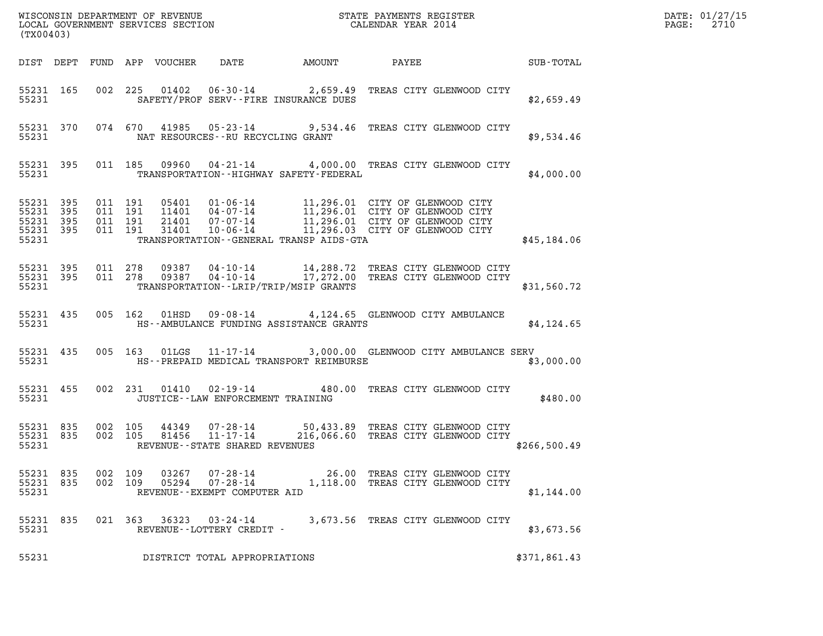| (TX00403)                       |           |                                                                        |  |       |                                             |                                                                                                                                                                                              |  |              | DATE: 01/27/15<br>$\mathtt{PAGE:}$<br>2710 |
|---------------------------------|-----------|------------------------------------------------------------------------|--|-------|---------------------------------------------|----------------------------------------------------------------------------------------------------------------------------------------------------------------------------------------------|--|--------------|--------------------------------------------|
|                                 |           |                                                                        |  |       |                                             |                                                                                                                                                                                              |  |              |                                            |
|                                 | 55231     |                                                                        |  |       |                                             | 55231 165 002 225 01402 06-30-14 2,659.49 TREAS CITY GLENWOOD CITY<br>SAFETY/PROF SERV--FIRE INSURANCE DUES                                                                                  |  | \$2,659.49   |                                            |
|                                 |           | 55231                                                                  |  |       | NAT RESOURCES--RU RECYCLING GRANT           | 55231 370 074 670 41985 05-23-14 9,534.46 TREAS CITY GLENWOOD CITY                                                                                                                           |  | \$9,534.46   |                                            |
|                                 |           | 55231                                                                  |  |       |                                             | 55231 395 011 185 09960 04-21-14 4,000.00 TREAS CITY GLENWOOD CITY<br>TRANSPORTATION--HIGHWAY SAFETY-FEDERAL                                                                                 |  | \$4,000.00   |                                            |
| 55231 395<br>55231              |           | 55231 395 011 191<br>011 191<br>55231 395 011 191<br>55231 395 011 191 |  |       |                                             | TRANSPORTATION - GENERAL TRANSP AIDS - GTA                                                                                                                                                   |  | \$45,184.06  |                                            |
|                                 |           |                                                                        |  |       |                                             | 55231 395 011 278 09387 04-10-14 14,288.72 TREAS CITY GLENWOOD CITY<br>55231 395 011 278 09387 04-10-14 17,272.00 TREAS CITY GLENWOOD CITY<br>55231 TRANSPORTATION - - LRIP/TRIP/MSIP GRANTS |  | \$31,560.72  |                                            |
|                                 |           |                                                                        |  |       |                                             | 55231 435 005 162 01HSD 09-08-14 4,124.65 GLENWOOD CITY AMBULANCE<br>55231 HS--AMBULANCE FUNDING ASSISTANCE GRANTS                                                                           |  | \$4,124.65   |                                            |
|                                 |           |                                                                        |  |       |                                             | 55231 435 005 163 01LGS 11-17-14 3,000.00 GLENWOOD CITY AMBULANCE SERV<br>55231 MS--PREPAID MEDICAL TRANSPORT REIMBURSE                                                                      |  | \$3,000.00   |                                            |
|                                 |           | 55231 and $\sim$                                                       |  |       | JUSTICE - - LAW ENFORCEMENT TRAINING        | 55231 455 002 231 01410 02-19-14 480.00 TREAS CITY GLENWOOD CITY                                                                                                                             |  | \$480.00     |                                            |
| 55231                           | 55231 835 | 55231 835 002 105                                                      |  |       |                                             | 002 105 44349 07-28-14 50,433.89 TREAS CITY GLENWOOD CITY<br>002 105 81456 11-17-14 216,066.60 TREAS CITY GLENWOOD CITY<br>REVENUE--STATE SHARED REVENUES                                    |  | \$266,500.49 |                                            |
| 55231 835<br>55231 835<br>55231 |           | 002 109<br>002 109                                                     |  | 05294 | 07-28-14<br>REVENUE - - EXEMPT COMPUTER AID | 03267  07-28-14  26.00 TREAS CITY GLENWOOD CITY<br>1,118.00 TREAS CITY GLENWOOD CITY                                                                                                         |  | \$1,144.00   |                                            |
| 55231 835<br>55231              |           |                                                                        |  |       | REVENUE--LOTTERY CREDIT -                   | 021  363  36323  03-24-14  3,673.56  TREAS CITY GLENWOOD CITY                                                                                                                                |  | \$3,673.56   |                                            |
| 55231                           |           |                                                                        |  |       | DISTRICT TOTAL APPROPRIATIONS               |                                                                                                                                                                                              |  | \$371,861.43 |                                            |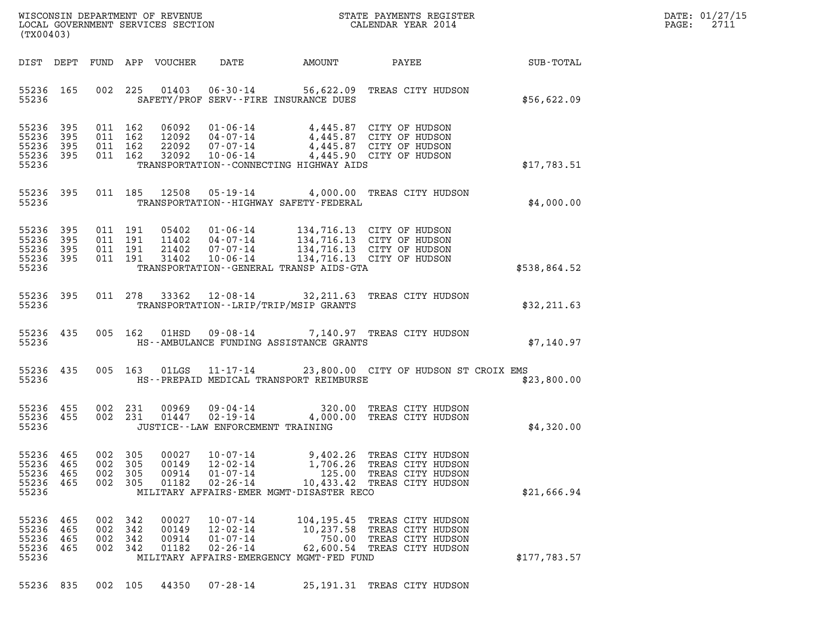|       | DATE: 01/27/15 |
|-------|----------------|
| PAGE: | 2711           |

| (TX00403)                                             |                          |                          |                                          |                                  |                                                                      |                                                                            |                                                                                                                                                                              |                 | DATE: 01/27/15<br>2711<br>$\mathtt{PAGE:}$ |
|-------------------------------------------------------|--------------------------|--------------------------|------------------------------------------|----------------------------------|----------------------------------------------------------------------|----------------------------------------------------------------------------|------------------------------------------------------------------------------------------------------------------------------------------------------------------------------|-----------------|--------------------------------------------|
|                                                       |                          |                          |                                          | DIST DEPT FUND APP VOUCHER       | DATE                                                                 | AMOUNT                                                                     |                                                                                                                                                                              | PAYEE SUB-TOTAL |                                            |
| 55236                                                 | 55236 165                |                          | 002 225                                  |                                  |                                                                      | SAFETY/PROF SERV--FIRE INSURANCE DUES                                      | 01403  06-30-14  56,622.09  TREAS CITY HUDSON                                                                                                                                | \$56,622.09     |                                            |
| 55236 395<br>55236<br>55236 395<br>55236 395<br>55236 | 395                      |                          | 011 162<br>011 162<br>011 162<br>011 162 |                                  |                                                                      | TRANSPORTATION--CONNECTING HIGHWAY AIDS                                    | 06092  01-06-14  4,445.87  CITY OF HUDSON<br>12092 04-07-14 4,445.87 CITY OF HUDSON<br>22092 07-07-14 4,445.87 CITY OF HUDSON<br>32092 10-06-14 4,445.90 CITY OF HUDSON      | \$17,783.51     |                                            |
| 55236 395                                             |                          |                          |                                          | 011 185 12508                    |                                                                      |                                                                            | 05-19-14 4,000.00 TREAS CITY HUDSON                                                                                                                                          |                 |                                            |
| 55236                                                 |                          |                          |                                          |                                  |                                                                      | TRANSPORTATION - - HIGHWAY SAFETY - FEDERAL                                |                                                                                                                                                                              | \$4,000.00      |                                            |
| 55236<br>55236 395<br>55236 395<br>55236 395<br>55236 | 395                      |                          | 011 191<br>011 191<br>011 191<br>011 191 |                                  |                                                                      | TRANSPORTATION--GENERAL TRANSP AIDS-GTA                                    | 05402 01-06-14 134,716.13 CITY OF HUDSON<br>11402 04-07-14 134,716.13 CITY OF HUDSON<br>21402 07-07-14 134,716.13 CITY OF HUDSON<br>31402 10-06-14 134,716.13 CITY OF HUDSON | \$538,864.52    |                                            |
|                                                       |                          |                          |                                          |                                  |                                                                      |                                                                            |                                                                                                                                                                              |                 |                                            |
| 55236                                                 | 55236 395                |                          |                                          |                                  |                                                                      | TRANSPORTATION - - LRIP/TRIP/MSIP GRANTS                                   | 011 278 33362 12-08-14 32, 211.63 TREAS CITY HUDSON                                                                                                                          | \$32,211.63     |                                            |
| 55236                                                 | 55236 435                |                          | 005 162                                  |                                  |                                                                      | HS--AMBULANCE FUNDING ASSISTANCE GRANTS                                    | 01HSD  09-08-14  7,140.97 TREAS CITY HUDSON                                                                                                                                  | \$7,140.97      |                                            |
| 55236 435<br>55236                                    |                          |                          | 005 163                                  |                                  |                                                                      | HS--PREPAID MEDICAL TRANSPORT REIMBURSE                                    | 01LGS  11-17-14  23,800.00  CITY OF HUDSON ST CROIX EMS                                                                                                                      | \$23,800.00     |                                            |
| 55236 455<br>55236 455<br>55236                       |                          |                          | 002 231<br>002 231                       | 00969<br>01447                   | 09 - 04 - 14<br>02 - 19 - 14<br>JUSTICE - - LAW ENFORCEMENT TRAINING |                                                                            | 320.00 TREAS CITY HUDSON<br>4,000.00 TREAS CITY HUDSON                                                                                                                       | \$4,320.00      |                                            |
| 55236<br>55236<br>55236<br>55236<br>55236             | 465<br>465<br>465<br>465 | 002<br>002<br>002<br>002 | 305<br>305<br>305<br>305                 | 00027<br>00149<br>00914<br>01182 | $10 - 07 - 14$<br>$12 - 02 - 14$<br>$01 - 07 - 14$<br>$02 - 26 - 14$ | 9,402.26<br>1,706.26<br>125.00<br>MILITARY AFFAIRS-EMER MGMT-DISASTER RECO | TREAS CITY HUDSON<br>TREAS CITY HUDSON<br>TREAS CITY HUDSON<br>10,433.42 TREAS CITY HUDSON                                                                                   | \$21,666.94     |                                            |
| 55236<br>55236<br>55236<br>55236<br>55236             | 465<br>465<br>465<br>465 | 002<br>002<br>002<br>002 | 342<br>342<br>342<br>- 342               | 00027<br>00149<br>00914<br>01182 | $10 - 07 - 14$<br>$12 - 02 - 14$<br>$01 - 07 - 14$<br>$02 - 26 - 14$ | 10,237.58<br>MILITARY AFFAIRS-EMERGENCY MGMT-FED FUND                      | 104,195.45 TREAS CITY HUDSON<br>TREAS CITY HUDSON<br>750.00 TREAS CITY HUDSON<br>62,600.54 TREAS CITY HUDSON                                                                 | \$177,783.57    |                                            |
| 55236 835                                             |                          | 002 105                  |                                          | 44350                            | 07-28-14                                                             |                                                                            | 25,191.31 TREAS CITY HUDSON                                                                                                                                                  |                 |                                            |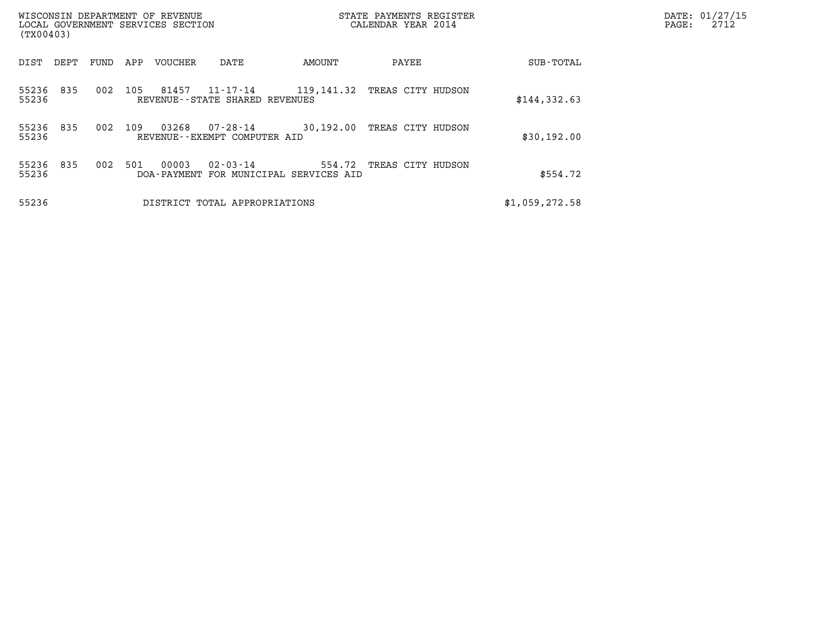| (TX00403)                    | WISCONSIN DEPARTMENT OF REVENUE<br>LOCAL GOVERNMENT SERVICES SECTION |                                                                    | STATE PAYMENTS REGISTER<br>CALENDAR YEAR 2014 |                | DATE: 01/27/15<br>2712<br>$\mathtt{PAGE:}$ |
|------------------------------|----------------------------------------------------------------------|--------------------------------------------------------------------|-----------------------------------------------|----------------|--------------------------------------------|
| FUND<br>DEPT<br>DIST         | APP<br>VOUCHER                                                       | AMOUNT<br>DATE                                                     | PAYEE                                         | SUB-TOTAL      |                                            |
| 55236<br>835<br>002<br>55236 | 81457<br>105<br>$11 - 17 - 14$<br>REVENUE--STATE SHARED REVENUES     | 119,141.32                                                         | TREAS CITY HUDSON                             | \$144,332.63   |                                            |
| 55236<br>835<br>002<br>55236 | 03268<br>109<br>07-28-14<br>REVENUE--EXEMPT COMPUTER AID             | 30,192.00                                                          | TREAS CITY HUDSON                             | \$30,192.00    |                                            |
| 002<br>55236 835<br>55236    | 00003<br>501                                                         | $02 - 03 - 14$<br>554.72<br>DOA-PAYMENT FOR MUNICIPAL SERVICES AID | TREAS CITY HUDSON                             | \$554.72       |                                            |
| 55236                        | DISTRICT TOTAL APPROPRIATIONS                                        |                                                                    |                                               | \$1,059,272.58 |                                            |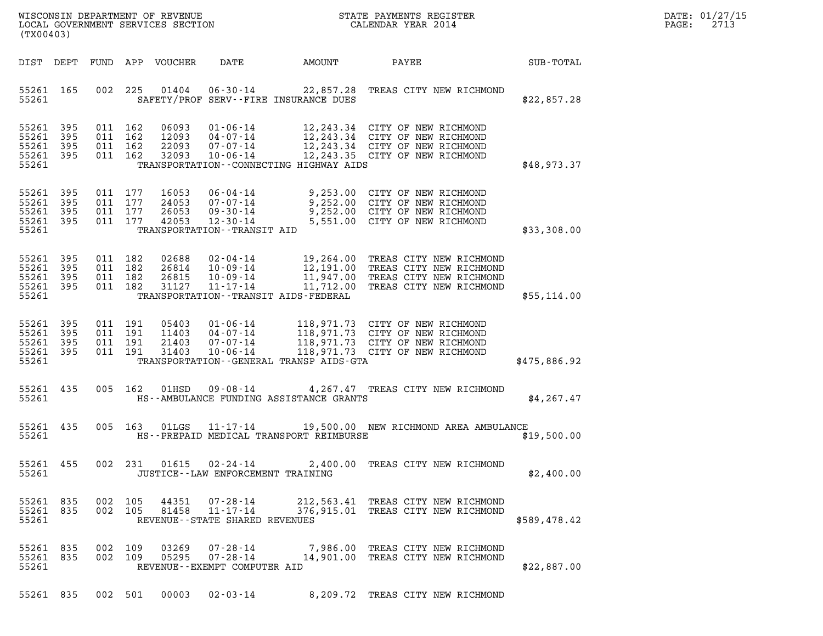| WISCONSIN DEPARTMENT OF REVENUE                               STATE PAYMENTS REGISTER LOCAL GOVERNMENT SERVICES SECTION                             CALENDAR YEAR 2014<br>(TX00403) |            |                                          |         |                                  |                                                                                                           |        |                                                                                                                                                           |              | DATE: 01/27/15<br>$\mathtt{PAGE}$ :<br>2713 |
|-------------------------------------------------------------------------------------------------------------------------------------------------------------------------------------|------------|------------------------------------------|---------|----------------------------------|-----------------------------------------------------------------------------------------------------------|--------|-----------------------------------------------------------------------------------------------------------------------------------------------------------|--------------|---------------------------------------------|
| DIST DEPT                                                                                                                                                                           |            |                                          |         | FUND APP VOUCHER                 | DATE                                                                                                      | AMOUNT | PAYEE                                                                                                                                                     | SUB-TOTAL    |                                             |
| 55261 165<br>55261                                                                                                                                                                  |            | 002                                      | 225     |                                  | $01404$ $06-30-14$<br>SAFETY/PROF SERV--FIRE INSURANCE DUES                                               |        | 22,857.28 TREAS CITY NEW RICHMOND                                                                                                                         | \$22,857.28  |                                             |
| 55261 395<br>55261<br>55261<br>55261 395<br>55261                                                                                                                                   | 395<br>395 | 011 162<br>011 162<br>011 162<br>011 162 |         | 06093<br>12093<br>22093<br>32093 | $01 - 06 - 14$<br>07-07-14<br>10-06-14<br>TRANSPORTATION - - CONNECTING HIGHWAY AIDS                      |        | 12,243.34 CITY OF NEW RICHMOND<br>04-07-14 12,243.34 CITY OF NEW RICHMOND<br>12,243.34 CITY OF NEW RICHMOND<br>12,243.35 CITY OF NEW RICHMOND             | \$48,973.37  |                                             |
| 55261 395<br>55261 395<br>55261<br>55261 395<br>55261                                                                                                                               | 395        | 011 177<br>011 177<br>011 177<br>011 177 |         | 16053<br>24053<br>26053<br>42053 | $07 - 07 - 14$<br>09-30-14<br>12-30-14<br>TRANSPORTATION - - TRANSIT AID                                  |        | 06-04-14 9,253.00 CITY OF NEW RICHMOND<br>9,252.00 CITY OF NEW RICHMOND<br>9,252.00 CITY OF NEW RICHMOND<br>5,551.00 CITY OF NEW RICHMOND                 | \$33,308.00  |                                             |
| 55261 395<br>55261<br>55261 395<br>55261 395<br>55261                                                                                                                               | 395        | 011 182<br>011 182<br>011 182<br>011 182 |         | 02688<br>26814<br>26815<br>31127 | 02-04-14<br>10-09-14<br>10-09-14<br>TRANSPORTATION - - TRANSIT AIDS - FEDERAL                             |        | 19,264.00 TREAS CITY NEW RICHMOND<br>12,191.00 TREAS CITY NEW RICHMOND<br>11,947.00 TREAS CITY NEW RICHMOND<br>11-17-14 11,712.00 TREAS CITY NEW RICHMOND | \$55,114.00  |                                             |
| 55261<br>55261 395<br>55261<br>55261 395<br>55261                                                                                                                                   | 395<br>395 | 011 191<br>011 191<br>011 191<br>011 191 |         | 05403<br>11403<br>21403<br>31403 | 01 - 06 - 14<br>04 - 07 - 14<br>07 - 07 - 14<br>$10 - 06 - 14$<br>TRANSPORTATION--GENERAL TRANSP AIDS-GTA |        | 118,971.73 CITY OF NEW RICHMOND<br>118,971.73 CITY OF NEW RICHMOND<br>118,971.73 CITY OF NEW RICHMOND<br>118,971.73 CITY OF NEW RICHMOND                  | \$475,886.92 |                                             |
| 55261 435<br>55261                                                                                                                                                                  |            |                                          | 005 162 | 01HSD                            | 09-08-14<br>HS--AMBULANCE FUNDING ASSISTANCE GRANTS                                                       |        | 4,267.47 TREAS CITY NEW RICHMOND                                                                                                                          | \$4,267.47   |                                             |
| 55261 435<br>55261                                                                                                                                                                  |            |                                          | 005 163 | 01LGS                            | 11-17-14<br>HS--PREPAID MEDICAL TRANSPORT REIMBURSE                                                       |        | 19,500.00 NEW RICHMOND AREA AMBULANCE                                                                                                                     | \$19,500.00  |                                             |
| 55261 455<br>55261                                                                                                                                                                  |            |                                          |         |                                  | JUSTICE - - LAW ENFORCEMENT TRAINING                                                                      |        | 002 231 01615 02-24-14 2,400.00 TREAS CITY NEW RICHMOND                                                                                                   | \$2,400.00   |                                             |
| 55261 835<br>55261 835<br>55261                                                                                                                                                     |            | 002 105<br>002 105                       |         | 44351<br>81458                   | 07-28-14<br>11-17-14<br>REVENUE--STATE SHARED REVENUES                                                    |        | 212,563.41 TREAS CITY NEW RICHMOND<br>376,915.01 TREAS CITY NEW RICHMOND                                                                                  | \$589,478.42 |                                             |
| 55261 835<br>55261 835<br>55261                                                                                                                                                     |            | 002 109<br>002 109                       |         | 03269<br>05295                   | 07-28-14<br>REVENUE - - EXEMPT COMPUTER AID                                                               |        | 7,986.00 TREAS CITY NEW RICHMOND                                                                                                                          | \$22,887.00  |                                             |

55261 835 002 501 00003 02-03-14 8,209.72 TREAS CITY NEW RICHMOND